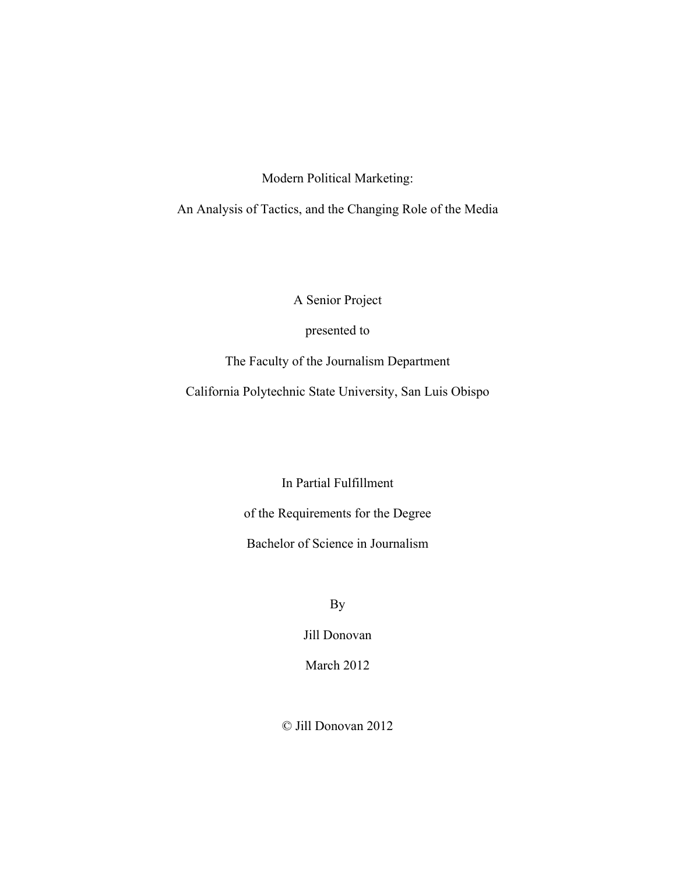Modern Political Marketing:

An Analysis of Tactics, and the Changing Role of the Media

A Senior Project

presented to

The Faculty of the Journalism Department

California Polytechnic State University, San Luis Obispo

In Partial Fulfillment

of the Requirements for the Degree

Bachelor of Science in Journalism

By

Jill Donovan

March 2012

© Jill Donovan 2012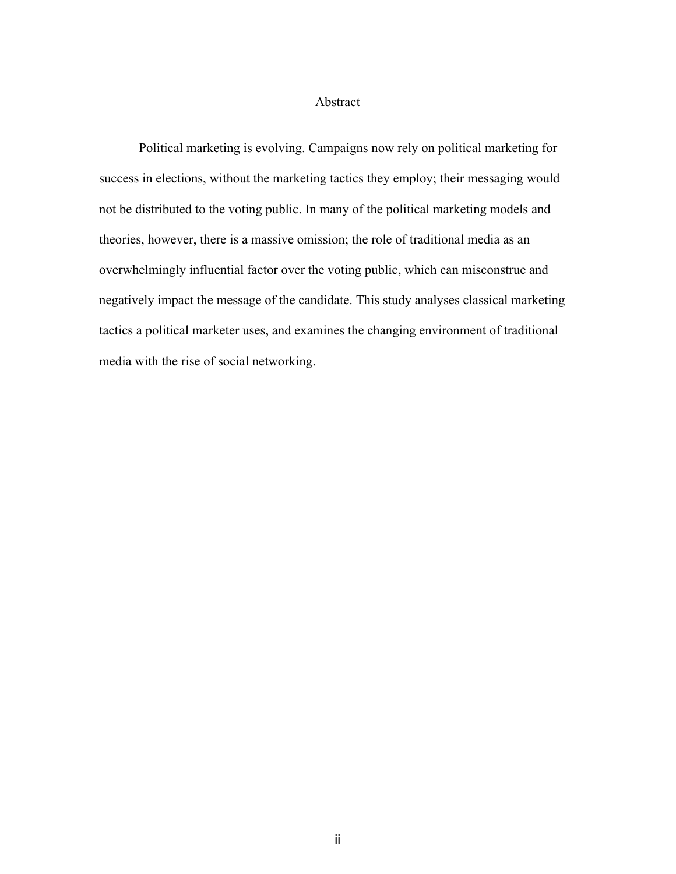#### Abstract

Political marketing is evolving. Campaigns now rely on political marketing for success in elections, without the marketing tactics they employ; their messaging would not be distributed to the voting public. In many of the political marketing models and theories, however, there is a massive omission; the role of traditional media as an overwhelmingly influential factor over the voting public, which can misconstrue and negatively impact the message of the candidate. This study analyses classical marketing tactics a political marketer uses, and examines the changing environment of traditional media with the rise of social networking.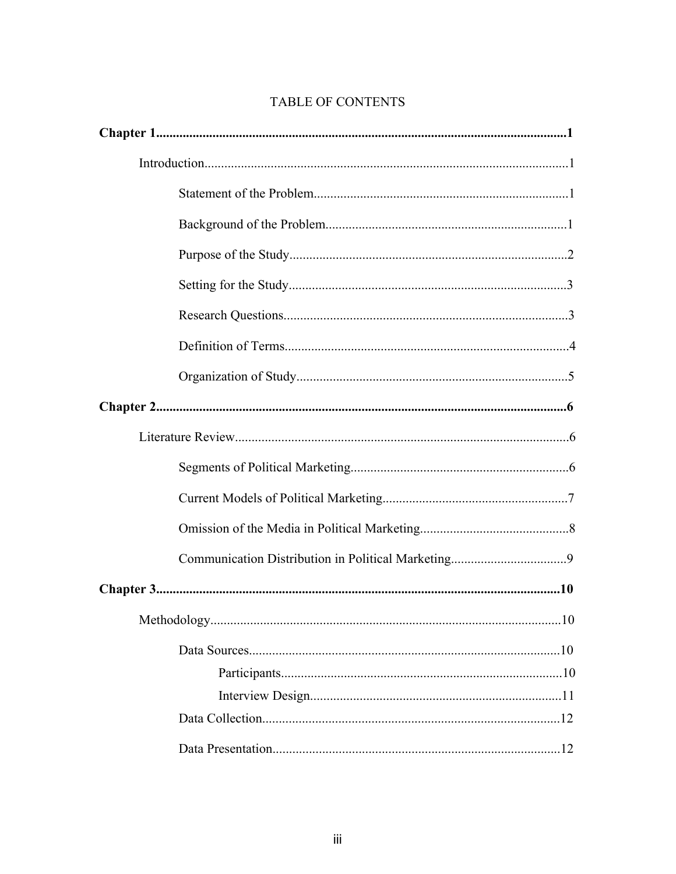## TABLE OF CONTENTS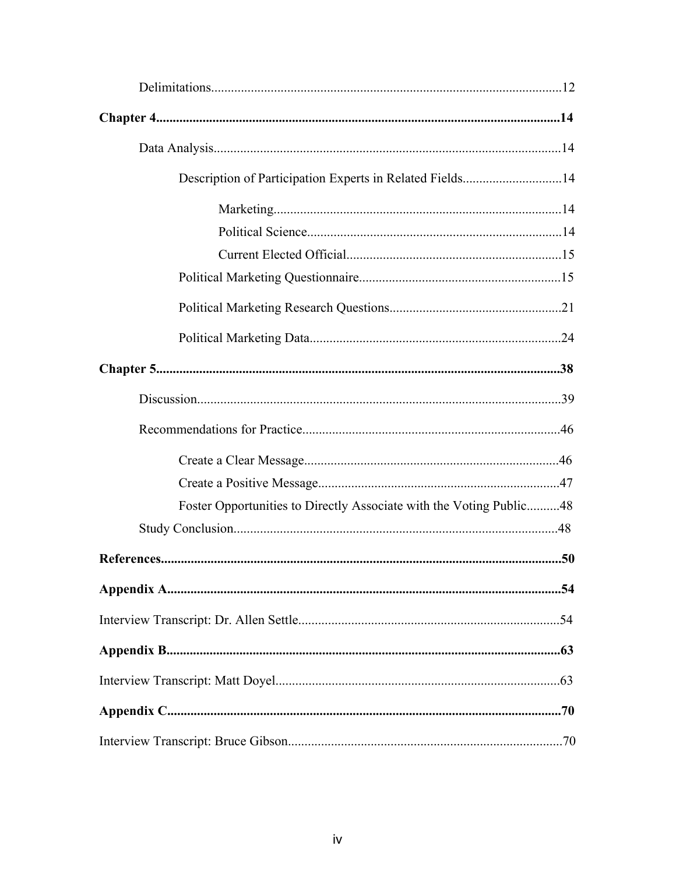| Description of Participation Experts in Related Fields14            |  |
|---------------------------------------------------------------------|--|
|                                                                     |  |
|                                                                     |  |
|                                                                     |  |
|                                                                     |  |
|                                                                     |  |
|                                                                     |  |
|                                                                     |  |
|                                                                     |  |
|                                                                     |  |
|                                                                     |  |
|                                                                     |  |
| Foster Opportunities to Directly Associate with the Voting Public48 |  |
|                                                                     |  |
|                                                                     |  |
|                                                                     |  |
|                                                                     |  |
|                                                                     |  |
|                                                                     |  |
|                                                                     |  |
|                                                                     |  |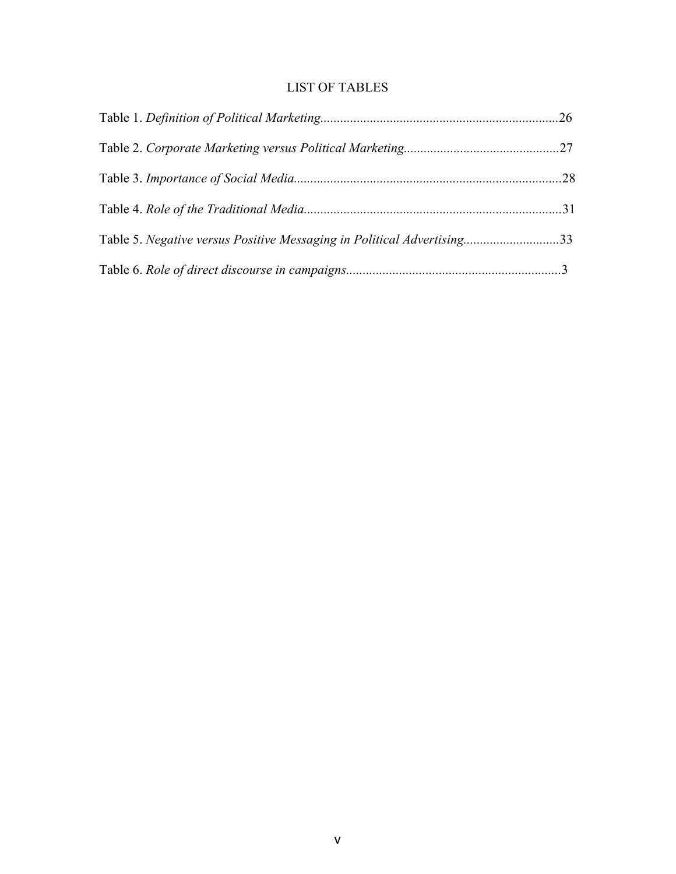# LIST OF TABLES

| Table 5. Negative versus Positive Messaging in Political Advertising33 |  |
|------------------------------------------------------------------------|--|
|                                                                        |  |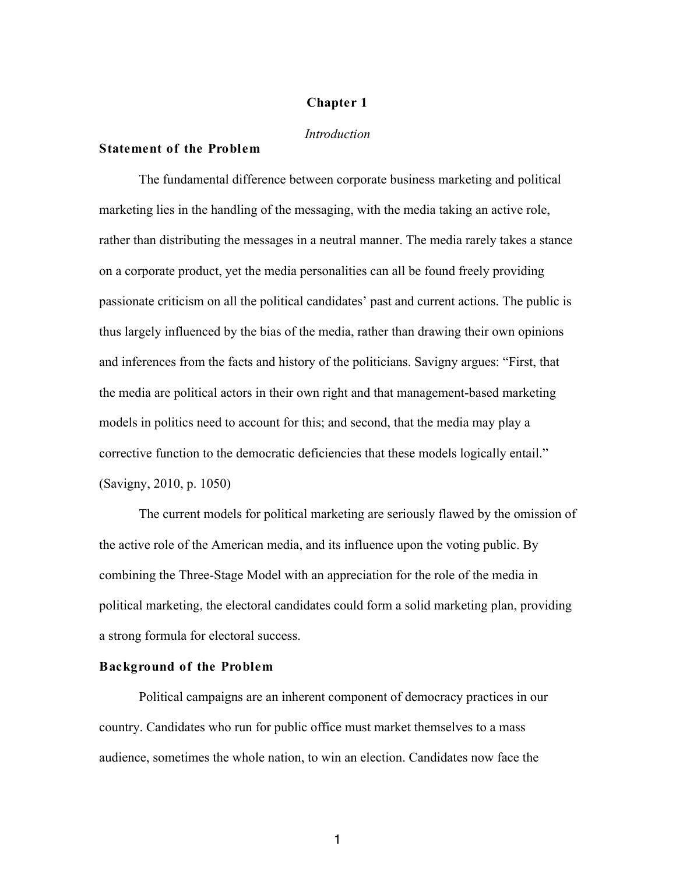#### **Chapter 1**

#### *Introduction*

#### **Statement of the Problem**

The fundamental difference between corporate business marketing and political marketing lies in the handling of the messaging, with the media taking an active role, rather than distributing the messages in a neutral manner. The media rarely takes a stance on a corporate product, yet the media personalities can all be found freely providing passionate criticism on all the political candidates' past and current actions. The public is thus largely influenced by the bias of the media, rather than drawing their own opinions and inferences from the facts and history of the politicians. Savigny argues: "First, that the media are political actors in their own right and that management-based marketing models in politics need to account for this; and second, that the media may play a corrective function to the democratic deficiencies that these models logically entail." (Savigny, 2010, p. 1050)

The current models for political marketing are seriously flawed by the omission of the active role of the American media, and its influence upon the voting public. By combining the Three-Stage Model with an appreciation for the role of the media in political marketing, the electoral candidates could form a solid marketing plan, providing a strong formula for electoral success.

#### **Background of the Problem**

Political campaigns are an inherent component of democracy practices in our country. Candidates who run for public office must market themselves to a mass audience, sometimes the whole nation, to win an election. Candidates now face the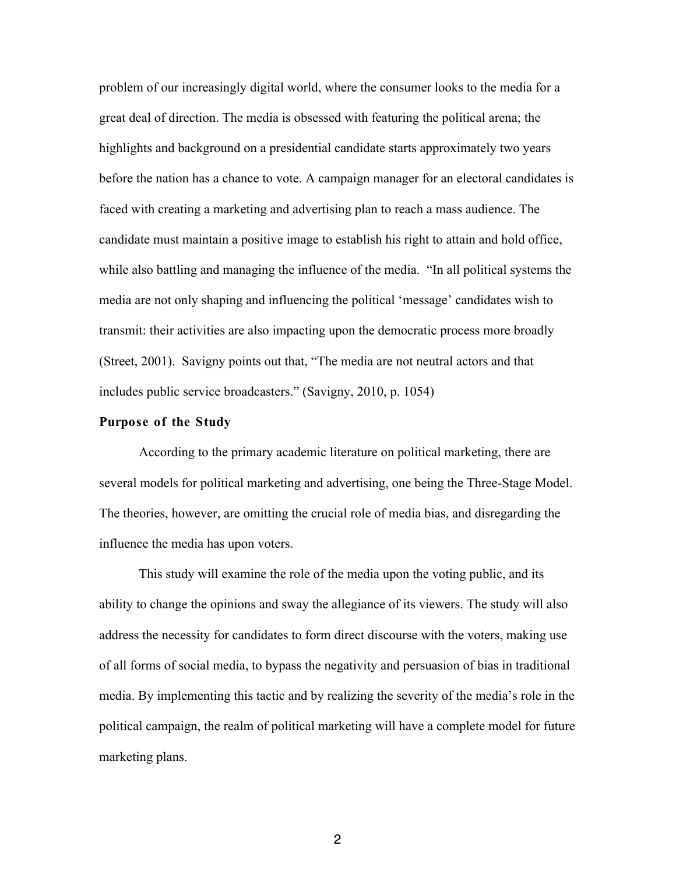problem of our increasingly digital world, where the consumer looks to the media for a great deal of direction. The media is obsessed with featuring the political arena; the highlights and background on a presidential candidate starts approximately two years before the nation has a chance to vote. A campaign manager for an electoral candidates is faced with creating a marketing and advertising plan to reach a mass audience. The candidate must maintain a positive image to establish his right to attain and hold office, while also battling and managing the influence of the media. "In all political systems the media are not only shaping and influencing the political 'message' candidates wish to transmit: their activities are also impacting upon the democratic process more broadly (Street, 2001). Savigny points out that, "The media are not neutral actors and that includes public service broadcasters." (Savigny, 2010, p. 1054)

#### **Purpose of the Study**

According to the primary academic literature on political marketing, there are several models for political marketing and advertising, one being the Three-Stage Model. The theories, however, are omitting the crucial role of media bias, and disregarding the influence the media has upon voters.

This study will examine the role of the media upon the voting public, and its ability to change the opinions and sway the allegiance of its viewers. The study will also address the necessity for candidates to form direct discourse with the voters, making use of all forms of social media, to bypass the negativity and persuasion of bias in traditional media. By implementing this tactic and by realizing the severity of the media's role in the political campaign, the realm of political marketing will have a complete model for future marketing plans.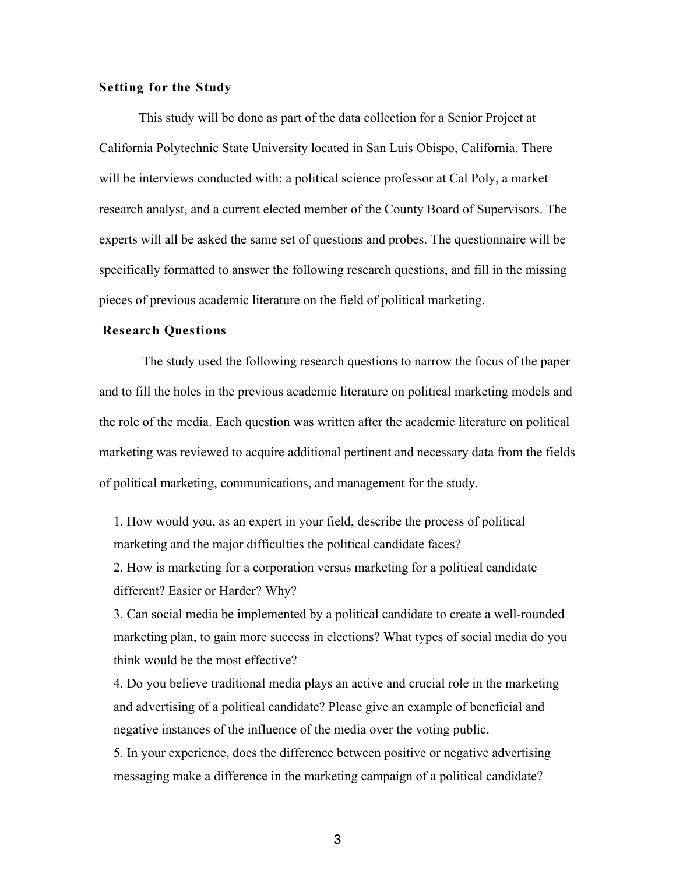#### **Setting for the Study**

This study will be done as part of the data collection for a Senior Project at California Polytechnic State University located in San Luis Obispo, California. There will be interviews conducted with; a political science professor at Cal Poly, a market research analyst, and a current elected member of the County Board of Supervisors. The experts will all be asked the same set of questions and probes. The questionnaire will be specifically formatted to answer the following research questions, and fill in the missing pieces of previous academic literature on the field of political marketing.

#### **Research Questions**

The study used the following research questions to narrow the focus of the paper and to fill the holes in the previous academic literature on political marketing models and the role of the media. Each question was written after the academic literature on political marketing was reviewed to acquire additional pertinent and necessary data from the fields of political marketing, communications, and management for the study.

1. How would you, as an expert in your field, describe the process of political marketing and the major difficulties the political candidate faces?

2. How is marketing for a corporation versus marketing for a political candidate different? Easier or Harder? Why?

3. Can social media be implemented by a political candidate to create a well-rounded marketing plan, to gain more success in elections? What types of social media do you think would be the most effective?

4. Do you believe traditional media plays an active and crucial role in the marketing and advertising of a political candidate? Please give an example of beneficial and negative instances of the influence of the media over the voting public.

5. In your experience, does the difference between positive or negative advertising messaging make a difference in the marketing campaign of a political candidate?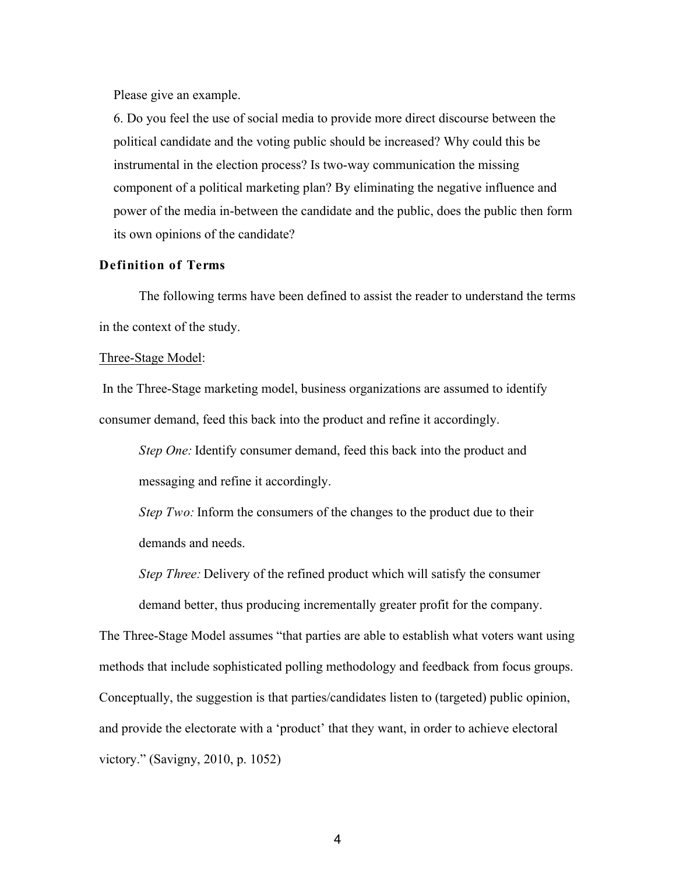Please give an example.

6. Do you feel the use of social media to provide more direct discourse between the political candidate and the voting public should be increased? Why could this be instrumental in the election process? Is two-way communication the missing component of a political marketing plan? By eliminating the negative influence and power of the media in-between the candidate and the public, does the public then form its own opinions of the candidate?

#### **Definition of Terms**

The following terms have been defined to assist the reader to understand the terms in the context of the study.

#### Three-Stage Model:

In the Three-Stage marketing model, business organizations are assumed to identify consumer demand, feed this back into the product and refine it accordingly.

*Step One:* Identify consumer demand, feed this back into the product and messaging and refine it accordingly.

*Step Two:* Inform the consumers of the changes to the product due to their demands and needs.

*Step Three:* Delivery of the refined product which will satisfy the consumer demand better, thus producing incrementally greater profit for the company.

The Three-Stage Model assumes "that parties are able to establish what voters want using methods that include sophisticated polling methodology and feedback from focus groups. Conceptually, the suggestion is that parties/candidates listen to (targeted) public opinion, and provide the electorate with a 'product' that they want, in order to achieve electoral victory." (Savigny, 2010, p. 1052)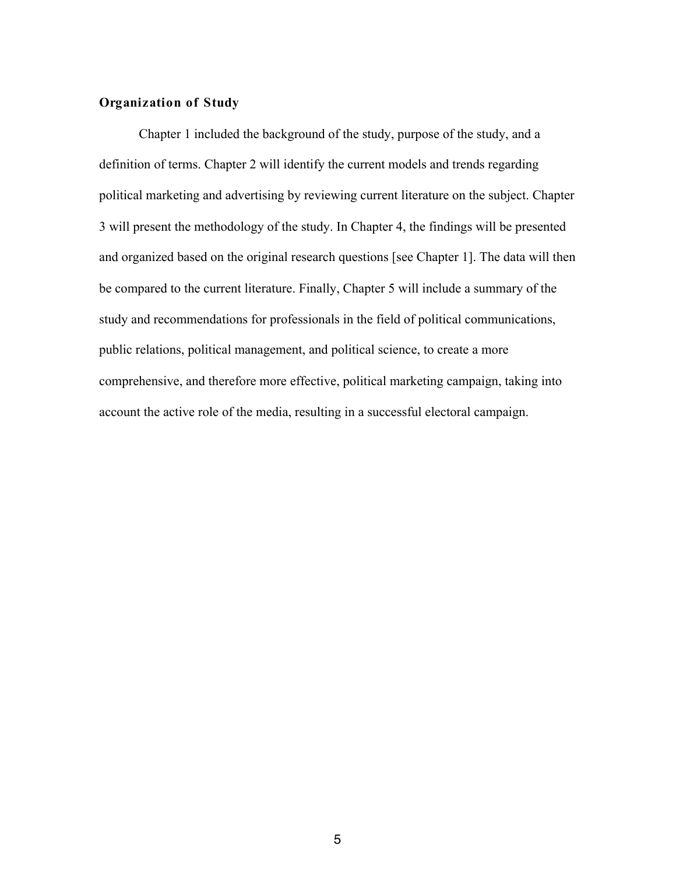#### **Organization of Study**

Chapter 1 included the background of the study, purpose of the study, and a definition of terms. Chapter 2 will identify the current models and trends regarding political marketing and advertising by reviewing current literature on the subject. Chapter 3 will present the methodology of the study. In Chapter 4, the findings will be presented and organized based on the original research questions [see Chapter 1]. The data will then be compared to the current literature. Finally, Chapter 5 will include a summary of the study and recommendations for professionals in the field of political communications, public relations, political management, and political science, to create a more comprehensive, and therefore more effective, political marketing campaign, taking into account the active role of the media, resulting in a successful electoral campaign.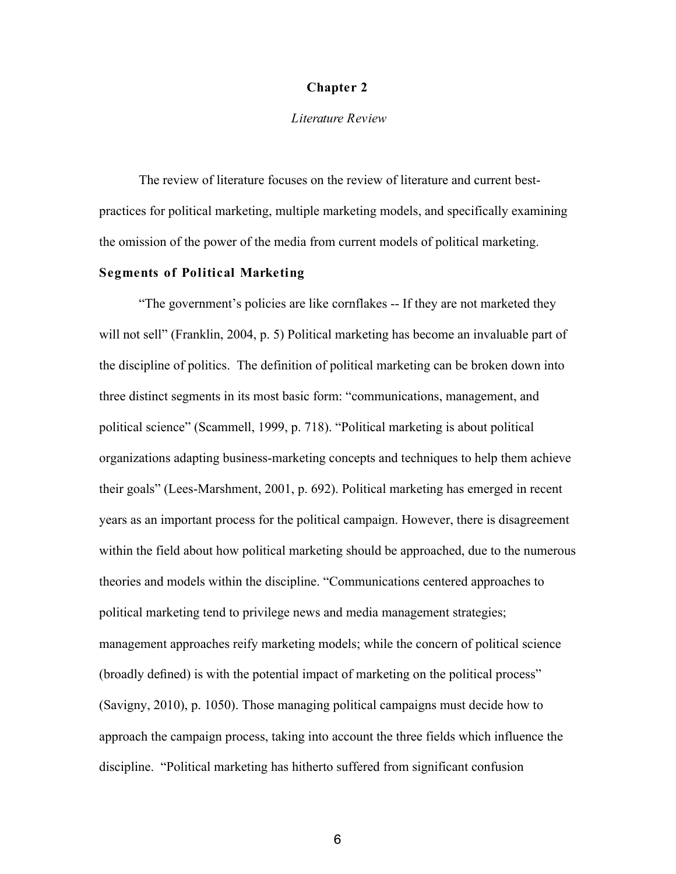#### **Chapter 2**

#### *Literature Review*

The review of literature focuses on the review of literature and current bestpractices for political marketing, multiple marketing models, and specifically examining the omission of the power of the media from current models of political marketing.

## **Segments of Political Marketing**

"The government's policies are like cornflakes -- If they are not marketed they will not sell" (Franklin, 2004, p. 5) Political marketing has become an invaluable part of the discipline of politics. The definition of political marketing can be broken down into three distinct segments in its most basic form: "communications, management, and political science" (Scammell, 1999, p. 718). "Political marketing is about political organizations adapting business-marketing concepts and techniques to help them achieve their goals" (Lees-Marshment, 2001, p. 692). Political marketing has emerged in recent years as an important process for the political campaign. However, there is disagreement within the field about how political marketing should be approached, due to the numerous theories and models within the discipline. "Communications centered approaches to political marketing tend to privilege news and media management strategies; management approaches reify marketing models; while the concern of political science (broadly defined) is with the potential impact of marketing on the political process" (Savigny, 2010), p. 1050). Those managing political campaigns must decide how to approach the campaign process, taking into account the three fields which influence the discipline. "Political marketing has hitherto suffered from significant confusion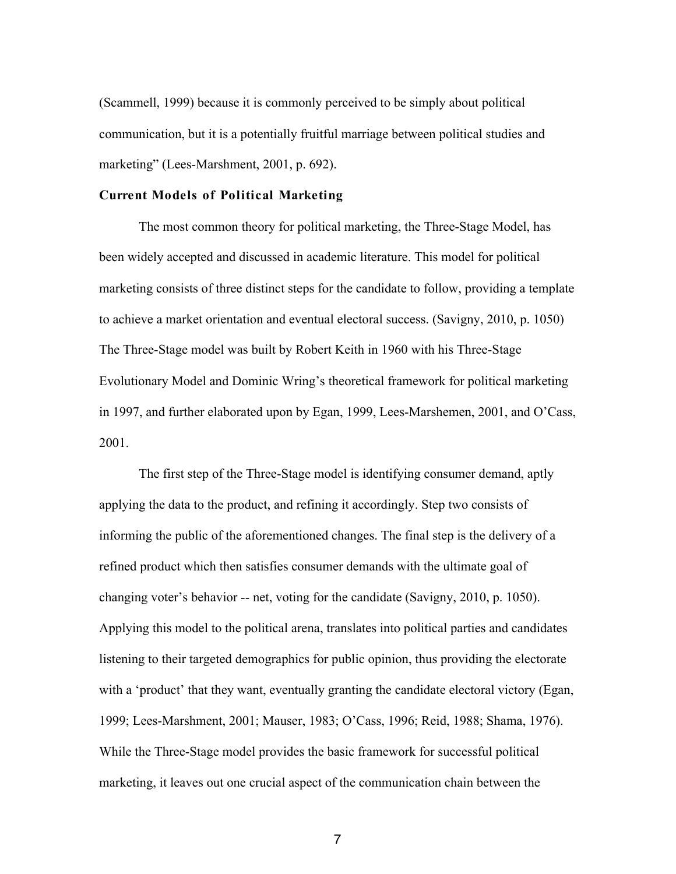(Scammell, 1999) because it is commonly perceived to be simply about political communication, but it is a potentially fruitful marriage between political studies and marketing" (Lees-Marshment, 2001, p. 692).

#### **Current Models of Political Marketing**

The most common theory for political marketing, the Three-Stage Model, has been widely accepted and discussed in academic literature. This model for political marketing consists of three distinct steps for the candidate to follow, providing a template to achieve a market orientation and eventual electoral success. (Savigny, 2010, p. 1050) The Three-Stage model was built by Robert Keith in 1960 with his Three-Stage Evolutionary Model and Dominic Wring's theoretical framework for political marketing in 1997, and further elaborated upon by Egan, 1999, Lees-Marshemen, 2001, and O'Cass, 2001.

The first step of the Three-Stage model is identifying consumer demand, aptly applying the data to the product, and refining it accordingly. Step two consists of informing the public of the aforementioned changes. The final step is the delivery of a refined product which then satisfies consumer demands with the ultimate goal of changing voter's behavior -- net, voting for the candidate (Savigny, 2010, p. 1050). Applying this model to the political arena, translates into political parties and candidates listening to their targeted demographics for public opinion, thus providing the electorate with a 'product' that they want, eventually granting the candidate electoral victory (Egan, 1999; Lees-Marshment, 2001; Mauser, 1983; O'Cass, 1996; Reid, 1988; Shama, 1976). While the Three-Stage model provides the basic framework for successful political marketing, it leaves out one crucial aspect of the communication chain between the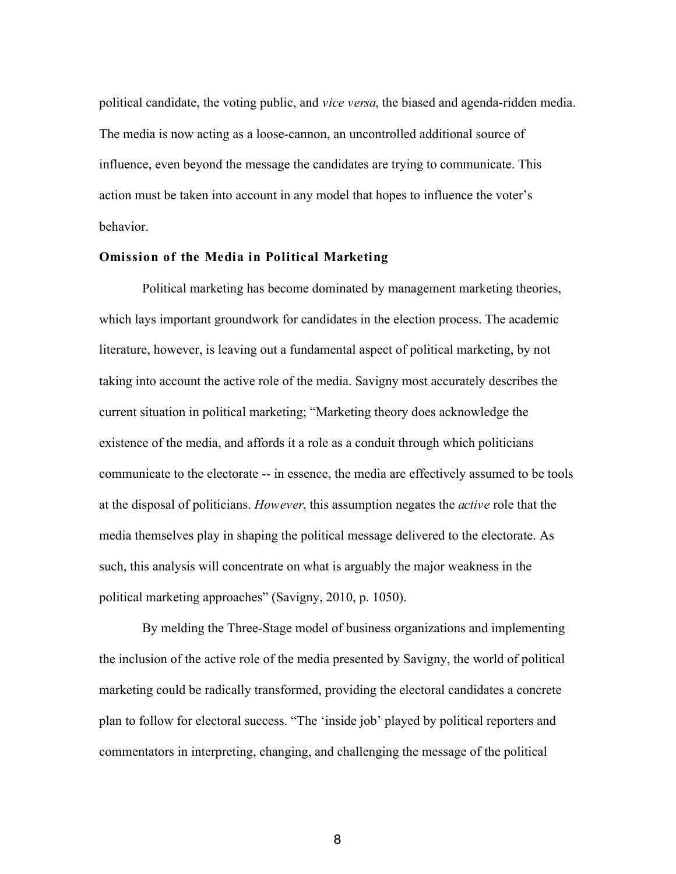political candidate, the voting public, and *vice versa*, the biased and agenda-ridden media. The media is now acting as a loose-cannon, an uncontrolled additional source of influence, even beyond the message the candidates are trying to communicate. This action must be taken into account in any model that hopes to influence the voter's behavior.

#### **Omission of the Media in Political Marketing**

Political marketing has become dominated by management marketing theories, which lays important groundwork for candidates in the election process. The academic literature, however, is leaving out a fundamental aspect of political marketing, by not taking into account the active role of the media. Savigny most accurately describes the current situation in political marketing; "Marketing theory does acknowledge the existence of the media, and affords it a role as a conduit through which politicians communicate to the electorate -- in essence, the media are effectively assumed to be tools at the disposal of politicians. *However*, this assumption negates the *active* role that the media themselves play in shaping the political message delivered to the electorate. As such, this analysis will concentrate on what is arguably the major weakness in the political marketing approaches" (Savigny, 2010, p. 1050).

By melding the Three-Stage model of business organizations and implementing the inclusion of the active role of the media presented by Savigny, the world of political marketing could be radically transformed, providing the electoral candidates a concrete plan to follow for electoral success. "The 'inside job' played by political reporters and commentators in interpreting, changing, and challenging the message of the political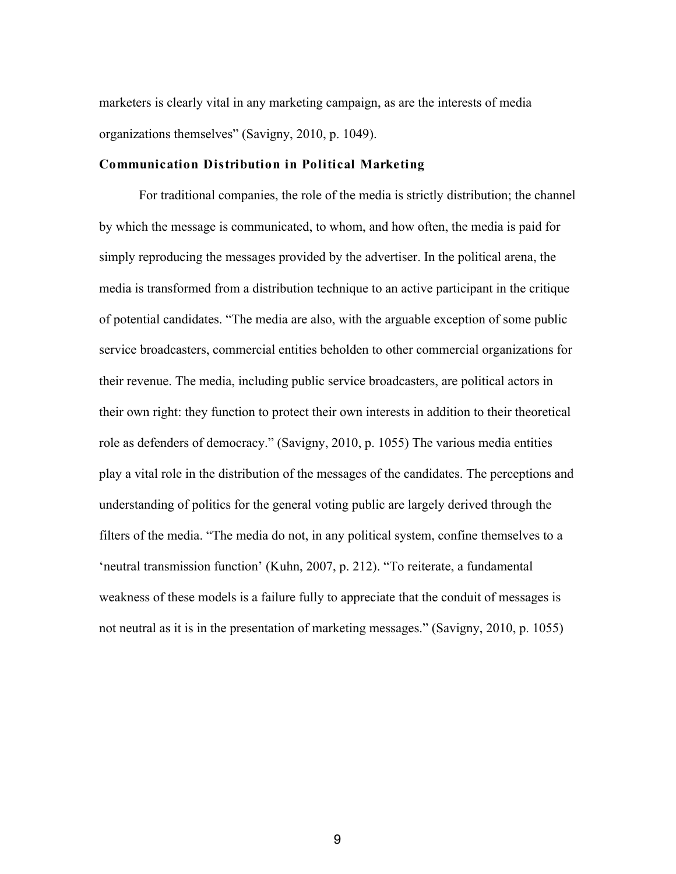marketers is clearly vital in any marketing campaign, as are the interests of media organizations themselves" (Savigny, 2010, p. 1049).

#### **Communication Distribution in Political Marketing**

For traditional companies, the role of the media is strictly distribution; the channel by which the message is communicated, to whom, and how often, the media is paid for simply reproducing the messages provided by the advertiser. In the political arena, the media is transformed from a distribution technique to an active participant in the critique of potential candidates. "The media are also, with the arguable exception of some public service broadcasters, commercial entities beholden to other commercial organizations for their revenue. The media, including public service broadcasters, are political actors in their own right: they function to protect their own interests in addition to their theoretical role as defenders of democracy." (Savigny, 2010, p. 1055) The various media entities play a vital role in the distribution of the messages of the candidates. The perceptions and understanding of politics for the general voting public are largely derived through the filters of the media. "The media do not, in any political system, confine themselves to a 'neutral transmission function' (Kuhn, 2007, p. 212). "To reiterate, a fundamental weakness of these models is a failure fully to appreciate that the conduit of messages is not neutral as it is in the presentation of marketing messages." (Savigny, 2010, p. 1055)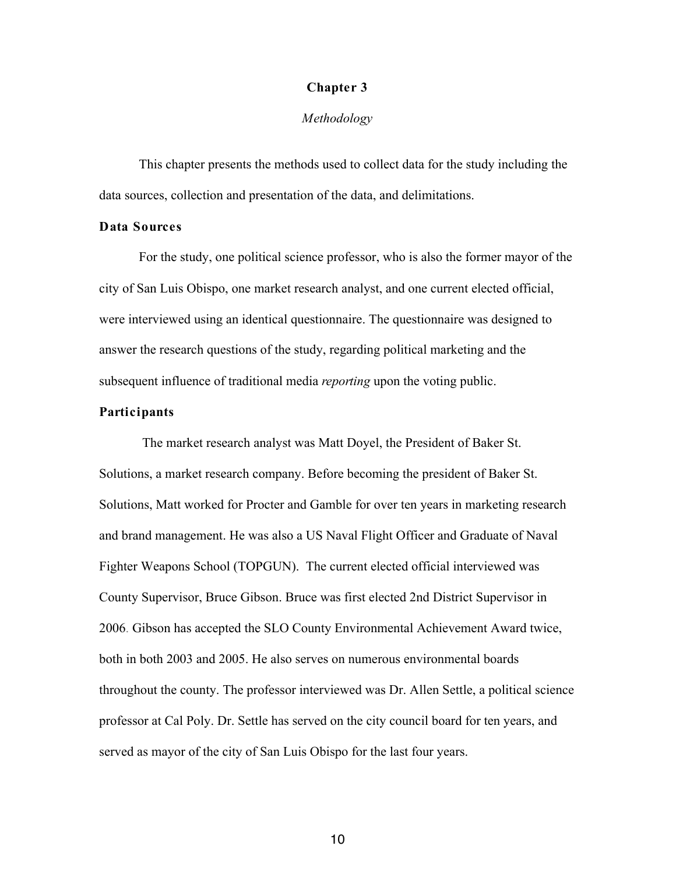#### **Chapter 3**

#### *Methodology*

This chapter presents the methods used to collect data for the study including the data sources, collection and presentation of the data, and delimitations.

#### **Data Sources**

For the study, one political science professor, who is also the former mayor of the city of San Luis Obispo, one market research analyst, and one current elected official, were interviewed using an identical questionnaire. The questionnaire was designed to answer the research questions of the study, regarding political marketing and the subsequent influence of traditional media *reporting* upon the voting public.

#### **Participants**

The market research analyst was Matt Doyel, the President of Baker St. Solutions, a market research company. Before becoming the president of Baker St. Solutions, Matt worked for Procter and Gamble for over ten years in marketing research and brand management. He was also a US Naval Flight Officer and Graduate of Naval Fighter Weapons School (TOPGUN). The current elected official interviewed was County Supervisor, Bruce Gibson. Bruce was first elected 2nd District Supervisor in 2006. Gibson has accepted the SLO County Environmental Achievement Award twice, both in both 2003 and 2005. He also serves on numerous environmental boards throughout the county. The professor interviewed was Dr. Allen Settle, a political science professor at Cal Poly. Dr. Settle has served on the city council board for ten years, and served as mayor of the city of San Luis Obispo for the last four years.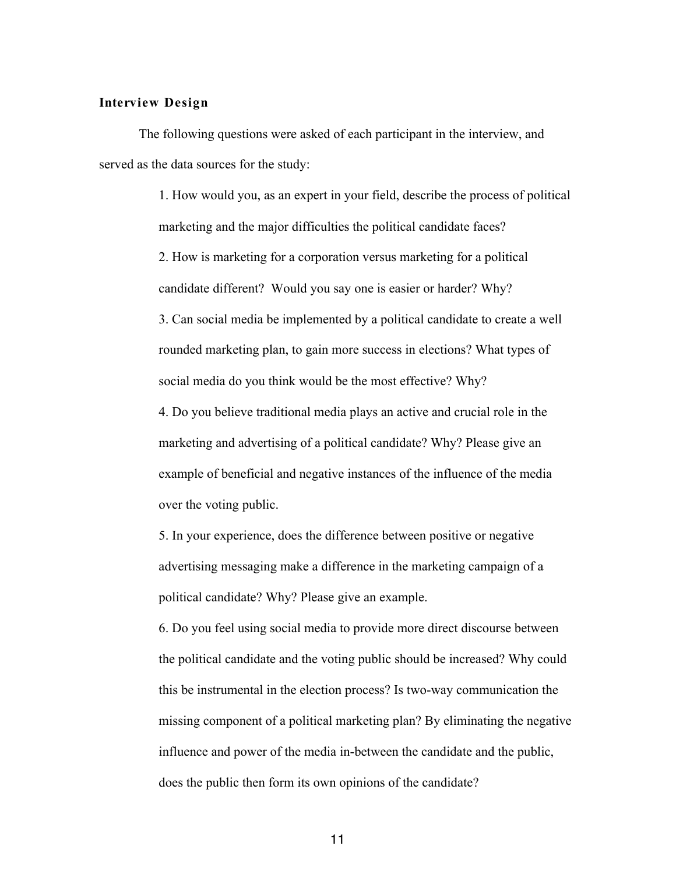#### **Interview Design**

The following questions were asked of each participant in the interview, and served as the data sources for the study:

> 1. How would you, as an expert in your field, describe the process of political marketing and the major difficulties the political candidate faces? 2. How is marketing for a corporation versus marketing for a political candidate different? Would you say one is easier or harder? Why? 3. Can social media be implemented by a political candidate to create a well rounded marketing plan, to gain more success in elections? What types of social media do you think would be the most effective? Why?

4. Do you believe traditional media plays an active and crucial role in the marketing and advertising of a political candidate? Why? Please give an example of beneficial and negative instances of the influence of the media over the voting public.

5. In your experience, does the difference between positive or negative advertising messaging make a difference in the marketing campaign of a political candidate? Why? Please give an example.

6. Do you feel using social media to provide more direct discourse between the political candidate and the voting public should be increased? Why could this be instrumental in the election process? Is two-way communication the missing component of a political marketing plan? By eliminating the negative influence and power of the media in-between the candidate and the public, does the public then form its own opinions of the candidate?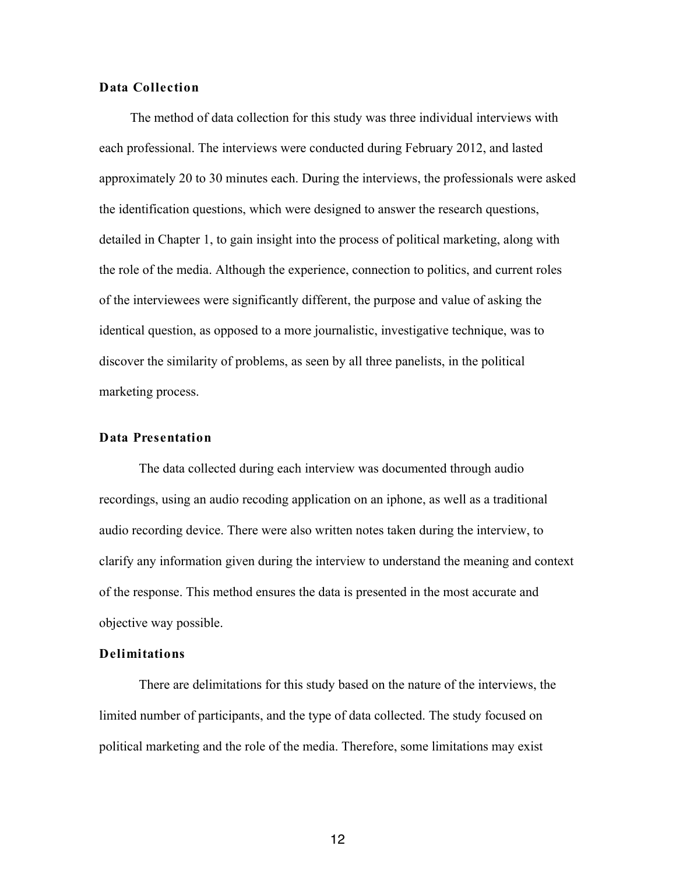#### **Data Collection**

The method of data collection for this study was three individual interviews with each professional. The interviews were conducted during February 2012, and lasted approximately 20 to 30 minutes each. During the interviews, the professionals were asked the identification questions, which were designed to answer the research questions, detailed in Chapter 1, to gain insight into the process of political marketing, along with the role of the media. Although the experience, connection to politics, and current roles of the interviewees were significantly different, the purpose and value of asking the identical question, as opposed to a more journalistic, investigative technique, was to discover the similarity of problems, as seen by all three panelists, in the political marketing process.

#### **Data Presentation**

The data collected during each interview was documented through audio recordings, using an audio recoding application on an iphone, as well as a traditional audio recording device. There were also written notes taken during the interview, to clarify any information given during the interview to understand the meaning and context of the response. This method ensures the data is presented in the most accurate and objective way possible.

#### **Delimitations**

There are delimitations for this study based on the nature of the interviews, the limited number of participants, and the type of data collected. The study focused on political marketing and the role of the media. Therefore, some limitations may exist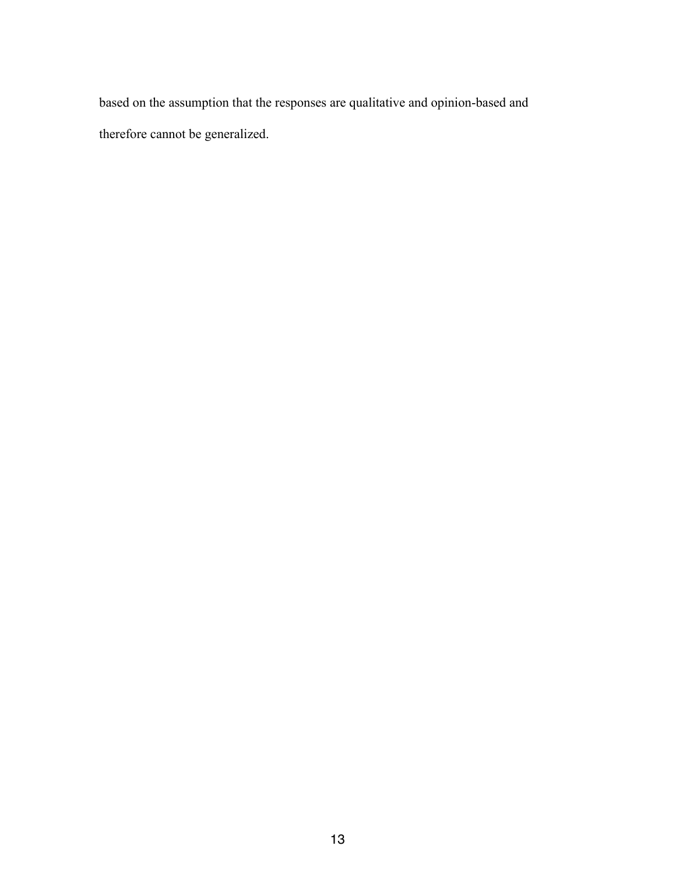based on the assumption that the responses are qualitative and opinion-based and therefore cannot be generalized.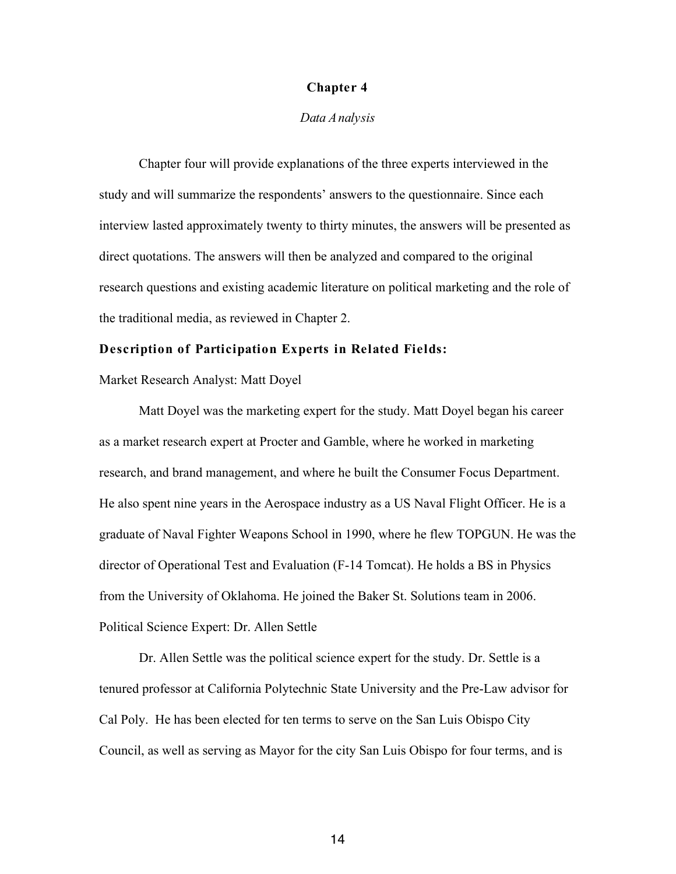#### **Chapter 4**

#### *Data Analysis*

Chapter four will provide explanations of the three experts interviewed in the study and will summarize the respondents' answers to the questionnaire. Since each interview lasted approximately twenty to thirty minutes, the answers will be presented as direct quotations. The answers will then be analyzed and compared to the original research questions and existing academic literature on political marketing and the role of the traditional media, as reviewed in Chapter 2.

#### **Description of Participation Experts in Related Fields:**

Market Research Analyst: Matt Doyel

Matt Doyel was the marketing expert for the study. Matt Doyel began his career as a market research expert at Procter and Gamble, where he worked in marketing research, and brand management, and where he built the Consumer Focus Department. He also spent nine years in the Aerospace industry as a US Naval Flight Officer. He is a graduate of Naval Fighter Weapons School in 1990, where he flew TOPGUN. He was the director of Operational Test and Evaluation (F-14 Tomcat). He holds a BS in Physics from the University of Oklahoma. He joined the Baker St. Solutions team in 2006. Political Science Expert: Dr. Allen Settle

Dr. Allen Settle was the political science expert for the study. Dr. Settle is a tenured professor at California Polytechnic State University and the Pre-Law advisor for Cal Poly. He has been elected for ten terms to serve on the San Luis Obispo City Council, as well as serving as Mayor for the city San Luis Obispo for four terms, and is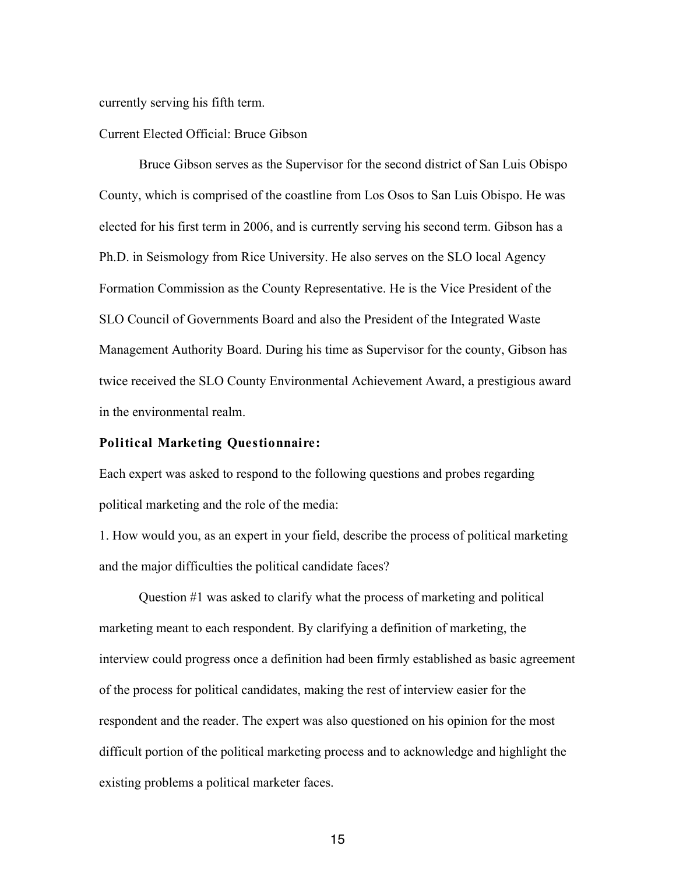currently serving his fifth term.

#### Current Elected Official: Bruce Gibson

Bruce Gibson serves as the Supervisor for the second district of San Luis Obispo County, which is comprised of the coastline from Los Osos to San Luis Obispo. He was elected for his first term in 2006, and is currently serving his second term. Gibson has a Ph.D. in Seismology from Rice University. He also serves on the SLO local Agency Formation Commission as the County Representative. He is the Vice President of the SLO Council of Governments Board and also the President of the Integrated Waste Management Authority Board. During his time as Supervisor for the county, Gibson has twice received the SLO County Environmental Achievement Award, a prestigious award in the environmental realm.

#### **Political Marketing Questionnaire:**

Each expert was asked to respond to the following questions and probes regarding political marketing and the role of the media:

1. How would you, as an expert in your field, describe the process of political marketing and the major difficulties the political candidate faces?

Question #1 was asked to clarify what the process of marketing and political marketing meant to each respondent. By clarifying a definition of marketing, the interview could progress once a definition had been firmly established as basic agreement of the process for political candidates, making the rest of interview easier for the respondent and the reader. The expert was also questioned on his opinion for the most difficult portion of the political marketing process and to acknowledge and highlight the existing problems a political marketer faces.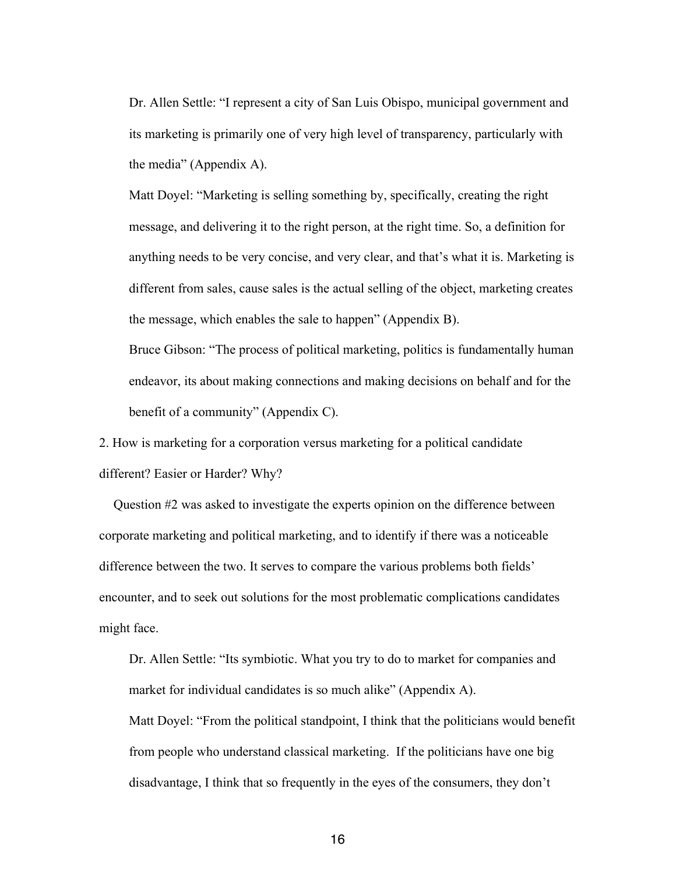Dr. Allen Settle: "I represent a city of San Luis Obispo, municipal government and its marketing is primarily one of very high level of transparency, particularly with the media" (Appendix A).

Matt Doyel: "Marketing is selling something by, specifically, creating the right message, and delivering it to the right person, at the right time. So, a definition for anything needs to be very concise, and very clear, and that's what it is. Marketing is different from sales, cause sales is the actual selling of the object, marketing creates the message, which enables the sale to happen" (Appendix B).

Bruce Gibson: "The process of political marketing, politics is fundamentally human endeavor, its about making connections and making decisions on behalf and for the benefit of a community" (Appendix C).

2. How is marketing for a corporation versus marketing for a political candidate different? Easier or Harder? Why?

Question #2 was asked to investigate the experts opinion on the difference between corporate marketing and political marketing, and to identify if there was a noticeable difference between the two. It serves to compare the various problems both fields' encounter, and to seek out solutions for the most problematic complications candidates might face.

Dr. Allen Settle: "Its symbiotic. What you try to do to market for companies and market for individual candidates is so much alike" (Appendix A). Matt Doyel: "From the political standpoint, I think that the politicians would benefit from people who understand classical marketing. If the politicians have one big disadvantage, I think that so frequently in the eyes of the consumers, they don't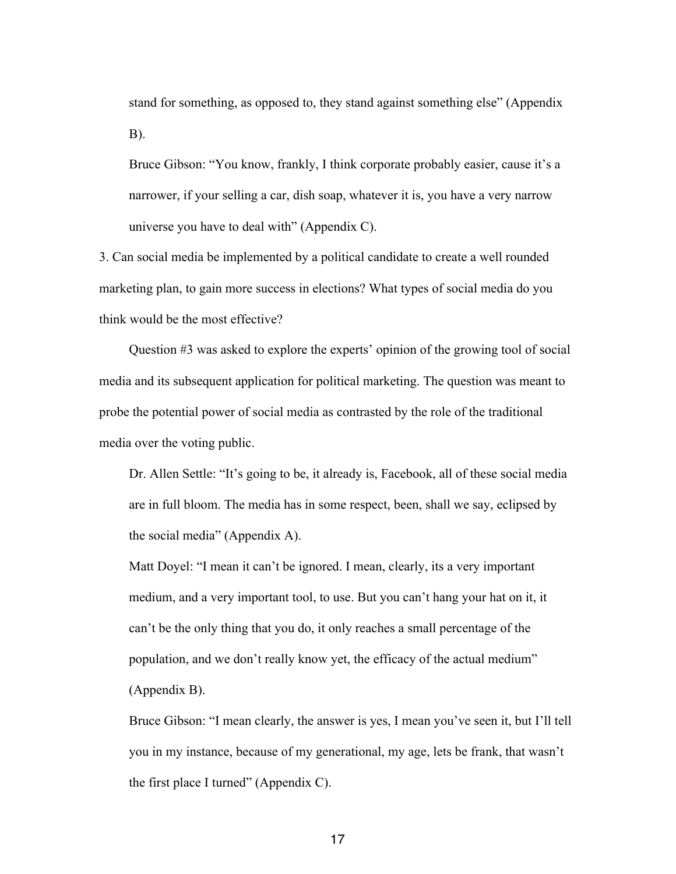stand for something, as opposed to, they stand against something else" (Appendix B).

Bruce Gibson: "You know, frankly, I think corporate probably easier, cause it's a narrower, if your selling a car, dish soap, whatever it is, you have a very narrow universe you have to deal with" (Appendix C).

3. Can social media be implemented by a political candidate to create a well rounded marketing plan, to gain more success in elections? What types of social media do you think would be the most effective?

Question #3 was asked to explore the experts' opinion of the growing tool of social media and its subsequent application for political marketing. The question was meant to probe the potential power of social media as contrasted by the role of the traditional media over the voting public.

Dr. Allen Settle: "It's going to be, it already is, Facebook, all of these social media are in full bloom. The media has in some respect, been, shall we say, eclipsed by the social media" (Appendix A).

Matt Doyel: "I mean it can't be ignored. I mean, clearly, its a very important medium, and a very important tool, to use. But you can't hang your hat on it, it can't be the only thing that you do, it only reaches a small percentage of the population, and we don't really know yet, the efficacy of the actual medium" (Appendix B).

Bruce Gibson: "I mean clearly, the answer is yes, I mean you've seen it, but I'll tell you in my instance, because of my generational, my age, lets be frank, that wasn't the first place I turned" (Appendix C).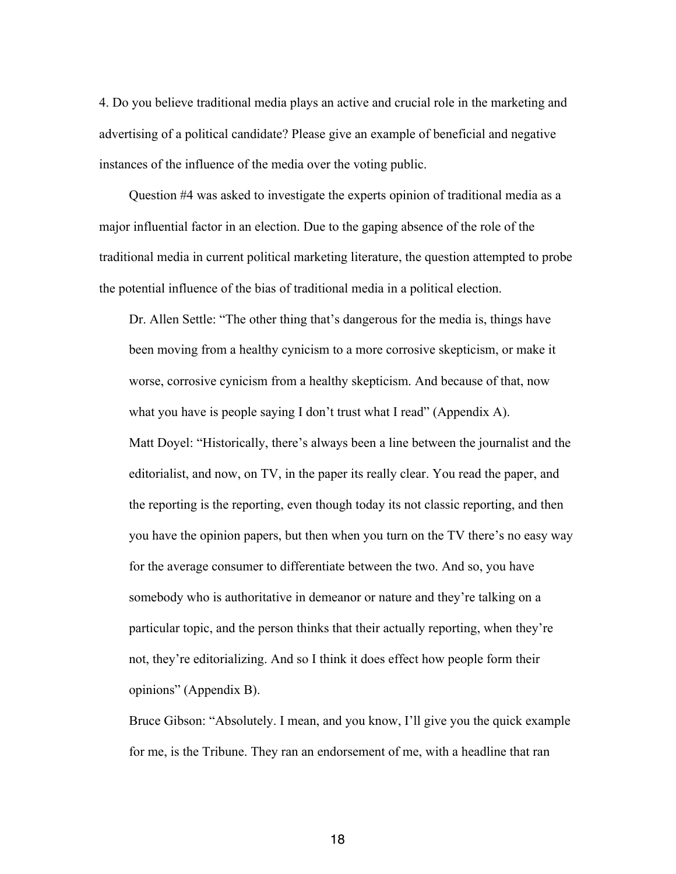4. Do you believe traditional media plays an active and crucial role in the marketing and advertising of a political candidate? Please give an example of beneficial and negative instances of the influence of the media over the voting public.

Question #4 was asked to investigate the experts opinion of traditional media as a major influential factor in an election. Due to the gaping absence of the role of the traditional media in current political marketing literature, the question attempted to probe the potential influence of the bias of traditional media in a political election.

Dr. Allen Settle: "The other thing that's dangerous for the media is, things have been moving from a healthy cynicism to a more corrosive skepticism, or make it worse, corrosive cynicism from a healthy skepticism. And because of that, now what you have is people saying I don't trust what I read" (Appendix A). Matt Doyel: "Historically, there's always been a line between the journalist and the editorialist, and now, on TV, in the paper its really clear. You read the paper, and the reporting is the reporting, even though today its not classic reporting, and then you have the opinion papers, but then when you turn on the TV there's no easy way for the average consumer to differentiate between the two. And so, you have somebody who is authoritative in demeanor or nature and they're talking on a particular topic, and the person thinks that their actually reporting, when they're not, they're editorializing. And so I think it does effect how people form their opinions" (Appendix B).

Bruce Gibson: "Absolutely. I mean, and you know, I'll give you the quick example for me, is the Tribune. They ran an endorsement of me, with a headline that ran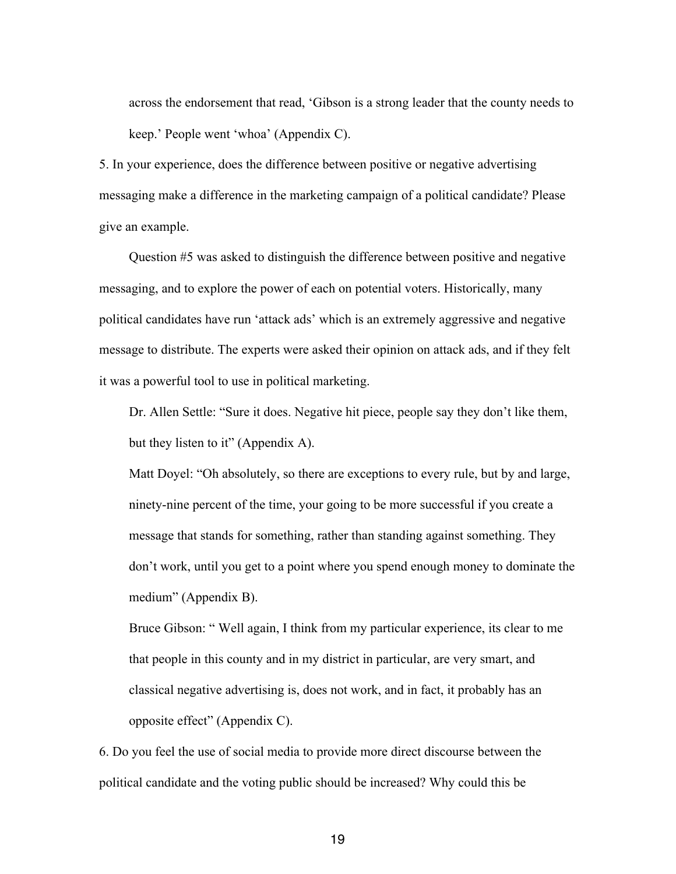across the endorsement that read, 'Gibson is a strong leader that the county needs to keep.' People went 'whoa' (Appendix C).

5. In your experience, does the difference between positive or negative advertising messaging make a difference in the marketing campaign of a political candidate? Please give an example.

Question #5 was asked to distinguish the difference between positive and negative messaging, and to explore the power of each on potential voters. Historically, many political candidates have run 'attack ads' which is an extremely aggressive and negative message to distribute. The experts were asked their opinion on attack ads, and if they felt it was a powerful tool to use in political marketing.

Dr. Allen Settle: "Sure it does. Negative hit piece, people say they don't like them, but they listen to it" (Appendix A).

Matt Doyel: "Oh absolutely, so there are exceptions to every rule, but by and large, ninety-nine percent of the time, your going to be more successful if you create a message that stands for something, rather than standing against something. They don't work, until you get to a point where you spend enough money to dominate the medium" (Appendix B).

Bruce Gibson: " Well again, I think from my particular experience, its clear to me that people in this county and in my district in particular, are very smart, and classical negative advertising is, does not work, and in fact, it probably has an opposite effect" (Appendix C).

6. Do you feel the use of social media to provide more direct discourse between the political candidate and the voting public should be increased? Why could this be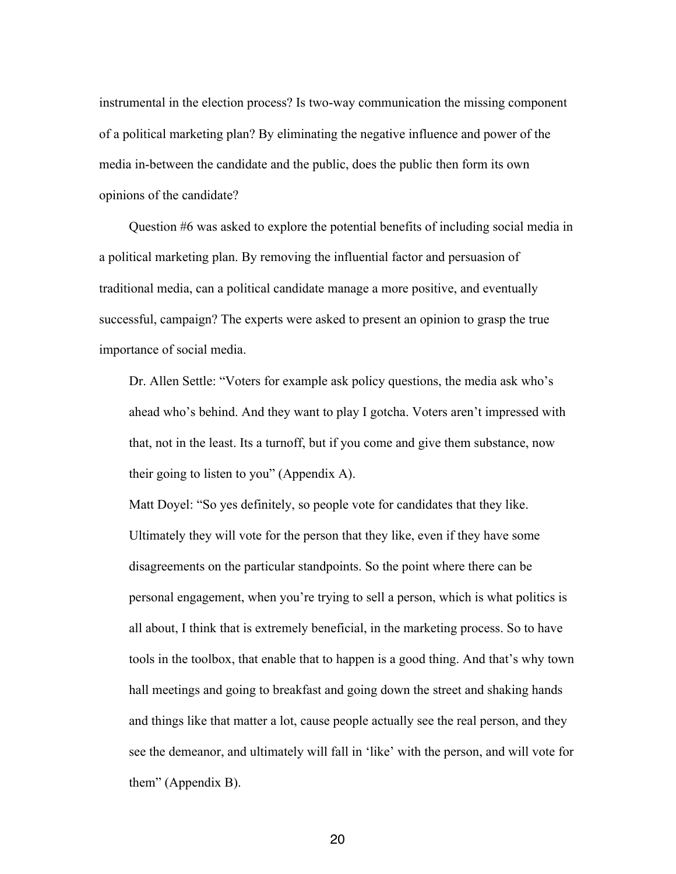instrumental in the election process? Is two-way communication the missing component of a political marketing plan? By eliminating the negative influence and power of the media in-between the candidate and the public, does the public then form its own opinions of the candidate?

Question #6 was asked to explore the potential benefits of including social media in a political marketing plan. By removing the influential factor and persuasion of traditional media, can a political candidate manage a more positive, and eventually successful, campaign? The experts were asked to present an opinion to grasp the true importance of social media.

Dr. Allen Settle: "Voters for example ask policy questions, the media ask who's ahead who's behind. And they want to play I gotcha. Voters aren't impressed with that, not in the least. Its a turnoff, but if you come and give them substance, now their going to listen to you" (Appendix A).

Matt Doyel: "So yes definitely, so people vote for candidates that they like. Ultimately they will vote for the person that they like, even if they have some disagreements on the particular standpoints. So the point where there can be personal engagement, when you're trying to sell a person, which is what politics is all about, I think that is extremely beneficial, in the marketing process. So to have tools in the toolbox, that enable that to happen is a good thing. And that's why town hall meetings and going to breakfast and going down the street and shaking hands and things like that matter a lot, cause people actually see the real person, and they see the demeanor, and ultimately will fall in 'like' with the person, and will vote for them" (Appendix B).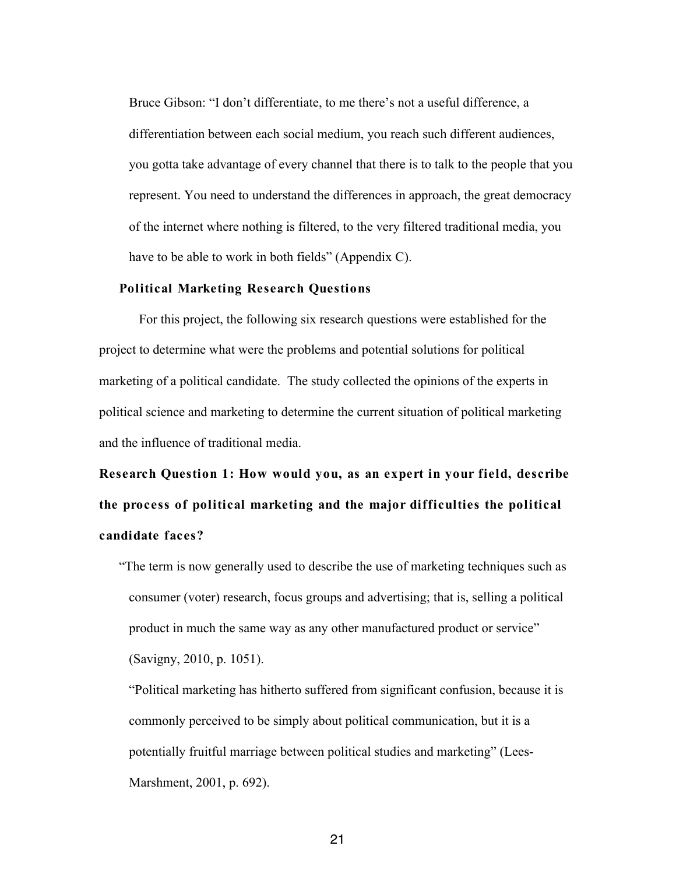Bruce Gibson: "I don't differentiate, to me there's not a useful difference, a differentiation between each social medium, you reach such different audiences, you gotta take advantage of every channel that there is to talk to the people that you represent. You need to understand the differences in approach, the great democracy of the internet where nothing is filtered, to the very filtered traditional media, you have to be able to work in both fields" (Appendix C).

#### **Political Marketing Research Questions**

For this project, the following six research questions were established for the project to determine what were the problems and potential solutions for political marketing of a political candidate. The study collected the opinions of the experts in political science and marketing to determine the current situation of political marketing and the influence of traditional media.

**Research Question 1: How would you, as an expert in your field, describe the process of political marketing and the major difficulties the political candidate faces?** 

"The term is now generally used to describe the use of marketing techniques such as consumer (voter) research, focus groups and advertising; that is, selling a political product in much the same way as any other manufactured product or service" (Savigny, 2010, p. 1051).

"Political marketing has hitherto suffered from significant confusion, because it is commonly perceived to be simply about political communication, but it is a potentially fruitful marriage between political studies and marketing" (Lees-Marshment, 2001, p. 692).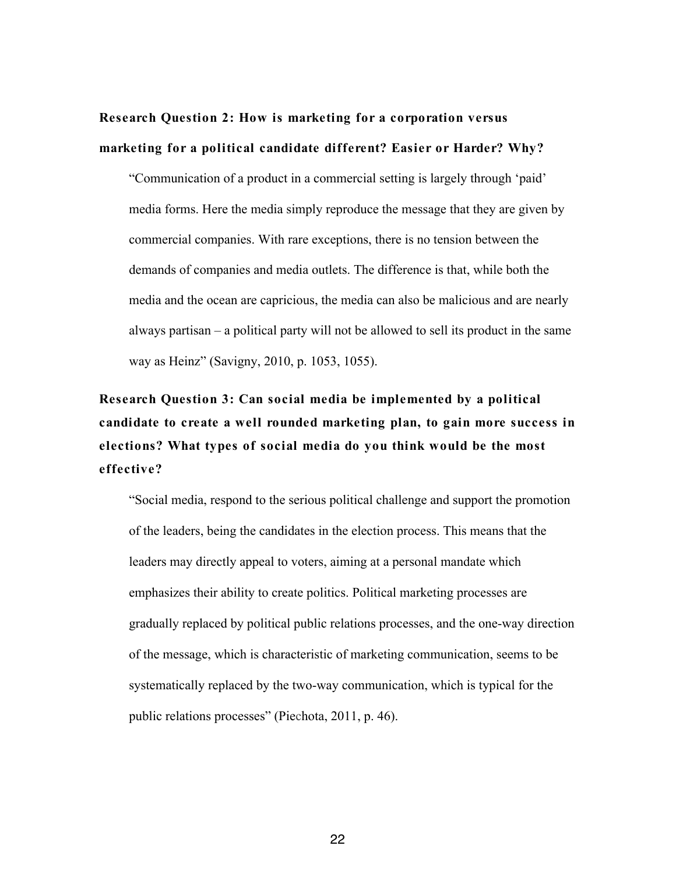# **Research Question 2: How is marketing for a corporation versus marketing for a political candidate different? Easier or Harder? Why?**

"Communication of a product in a commercial setting is largely through 'paid' media forms. Here the media simply reproduce the message that they are given by commercial companies. With rare exceptions, there is no tension between the demands of companies and media outlets. The difference is that, while both the media and the ocean are capricious, the media can also be malicious and are nearly always partisan – a political party will not be allowed to sell its product in the same way as Heinz" (Savigny, 2010, p. 1053, 1055).

**Research Question 3: Can social media be implemented by a political candidate to create a well rounded marketing plan, to gain more success in elections? What types of social media do you think would be the most effective?**

"Social media, respond to the serious political challenge and support the promotion of the leaders, being the candidates in the election process. This means that the leaders may directly appeal to voters, aiming at a personal mandate which emphasizes their ability to create politics. Political marketing processes are gradually replaced by political public relations processes, and the one-way direction of the message, which is characteristic of marketing communication, seems to be systematically replaced by the two-way communication, which is typical for the public relations processes" (Piechota, 2011, p. 46).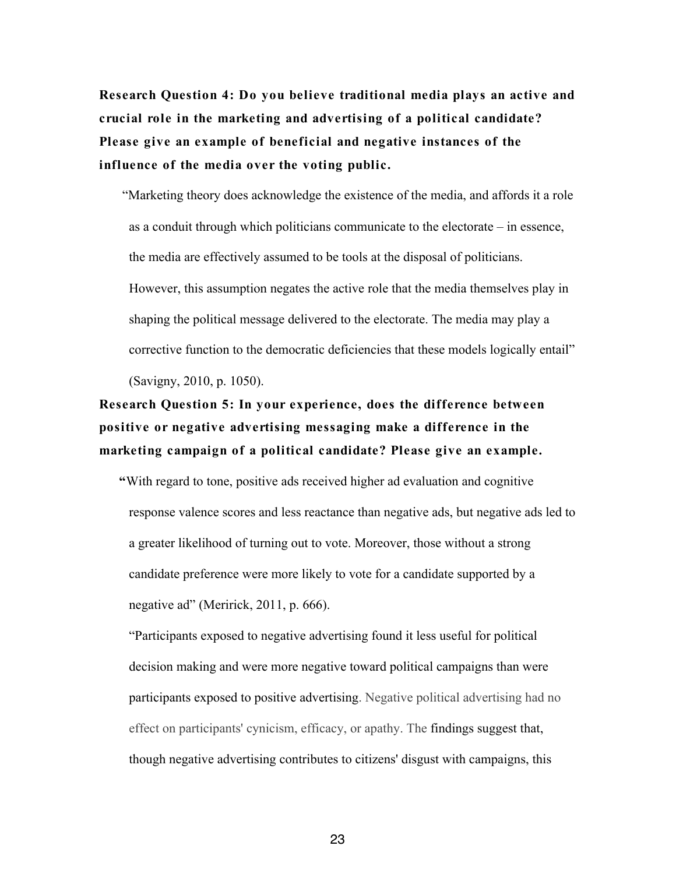**Research Question 4: Do you believe traditional media plays an active and crucial role in the marketing and advertising of a political candidate? Please give an example of beneficial and negative instances of the influence of the media over the voting public.**

"Marketing theory does acknowledge the existence of the media, and affords it a role as a conduit through which politicians communicate to the electorate – in essence, the media are effectively assumed to be tools at the disposal of politicians. However, this assumption negates the active role that the media themselves play in shaping the political message delivered to the electorate. The media may play a corrective function to the democratic deficiencies that these models logically entail" (Savigny, 2010, p. 1050).

# **Research Question 5: In your experience, does the difference between positive or negative advertising messaging make a difference in the marketing campaign of a political candidate? Please give an example.**

**"**With regard to tone, positive ads received higher ad evaluation and cognitive response valence scores and less reactance than negative ads, but negative ads led to a greater likelihood of turning out to vote. Moreover, those without a strong candidate preference were more likely to vote for a candidate supported by a negative ad" (Meririck, 2011, p. 666).

"Participants exposed to negative advertising found it less useful for political decision making and were more negative toward political campaigns than were participants exposed to positive advertising. Negative political advertising had no effect on participants' cynicism, efficacy, or apathy. The findings suggest that, though negative advertising contributes to citizens' disgust with campaigns, this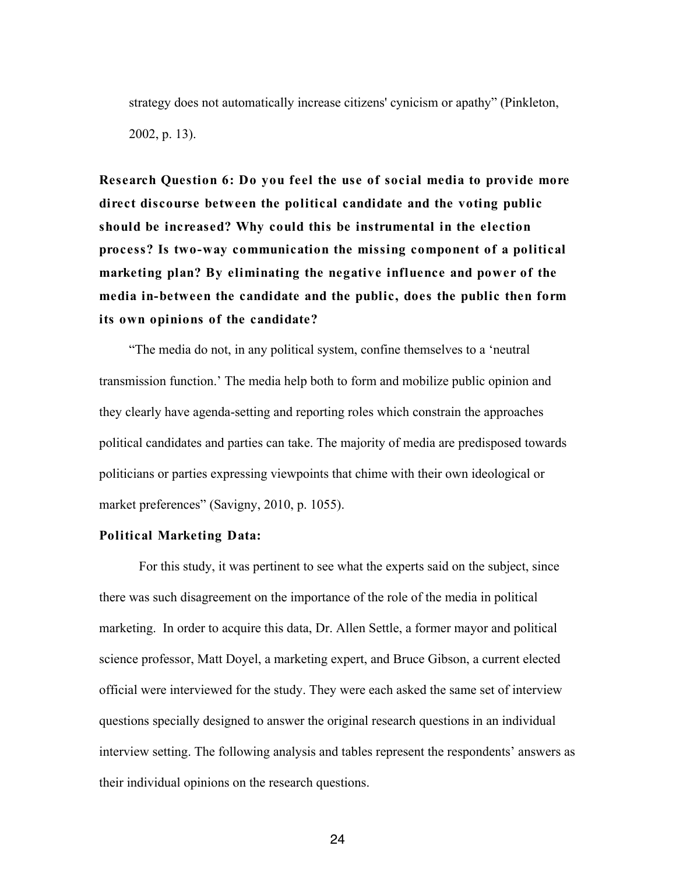strategy does not automatically increase citizens' cynicism or apathy" (Pinkleton, 2002, p. 13).

**Research Question 6: Do you feel the use of social media to provide more direct discourse between the political candidate and the voting public should be increased? Why could this be instrumental in the election process? Is two-way communication the missing component of a political marketing plan? By eliminating the negative influence and power of the media in-between the candidate and the public, does the public then form its own opinions of the candidate?**

"The media do not, in any political system, confine themselves to a 'neutral transmission function.' The media help both to form and mobilize public opinion and they clearly have agenda-setting and reporting roles which constrain the approaches political candidates and parties can take. The majority of media are predisposed towards politicians or parties expressing viewpoints that chime with their own ideological or market preferences" (Savigny, 2010, p. 1055).

#### **Political Marketing Data:**

For this study, it was pertinent to see what the experts said on the subject, since there was such disagreement on the importance of the role of the media in political marketing. In order to acquire this data, Dr. Allen Settle, a former mayor and political science professor, Matt Doyel, a marketing expert, and Bruce Gibson, a current elected official were interviewed for the study. They were each asked the same set of interview questions specially designed to answer the original research questions in an individual interview setting. The following analysis and tables represent the respondents' answers as their individual opinions on the research questions.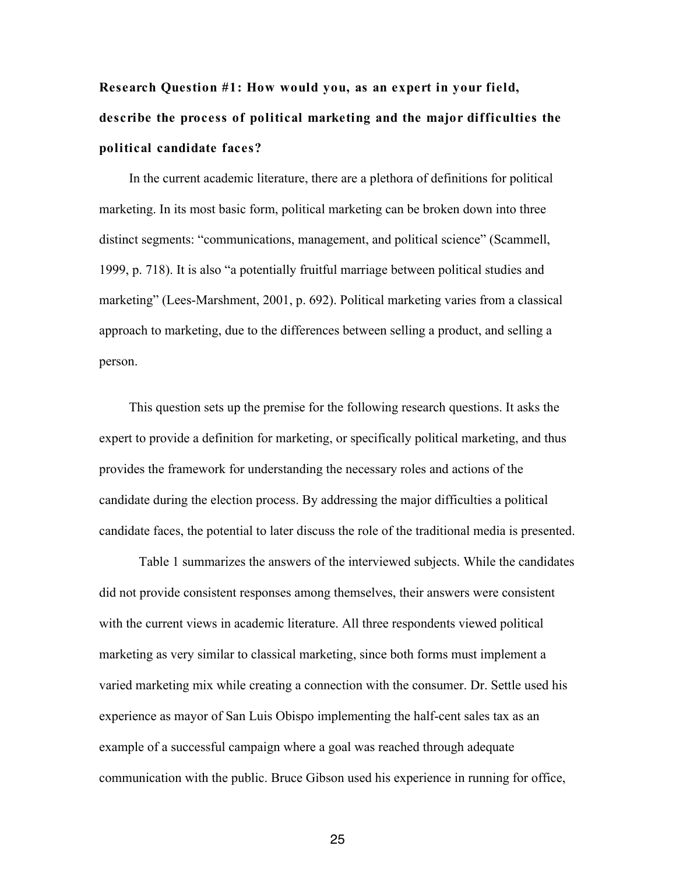# **Research Question #1: How would you, as an expert in your field, describe the process of political marketing and the major difficulties the political candidate faces?**

In the current academic literature, there are a plethora of definitions for political marketing. In its most basic form, political marketing can be broken down into three distinct segments: "communications, management, and political science" (Scammell, 1999, p. 718). It is also "a potentially fruitful marriage between political studies and marketing" (Lees-Marshment, 2001, p. 692). Political marketing varies from a classical approach to marketing, due to the differences between selling a product, and selling a person.

This question sets up the premise for the following research questions. It asks the expert to provide a definition for marketing, or specifically political marketing, and thus provides the framework for understanding the necessary roles and actions of the candidate during the election process. By addressing the major difficulties a political candidate faces, the potential to later discuss the role of the traditional media is presented.

Table 1 summarizes the answers of the interviewed subjects. While the candidates did not provide consistent responses among themselves, their answers were consistent with the current views in academic literature. All three respondents viewed political marketing as very similar to classical marketing, since both forms must implement a varied marketing mix while creating a connection with the consumer. Dr. Settle used his experience as mayor of San Luis Obispo implementing the half-cent sales tax as an example of a successful campaign where a goal was reached through adequate communication with the public. Bruce Gibson used his experience in running for office,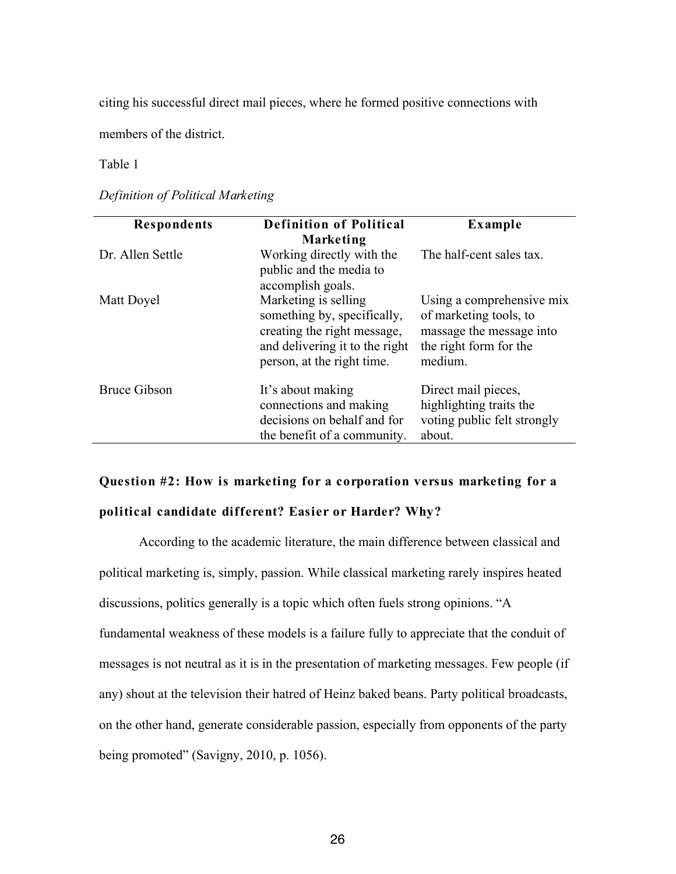citing his successful direct mail pieces, where he formed positive connections with

members of the district.

Table 1

*Definition of Political Marketing* 

| <b>Respondents</b>  | <b>Definition of Political</b><br><b>Marketing</b>                                                                                                 | Example                                                                                                              |
|---------------------|----------------------------------------------------------------------------------------------------------------------------------------------------|----------------------------------------------------------------------------------------------------------------------|
| Dr. Allen Settle    | Working directly with the<br>public and the media to<br>accomplish goals.                                                                          | The half-cent sales tax.                                                                                             |
| Matt Doyel          | Marketing is selling<br>something by, specifically,<br>creating the right message,<br>and delivering it to the right<br>person, at the right time. | Using a comprehensive mix<br>of marketing tools, to<br>massage the message into<br>the right form for the<br>medium. |
| <b>Bruce Gibson</b> | It's about making<br>connections and making<br>decisions on behalf and for<br>the benefit of a community.                                          | Direct mail pieces,<br>highlighting traits the<br>voting public felt strongly<br>about.                              |

# **Question #2: How is marketing for a corporation versus marketing for a**

## **political candidate different? Easier or Harder? Why?**

According to the academic literature, the main difference between classical and political marketing is, simply, passion. While classical marketing rarely inspires heated discussions, politics generally is a topic which often fuels strong opinions. "A fundamental weakness of these models is a failure fully to appreciate that the conduit of messages is not neutral as it is in the presentation of marketing messages. Few people (if any) shout at the television their hatred of Heinz baked beans. Party political broadcasts, on the other hand, generate considerable passion, especially from opponents of the party being promoted" (Savigny, 2010, p. 1056).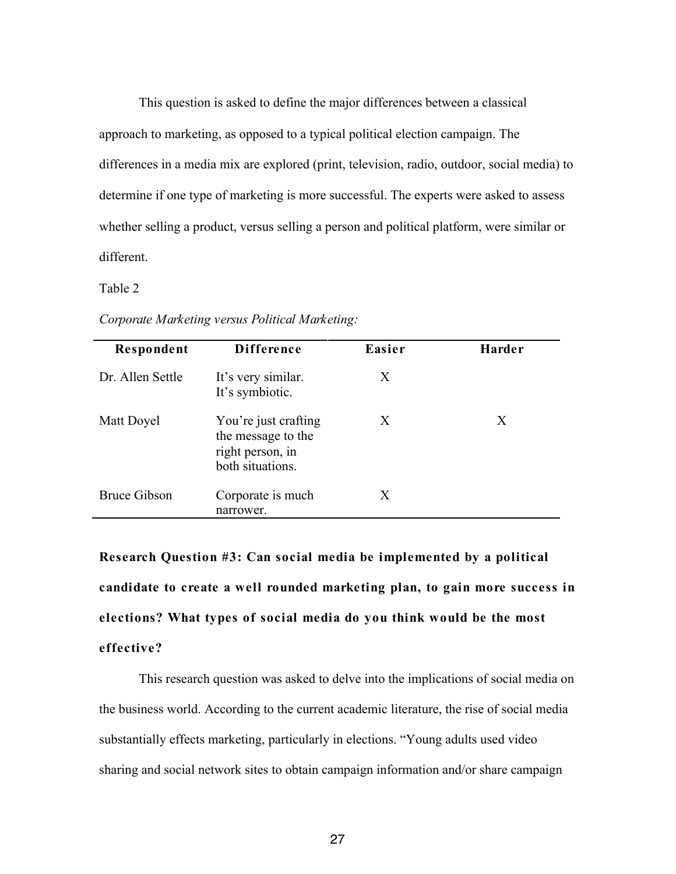This question is asked to define the major differences between a classical approach to marketing, as opposed to a typical political election campaign. The differences in a media mix are explored (print, television, radio, outdoor, social media) to determine if one type of marketing is more successful. The experts were asked to assess whether selling a product, versus selling a person and political platform, were similar or different.

Table 2

| Respondent          | <b>Difference</b>                                                                  | Easier | Harder |
|---------------------|------------------------------------------------------------------------------------|--------|--------|
| Dr. Allen Settle    | It's very similar.<br>It's symbiotic.                                              | Χ      |        |
| Matt Doyel          | You're just crafting<br>the message to the<br>right person, in<br>both situations. | X      | X      |
| <b>Bruce Gibson</b> | Corporate is much<br>narrower.                                                     | Χ      |        |

*Corporate Marketing versus Political Marketing:*

**Research Question #3: Can social media be implemented by a political candidate to create a well rounded marketing plan, to gain more success in elections? What types of social media do you think would be the most effective?**

This research question was asked to delve into the implications of social media on the business world. According to the current academic literature, the rise of social media substantially effects marketing, particularly in elections. "Young adults used video sharing and social network sites to obtain campaign information and/or share campaign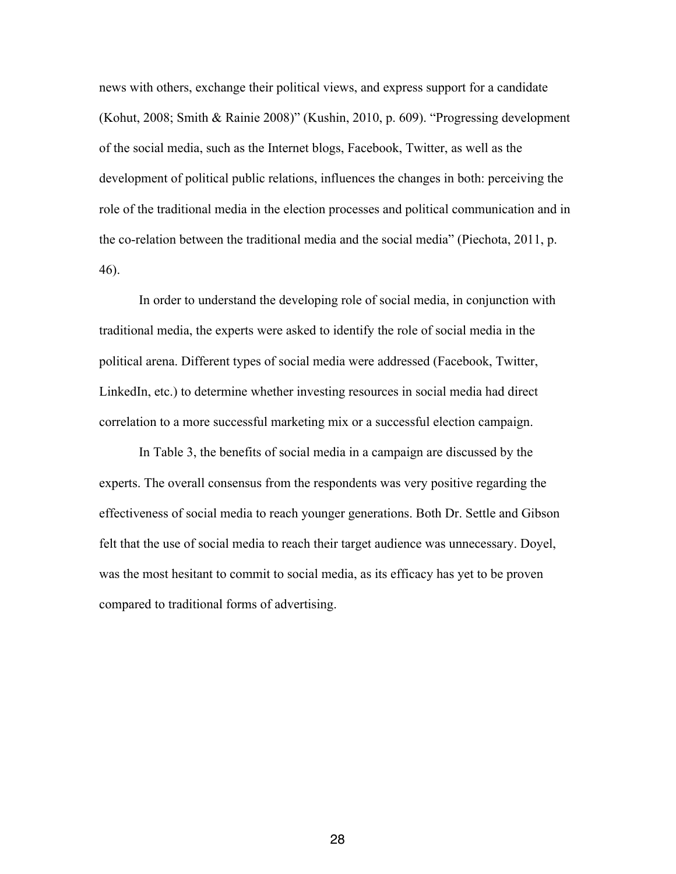news with others, exchange their political views, and express support for a candidate (Kohut, 2008; Smith & Rainie 2008)" (Kushin, 2010, p. 609). "Progressing development of the social media, such as the Internet blogs, Facebook, Twitter, as well as the development of political public relations, influences the changes in both: perceiving the role of the traditional media in the election processes and political communication and in the co-relation between the traditional media and the social media" (Piechota, 2011, p. 46).

In order to understand the developing role of social media, in conjunction with traditional media, the experts were asked to identify the role of social media in the political arena. Different types of social media were addressed (Facebook, Twitter, LinkedIn, etc.) to determine whether investing resources in social media had direct correlation to a more successful marketing mix or a successful election campaign.

In Table 3, the benefits of social media in a campaign are discussed by the experts. The overall consensus from the respondents was very positive regarding the effectiveness of social media to reach younger generations. Both Dr. Settle and Gibson felt that the use of social media to reach their target audience was unnecessary. Doyel, was the most hesitant to commit to social media, as its efficacy has yet to be proven compared to traditional forms of advertising.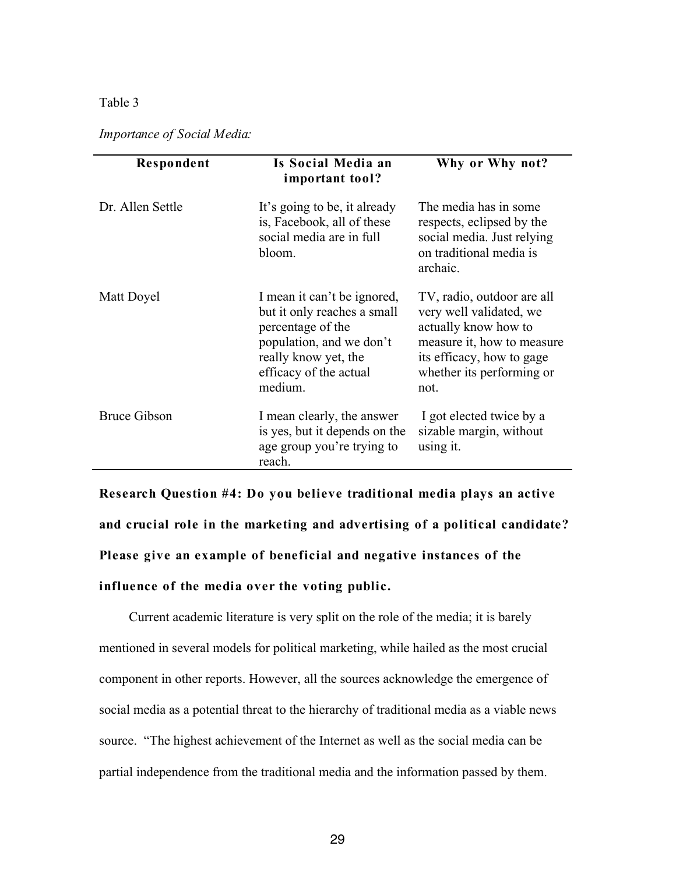#### Table 3

| <b>Importance of Social Media:</b> |  |  |  |
|------------------------------------|--|--|--|
|------------------------------------|--|--|--|

| Respondent          | Is Social Media an<br>important tool?                                                                                                                                    | Why or Why not?                                                                                                                                                               |
|---------------------|--------------------------------------------------------------------------------------------------------------------------------------------------------------------------|-------------------------------------------------------------------------------------------------------------------------------------------------------------------------------|
| Dr. Allen Settle    | It's going to be, it already<br>is, Facebook, all of these<br>social media are in full<br>bloom.                                                                         | The media has in some<br>respects, eclipsed by the<br>social media. Just relying<br>on traditional media is<br>archaic.                                                       |
| Matt Doyel          | I mean it can't be ignored,<br>but it only reaches a small<br>percentage of the<br>population, and we don't<br>really know yet, the<br>efficacy of the actual<br>medium. | TV, radio, outdoor are all<br>very well validated, we<br>actually know how to<br>measure it, how to measure<br>its efficacy, how to gage<br>whether its performing or<br>not. |
| <b>Bruce Gibson</b> | I mean clearly, the answer<br>is yes, but it depends on the<br>age group you're trying to<br>reach.                                                                      | I got elected twice by a<br>sizable margin, without<br>using it.                                                                                                              |

**Research Question #4: Do you believe traditional media plays an active and crucial role in the marketing and advertising of a political candidate? Please give an example of beneficial and negative instances of the influence of the media over the voting public.**

Current academic literature is very split on the role of the media; it is barely mentioned in several models for political marketing, while hailed as the most crucial component in other reports. However, all the sources acknowledge the emergence of social media as a potential threat to the hierarchy of traditional media as a viable news source. "The highest achievement of the Internet as well as the social media can be partial independence from the traditional media and the information passed by them.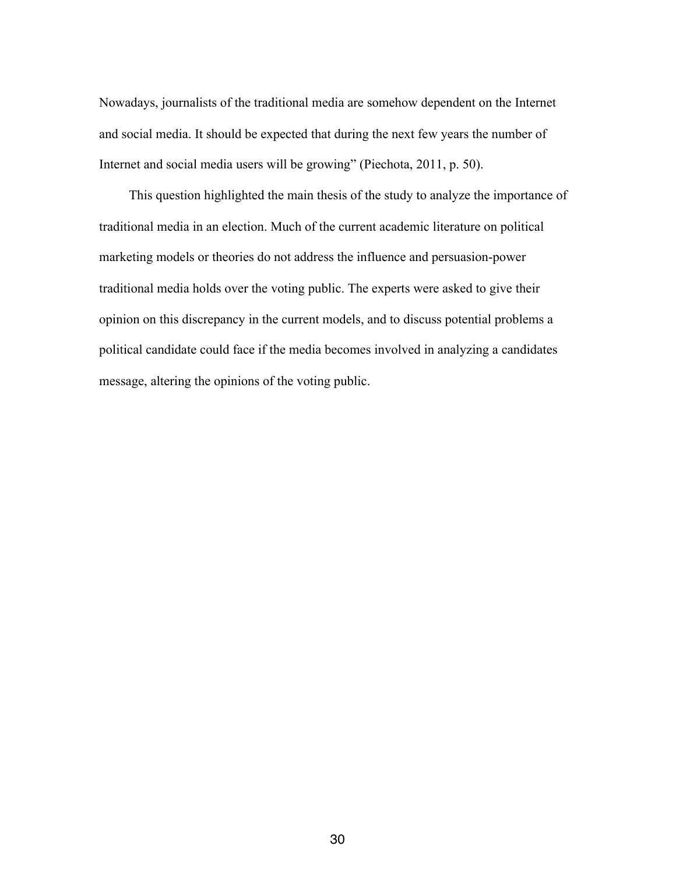Nowadays, journalists of the traditional media are somehow dependent on the Internet and social media. It should be expected that during the next few years the number of Internet and social media users will be growing" (Piechota, 2011, p. 50).

This question highlighted the main thesis of the study to analyze the importance of traditional media in an election. Much of the current academic literature on political marketing models or theories do not address the influence and persuasion-power traditional media holds over the voting public. The experts were asked to give their opinion on this discrepancy in the current models, and to discuss potential problems a political candidate could face if the media becomes involved in analyzing a candidates message, altering the opinions of the voting public.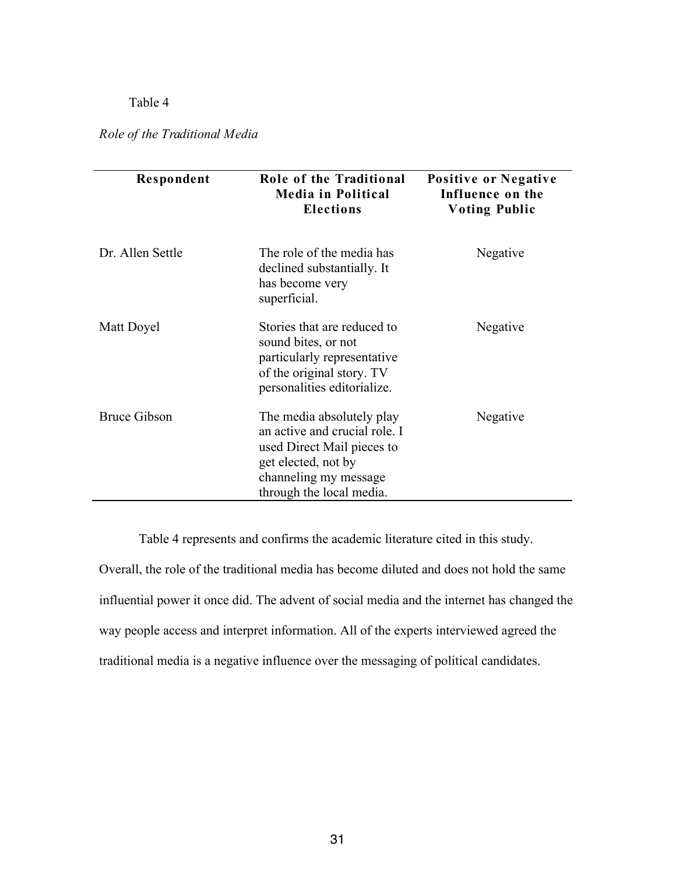## Table 4

*Role of the Traditional Media*

| Respondent          | Role of the Traditional<br><b>Media in Political</b><br><b>Elections</b>                                                                                             | Positive or Negative<br>Influence on the<br><b>Voting Public</b> |
|---------------------|----------------------------------------------------------------------------------------------------------------------------------------------------------------------|------------------------------------------------------------------|
| Dr. Allen Settle    | The role of the media has<br>declined substantially. It<br>has become very<br>superficial.                                                                           | Negative                                                         |
| Matt Doyel          | Stories that are reduced to<br>sound bites, or not<br>particularly representative<br>of the original story. TV<br>personalities editorialize.                        | Negative                                                         |
| <b>Bruce Gibson</b> | The media absolutely play<br>an active and crucial role. I<br>used Direct Mail pieces to<br>get elected, not by<br>channeling my message<br>through the local media. | Negative                                                         |

Table 4 represents and confirms the academic literature cited in this study.

Overall, the role of the traditional media has become diluted and does not hold the same influential power it once did. The advent of social media and the internet has changed the way people access and interpret information. All of the experts interviewed agreed the traditional media is a negative influence over the messaging of political candidates.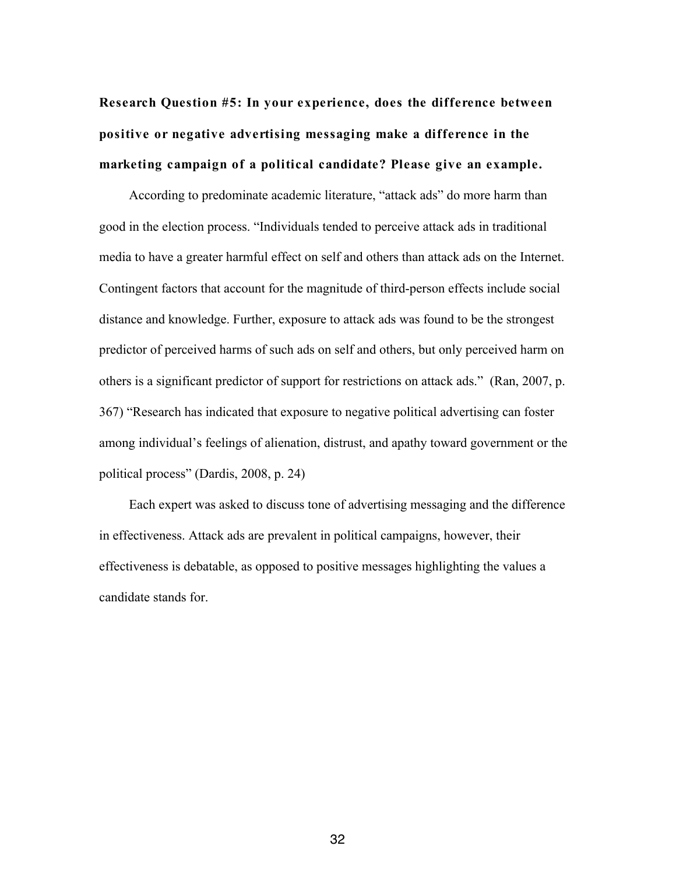**Research Question #5: In your experience, does the difference between positive or negative advertising messaging make a difference in the marketing campaign of a political candidate? Please give an example.**

According to predominate academic literature, "attack ads" do more harm than good in the election process. "Individuals tended to perceive attack ads in traditional media to have a greater harmful effect on self and others than attack ads on the Internet. Contingent factors that account for the magnitude of third-person effects include social distance and knowledge. Further, exposure to attack ads was found to be the strongest predictor of perceived harms of such ads on self and others, but only perceived harm on others is a significant predictor of support for restrictions on attack ads." (Ran, 2007, p. 367) "Research has indicated that exposure to negative political advertising can foster among individual's feelings of alienation, distrust, and apathy toward government or the political process" (Dardis, 2008, p. 24)

Each expert was asked to discuss tone of advertising messaging and the difference in effectiveness. Attack ads are prevalent in political campaigns, however, their effectiveness is debatable, as opposed to positive messages highlighting the values a candidate stands for.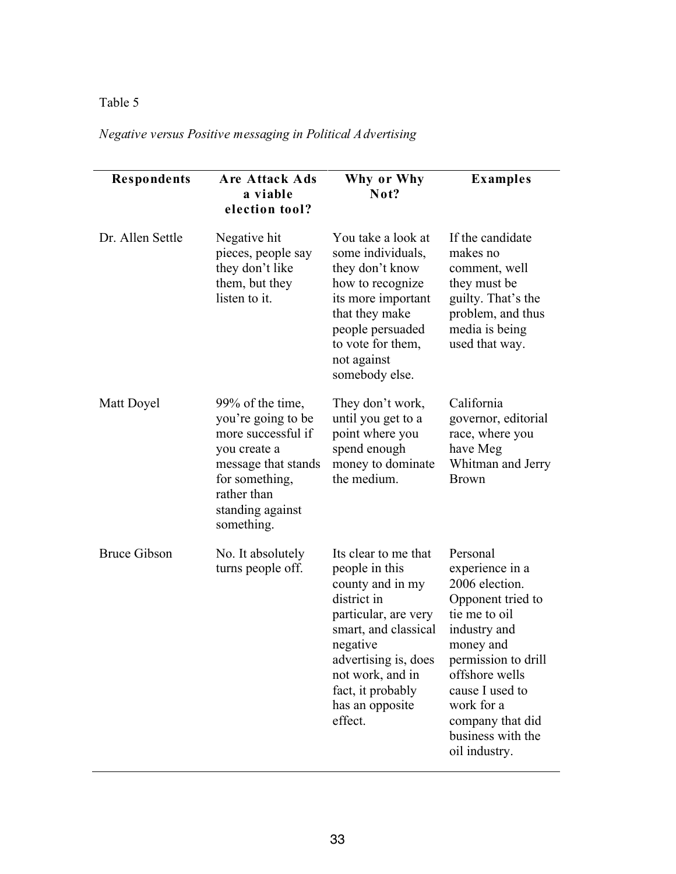# Table 5

# *Negative versus Positive messaging in Political Advertising*

| Respondents         | <b>Are Attack Ads</b><br>a viable<br>election tool?                                                                                                                    | Why or Why<br>Not?                                                                                                                                                                                                                   | <b>Examples</b>                                                                                                                                                                                                                                      |
|---------------------|------------------------------------------------------------------------------------------------------------------------------------------------------------------------|--------------------------------------------------------------------------------------------------------------------------------------------------------------------------------------------------------------------------------------|------------------------------------------------------------------------------------------------------------------------------------------------------------------------------------------------------------------------------------------------------|
| Dr. Allen Settle    | Negative hit<br>pieces, people say<br>they don't like<br>them, but they<br>listen to it.                                                                               | You take a look at<br>some individuals,<br>they don't know<br>how to recognize<br>its more important<br>that they make<br>people persuaded<br>to vote for them,<br>not against<br>somebody else.                                     | If the candidate<br>makes no<br>comment, well<br>they must be<br>guilty. That's the<br>problem, and thus<br>media is being<br>used that way.                                                                                                         |
| Matt Doyel          | 99% of the time,<br>you're going to be<br>more successful if<br>you create a<br>message that stands<br>for something,<br>rather than<br>standing against<br>something. | They don't work,<br>until you get to a<br>point where you<br>spend enough<br>money to dominate<br>the medium.                                                                                                                        | California<br>governor, editorial<br>race, where you<br>have Meg<br>Whitman and Jerry<br><b>Brown</b>                                                                                                                                                |
| <b>Bruce Gibson</b> | No. It absolutely<br>turns people off.                                                                                                                                 | Its clear to me that<br>people in this<br>county and in my<br>district in<br>particular, are very<br>smart, and classical<br>negative<br>advertising is, does<br>not work, and in<br>fact, it probably<br>has an opposite<br>effect. | Personal<br>experience in a<br>2006 election.<br>Opponent tried to<br>tie me to oil<br>industry and<br>money and<br>permission to drill<br>offshore wells<br>cause I used to<br>work for a<br>company that did<br>business with the<br>oil industry. |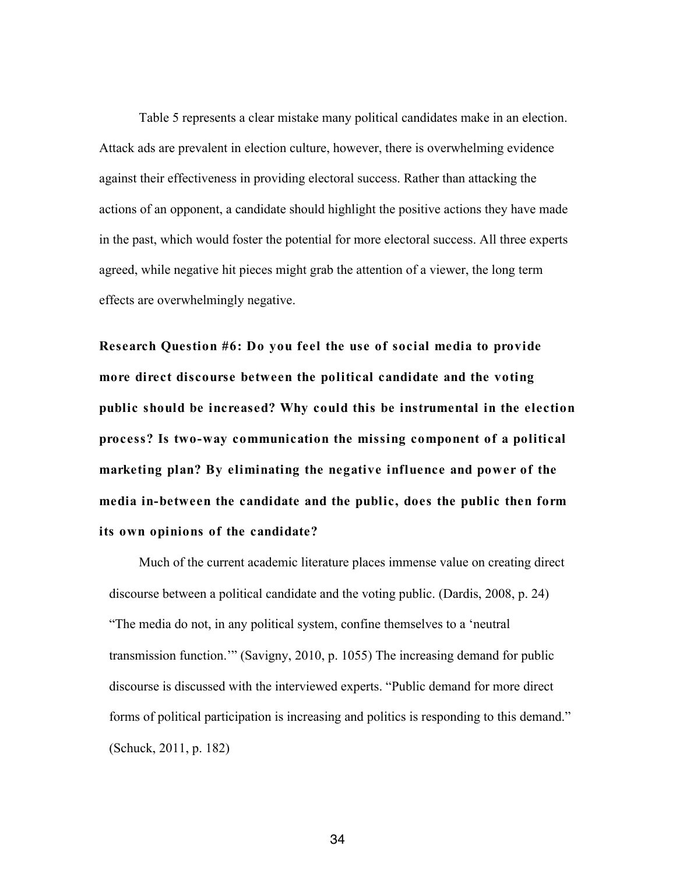Table 5 represents a clear mistake many political candidates make in an election. Attack ads are prevalent in election culture, however, there is overwhelming evidence against their effectiveness in providing electoral success. Rather than attacking the actions of an opponent, a candidate should highlight the positive actions they have made in the past, which would foster the potential for more electoral success. All three experts agreed, while negative hit pieces might grab the attention of a viewer, the long term effects are overwhelmingly negative.

**Research Question #6: Do you feel the use of social media to provide more direct discourse between the political candidate and the voting public should be increased? Why could this be instrumental in the election process? Is two-way communication the missing component of a political marketing plan? By eliminating the negative influence and power of the media in-between the candidate and the public, does the public then form its own opinions of the candidate?**

Much of the current academic literature places immense value on creating direct discourse between a political candidate and the voting public. (Dardis, 2008, p. 24) "The media do not, in any political system, confine themselves to a 'neutral transmission function.'" (Savigny, 2010, p. 1055) The increasing demand for public discourse is discussed with the interviewed experts. "Public demand for more direct forms of political participation is increasing and politics is responding to this demand." (Schuck, 2011, p. 182)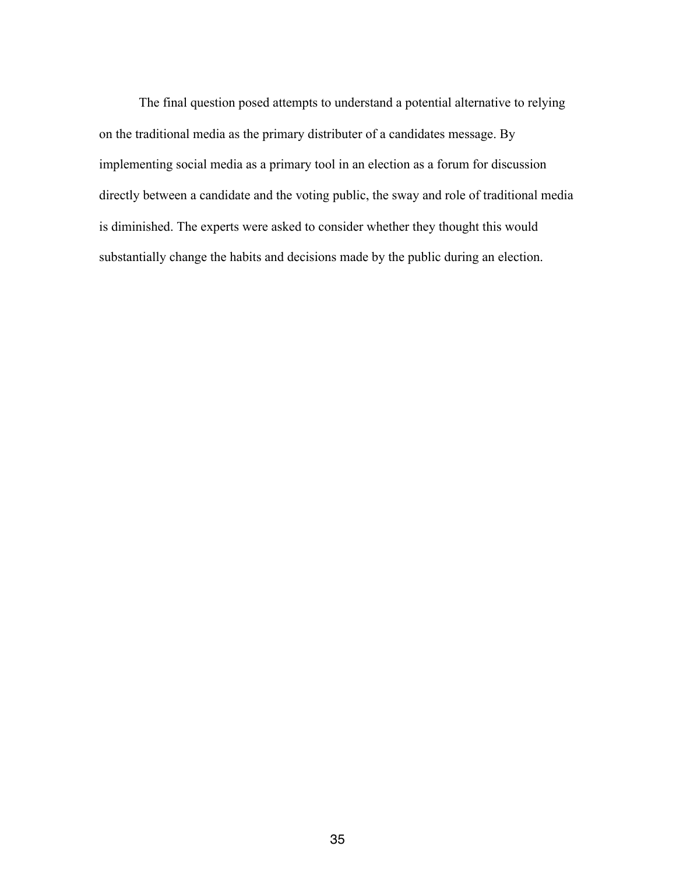The final question posed attempts to understand a potential alternative to relying on the traditional media as the primary distributer of a candidates message. By implementing social media as a primary tool in an election as a forum for discussion directly between a candidate and the voting public, the sway and role of traditional media is diminished. The experts were asked to consider whether they thought this would substantially change the habits and decisions made by the public during an election.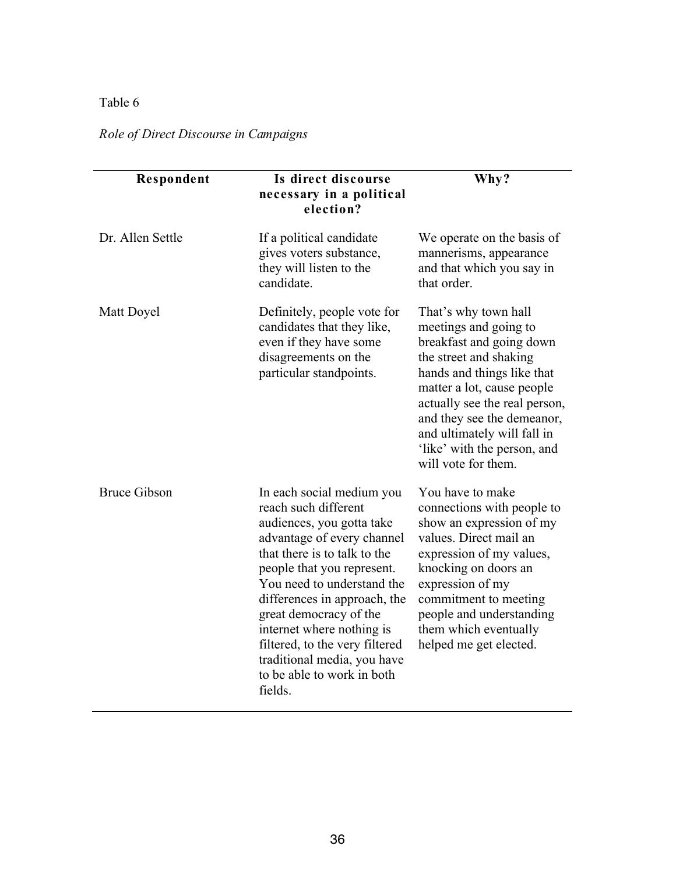# Table 6

# *Role of Direct Discourse in Campaigns*

| Respondent          | Is direct discourse<br>necessary in a political<br>election?                                                                                                                                                                                                                                                                                                                                              | Why?                                                                                                                                                                                                                                                                                                                |
|---------------------|-----------------------------------------------------------------------------------------------------------------------------------------------------------------------------------------------------------------------------------------------------------------------------------------------------------------------------------------------------------------------------------------------------------|---------------------------------------------------------------------------------------------------------------------------------------------------------------------------------------------------------------------------------------------------------------------------------------------------------------------|
| Dr. Allen Settle    | If a political candidate<br>gives voters substance,<br>they will listen to the<br>candidate.                                                                                                                                                                                                                                                                                                              | We operate on the basis of<br>mannerisms, appearance<br>and that which you say in<br>that order.                                                                                                                                                                                                                    |
| Matt Doyel          | Definitely, people vote for<br>candidates that they like,<br>even if they have some<br>disagreements on the<br>particular standpoints.                                                                                                                                                                                                                                                                    | That's why town hall<br>meetings and going to<br>breakfast and going down<br>the street and shaking<br>hands and things like that<br>matter a lot, cause people<br>actually see the real person,<br>and they see the demeanor,<br>and ultimately will fall in<br>'like' with the person, and<br>will vote for them. |
| <b>Bruce Gibson</b> | In each social medium you<br>reach such different<br>audiences, you gotta take<br>advantage of every channel<br>that there is to talk to the<br>people that you represent.<br>You need to understand the<br>differences in approach, the<br>great democracy of the<br>internet where nothing is<br>filtered, to the very filtered<br>traditional media, you have<br>to be able to work in both<br>fields. | You have to make<br>connections with people to<br>show an expression of my<br>values. Direct mail an<br>expression of my values,<br>knocking on doors an<br>expression of my<br>commitment to meeting<br>people and understanding<br>them which eventually<br>helped me get elected.                                |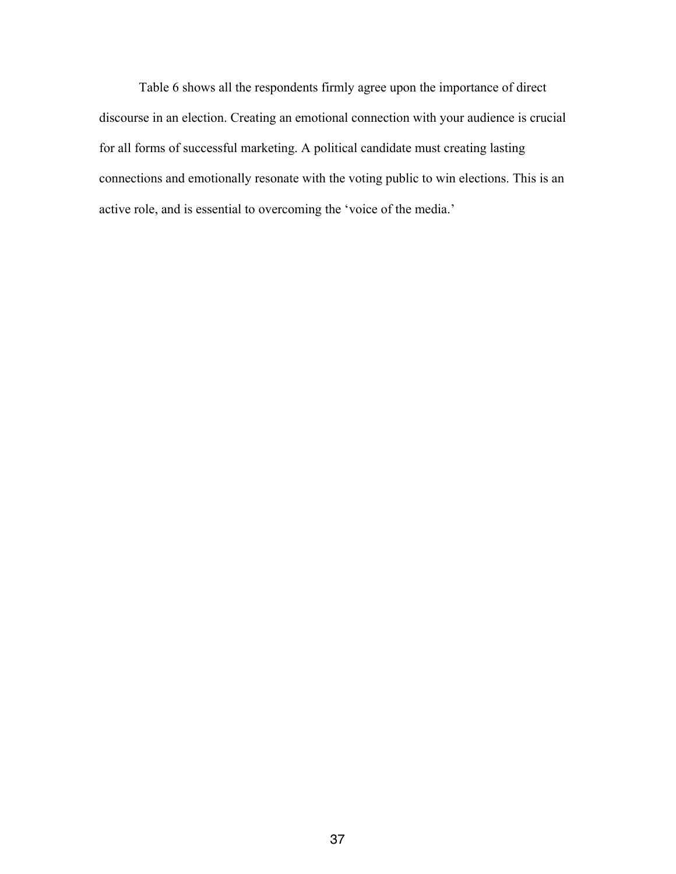Table 6 shows all the respondents firmly agree upon the importance of direct discourse in an election. Creating an emotional connection with your audience is crucial for all forms of successful marketing. A political candidate must creating lasting connections and emotionally resonate with the voting public to win elections. This is an active role, and is essential to overcoming the 'voice of the media.'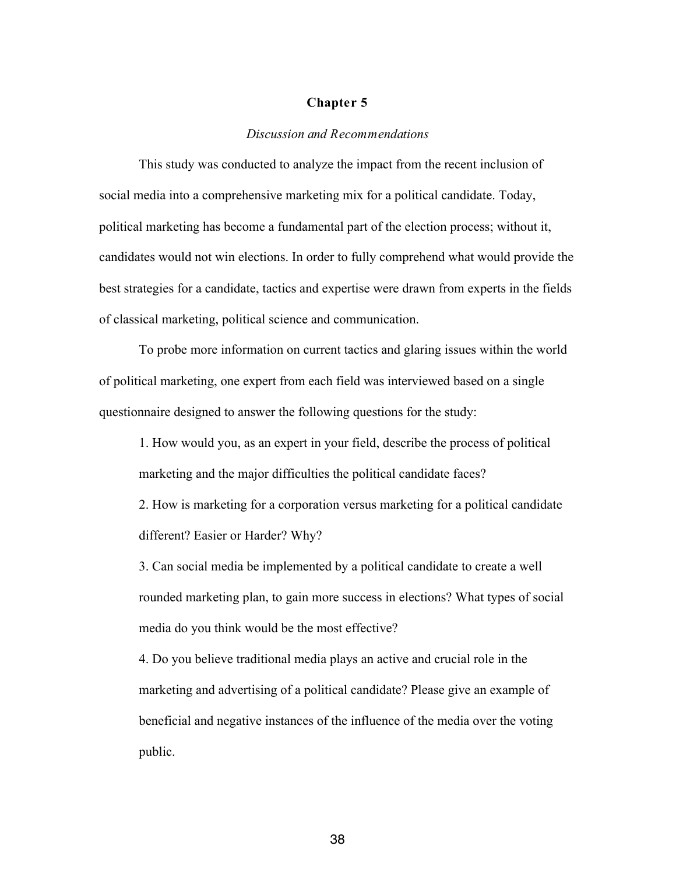#### **Chapter 5**

#### *Discussion and Recommendations*

This study was conducted to analyze the impact from the recent inclusion of social media into a comprehensive marketing mix for a political candidate. Today, political marketing has become a fundamental part of the election process; without it, candidates would not win elections. In order to fully comprehend what would provide the best strategies for a candidate, tactics and expertise were drawn from experts in the fields of classical marketing, political science and communication.

To probe more information on current tactics and glaring issues within the world of political marketing, one expert from each field was interviewed based on a single questionnaire designed to answer the following questions for the study:

1. How would you, as an expert in your field, describe the process of political marketing and the major difficulties the political candidate faces?

2. How is marketing for a corporation versus marketing for a political candidate different? Easier or Harder? Why?

3. Can social media be implemented by a political candidate to create a well rounded marketing plan, to gain more success in elections? What types of social media do you think would be the most effective?

4. Do you believe traditional media plays an active and crucial role in the marketing and advertising of a political candidate? Please give an example of beneficial and negative instances of the influence of the media over the voting public.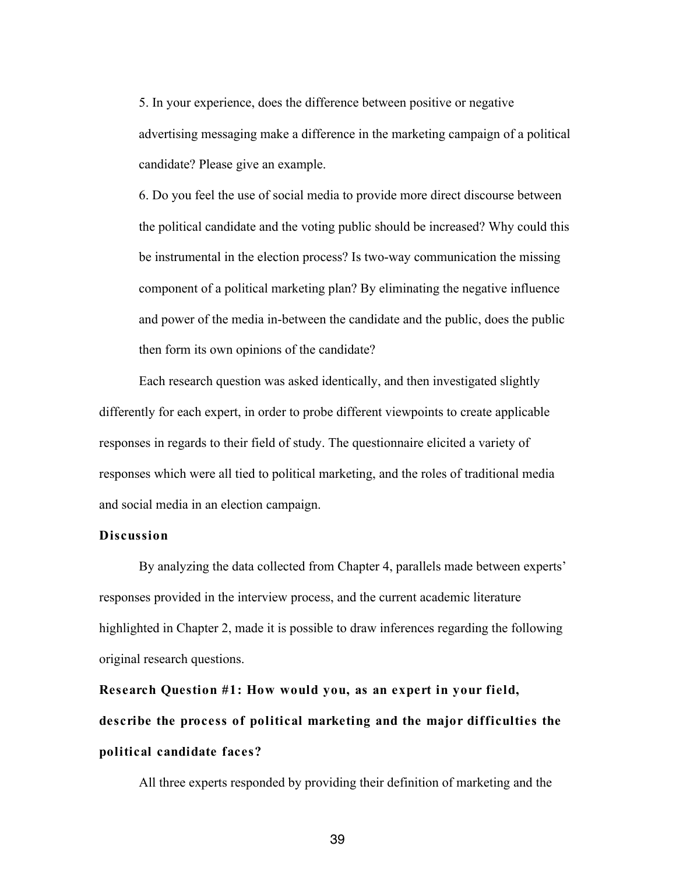5. In your experience, does the difference between positive or negative advertising messaging make a difference in the marketing campaign of a political candidate? Please give an example.

6. Do you feel the use of social media to provide more direct discourse between the political candidate and the voting public should be increased? Why could this be instrumental in the election process? Is two-way communication the missing component of a political marketing plan? By eliminating the negative influence and power of the media in-between the candidate and the public, does the public then form its own opinions of the candidate?

Each research question was asked identically, and then investigated slightly differently for each expert, in order to probe different viewpoints to create applicable responses in regards to their field of study. The questionnaire elicited a variety of responses which were all tied to political marketing, and the roles of traditional media and social media in an election campaign.

#### **Discussion**

By analyzing the data collected from Chapter 4, parallels made between experts' responses provided in the interview process, and the current academic literature highlighted in Chapter 2, made it is possible to draw inferences regarding the following original research questions.

**Research Question #1: How would you, as an expert in your field, describe the process of political marketing and the major difficulties the political candidate faces?** 

All three experts responded by providing their definition of marketing and the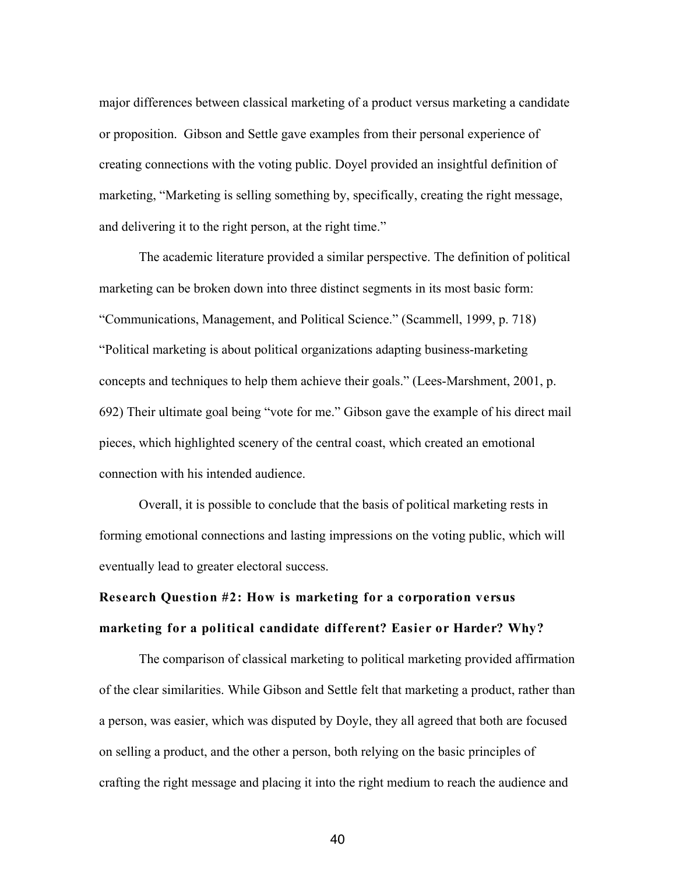major differences between classical marketing of a product versus marketing a candidate or proposition. Gibson and Settle gave examples from their personal experience of creating connections with the voting public. Doyel provided an insightful definition of marketing, "Marketing is selling something by, specifically, creating the right message, and delivering it to the right person, at the right time."

The academic literature provided a similar perspective. The definition of political marketing can be broken down into three distinct segments in its most basic form: "Communications, Management, and Political Science." (Scammell, 1999, p. 718) "Political marketing is about political organizations adapting business-marketing concepts and techniques to help them achieve their goals." (Lees-Marshment, 2001, p. 692) Their ultimate goal being "vote for me." Gibson gave the example of his direct mail pieces, which highlighted scenery of the central coast, which created an emotional connection with his intended audience.

Overall, it is possible to conclude that the basis of political marketing rests in forming emotional connections and lasting impressions on the voting public, which will eventually lead to greater electoral success.

# **Research Question #2: How is marketing for a corporation versus marketing for a political candidate different? Easier or Harder? Why?**

The comparison of classical marketing to political marketing provided affirmation of the clear similarities. While Gibson and Settle felt that marketing a product, rather than a person, was easier, which was disputed by Doyle, they all agreed that both are focused on selling a product, and the other a person, both relying on the basic principles of crafting the right message and placing it into the right medium to reach the audience and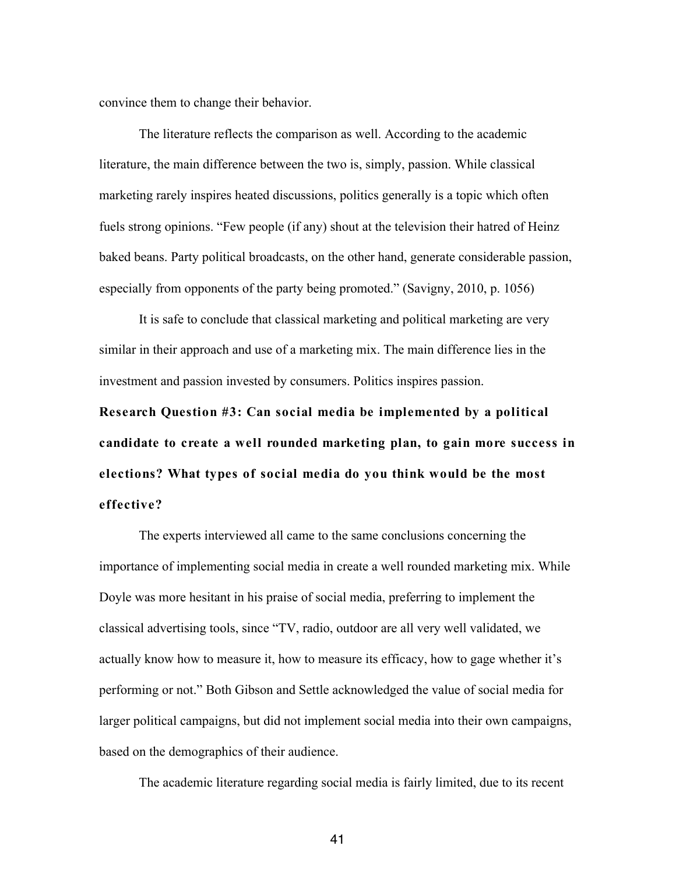convince them to change their behavior.

The literature reflects the comparison as well. According to the academic literature, the main difference between the two is, simply, passion. While classical marketing rarely inspires heated discussions, politics generally is a topic which often fuels strong opinions. "Few people (if any) shout at the television their hatred of Heinz baked beans. Party political broadcasts, on the other hand, generate considerable passion, especially from opponents of the party being promoted." (Savigny, 2010, p. 1056)

It is safe to conclude that classical marketing and political marketing are very similar in their approach and use of a marketing mix. The main difference lies in the investment and passion invested by consumers. Politics inspires passion.

**Research Question #3: Can social media be implemented by a political candidate to create a well rounded marketing plan, to gain more success in elections? What types of social media do you think would be the most effective?**

The experts interviewed all came to the same conclusions concerning the importance of implementing social media in create a well rounded marketing mix. While Doyle was more hesitant in his praise of social media, preferring to implement the classical advertising tools, since "TV, radio, outdoor are all very well validated, we actually know how to measure it, how to measure its efficacy, how to gage whether it's performing or not." Both Gibson and Settle acknowledged the value of social media for larger political campaigns, but did not implement social media into their own campaigns, based on the demographics of their audience.

The academic literature regarding social media is fairly limited, due to its recent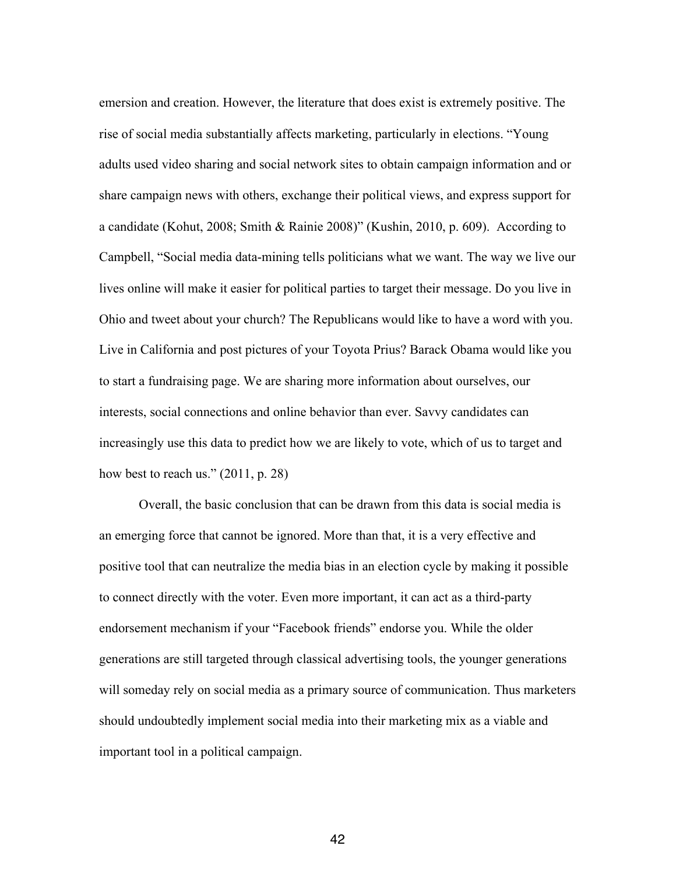emersion and creation. However, the literature that does exist is extremely positive. The rise of social media substantially affects marketing, particularly in elections. "Young adults used video sharing and social network sites to obtain campaign information and or share campaign news with others, exchange their political views, and express support for a candidate (Kohut, 2008; Smith & Rainie 2008)" (Kushin, 2010, p. 609). According to Campbell, "Social media data-mining tells politicians what we want. The way we live our lives online will make it easier for political parties to target their message. Do you live in Ohio and tweet about your church? The Republicans would like to have a word with you. Live in California and post pictures of your Toyota Prius? Barack Obama would like you to start a fundraising page. We are sharing more information about ourselves, our interests, social connections and online behavior than ever. Savvy candidates can increasingly use this data to predict how we are likely to vote, which of us to target and how best to reach us." (2011, p. 28)

Overall, the basic conclusion that can be drawn from this data is social media is an emerging force that cannot be ignored. More than that, it is a very effective and positive tool that can neutralize the media bias in an election cycle by making it possible to connect directly with the voter. Even more important, it can act as a third-party endorsement mechanism if your "Facebook friends" endorse you. While the older generations are still targeted through classical advertising tools, the younger generations will someday rely on social media as a primary source of communication. Thus marketers should undoubtedly implement social media into their marketing mix as a viable and important tool in a political campaign.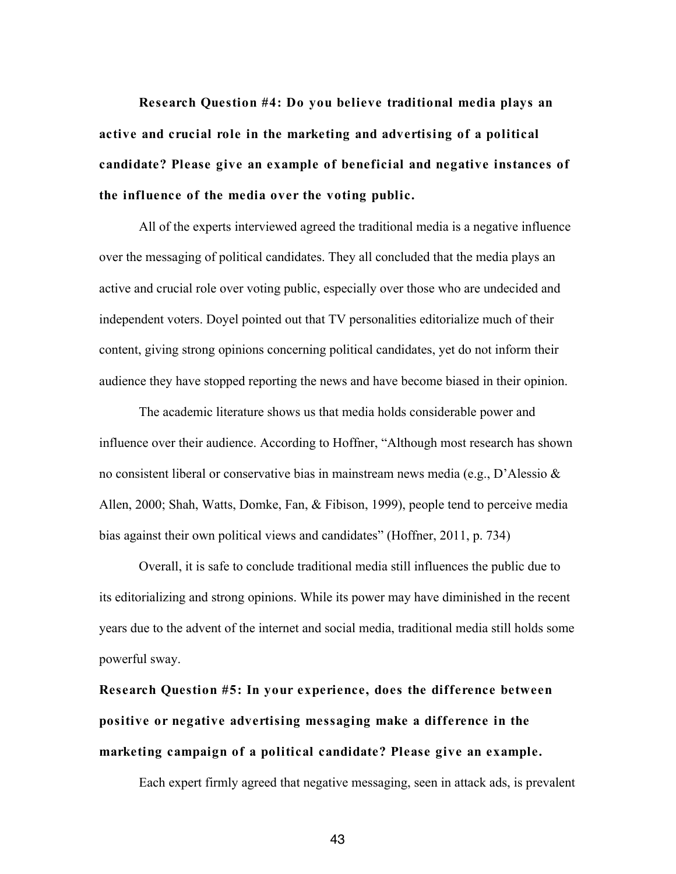**Research Question #4: Do you believe traditional media plays an active and crucial role in the marketing and advertising of a political candidate? Please give an example of beneficial and negative instances of the influence of the media over the voting public.**

All of the experts interviewed agreed the traditional media is a negative influence over the messaging of political candidates. They all concluded that the media plays an active and crucial role over voting public, especially over those who are undecided and independent voters. Doyel pointed out that TV personalities editorialize much of their content, giving strong opinions concerning political candidates, yet do not inform their audience they have stopped reporting the news and have become biased in their opinion.

The academic literature shows us that media holds considerable power and influence over their audience. According to Hoffner, "Although most research has shown no consistent liberal or conservative bias in mainstream news media (e.g., D'Alessio & Allen, 2000; Shah, Watts, Domke, Fan, & Fibison, 1999), people tend to perceive media bias against their own political views and candidates" (Hoffner, 2011, p. 734)

Overall, it is safe to conclude traditional media still influences the public due to its editorializing and strong opinions. While its power may have diminished in the recent years due to the advent of the internet and social media, traditional media still holds some powerful sway.

**Research Question #5: In your experience, does the difference between positive or negative advertising messaging make a difference in the marketing campaign of a political candidate? Please give an example.**

Each expert firmly agreed that negative messaging, seen in attack ads, is prevalent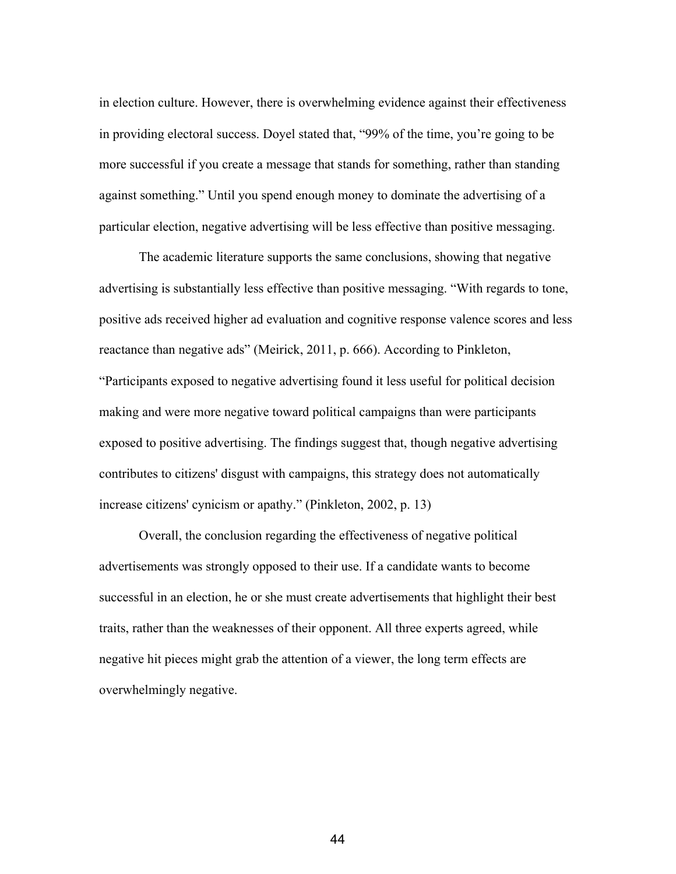in election culture. However, there is overwhelming evidence against their effectiveness in providing electoral success. Doyel stated that, "99% of the time, you're going to be more successful if you create a message that stands for something, rather than standing against something." Until you spend enough money to dominate the advertising of a particular election, negative advertising will be less effective than positive messaging.

The academic literature supports the same conclusions, showing that negative advertising is substantially less effective than positive messaging. "With regards to tone, positive ads received higher ad evaluation and cognitive response valence scores and less reactance than negative ads" (Meirick, 2011, p. 666). According to Pinkleton, "Participants exposed to negative advertising found it less useful for political decision making and were more negative toward political campaigns than were participants exposed to positive advertising. The findings suggest that, though negative advertising contributes to citizens' disgust with campaigns, this strategy does not automatically increase citizens' cynicism or apathy." (Pinkleton, 2002, p. 13)

Overall, the conclusion regarding the effectiveness of negative political advertisements was strongly opposed to their use. If a candidate wants to become successful in an election, he or she must create advertisements that highlight their best traits, rather than the weaknesses of their opponent. All three experts agreed, while negative hit pieces might grab the attention of a viewer, the long term effects are overwhelmingly negative.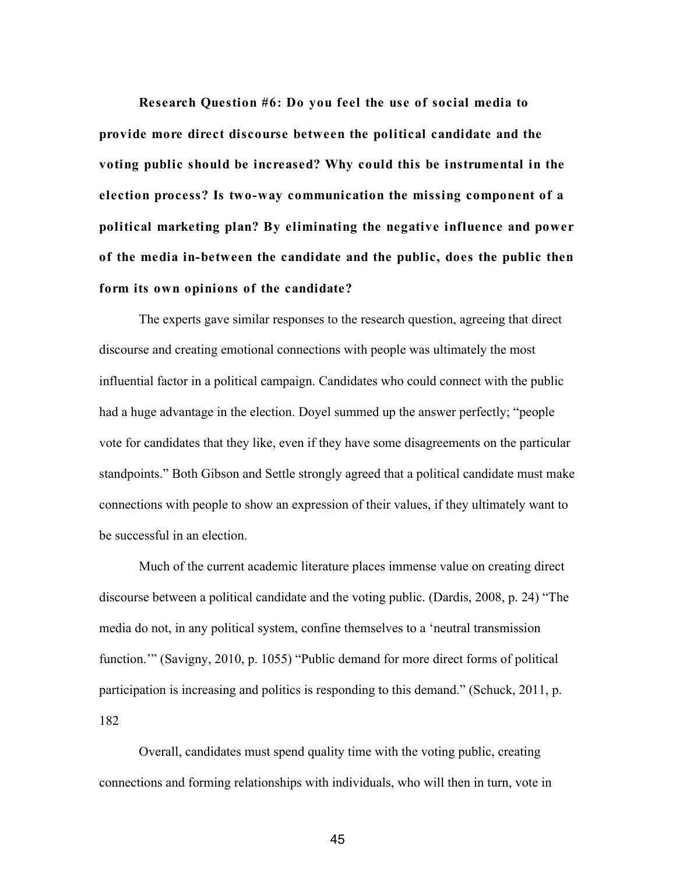**Research Question #6: Do you feel the use of social media to provide more direct discourse between the political candidate and the voting public should be increased? Why could this be instrumental in the election process? Is two-way communication the missing component of a political marketing plan? By eliminating the negative influence and power of the media in-between the candidate and the public, does the public then form its own opinions of the candidate?**

The experts gave similar responses to the research question, agreeing that direct discourse and creating emotional connections with people was ultimately the most influential factor in a political campaign. Candidates who could connect with the public had a huge advantage in the election. Doyel summed up the answer perfectly; "people vote for candidates that they like, even if they have some disagreements on the particular standpoints." Both Gibson and Settle strongly agreed that a political candidate must make connections with people to show an expression of their values, if they ultimately want to be successful in an election.

Much of the current academic literature places immense value on creating direct discourse between a political candidate and the voting public. (Dardis, 2008, p. 24) "The media do not, in any political system, confine themselves to a 'neutral transmission function."" (Savigny, 2010, p. 1055) "Public demand for more direct forms of political participation is increasing and politics is responding to this demand." (Schuck, 2011, p. 182

Overall, candidates must spend quality time with the voting public, creating connections and forming relationships with individuals, who will then in turn, vote in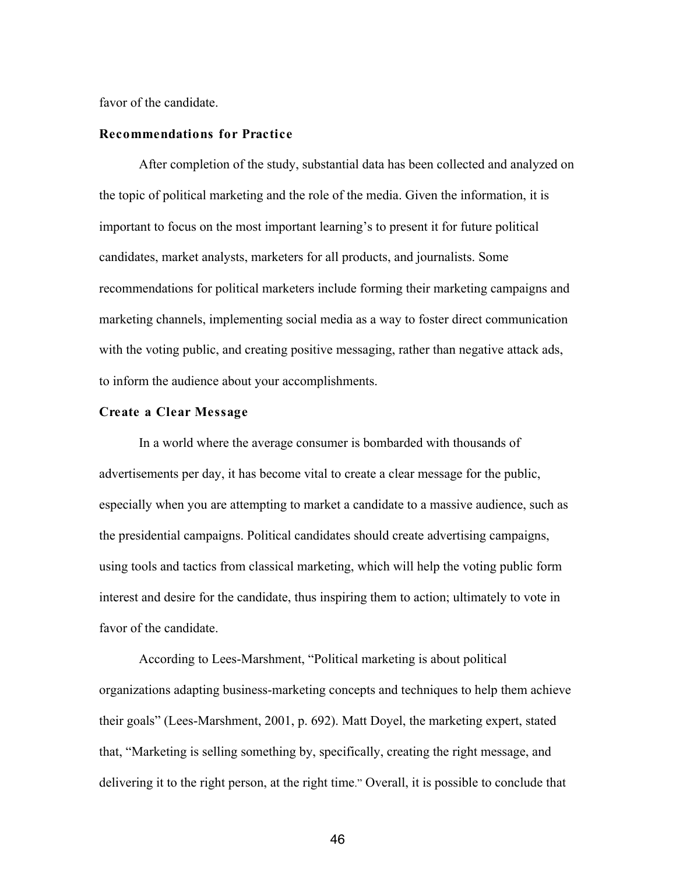favor of the candidate.

#### **Recommendations for Practice**

After completion of the study, substantial data has been collected and analyzed on the topic of political marketing and the role of the media. Given the information, it is important to focus on the most important learning's to present it for future political candidates, market analysts, marketers for all products, and journalists. Some recommendations for political marketers include forming their marketing campaigns and marketing channels, implementing social media as a way to foster direct communication with the voting public, and creating positive messaging, rather than negative attack ads, to inform the audience about your accomplishments.

#### **Create a Clear Message**

In a world where the average consumer is bombarded with thousands of advertisements per day, it has become vital to create a clear message for the public, especially when you are attempting to market a candidate to a massive audience, such as the presidential campaigns. Political candidates should create advertising campaigns, using tools and tactics from classical marketing, which will help the voting public form interest and desire for the candidate, thus inspiring them to action; ultimately to vote in favor of the candidate.

According to Lees-Marshment, "Political marketing is about political organizations adapting business-marketing concepts and techniques to help them achieve their goals" (Lees-Marshment, 2001, p. 692). Matt Doyel, the marketing expert, stated that, "Marketing is selling something by, specifically, creating the right message, and delivering it to the right person, at the right time." Overall, it is possible to conclude that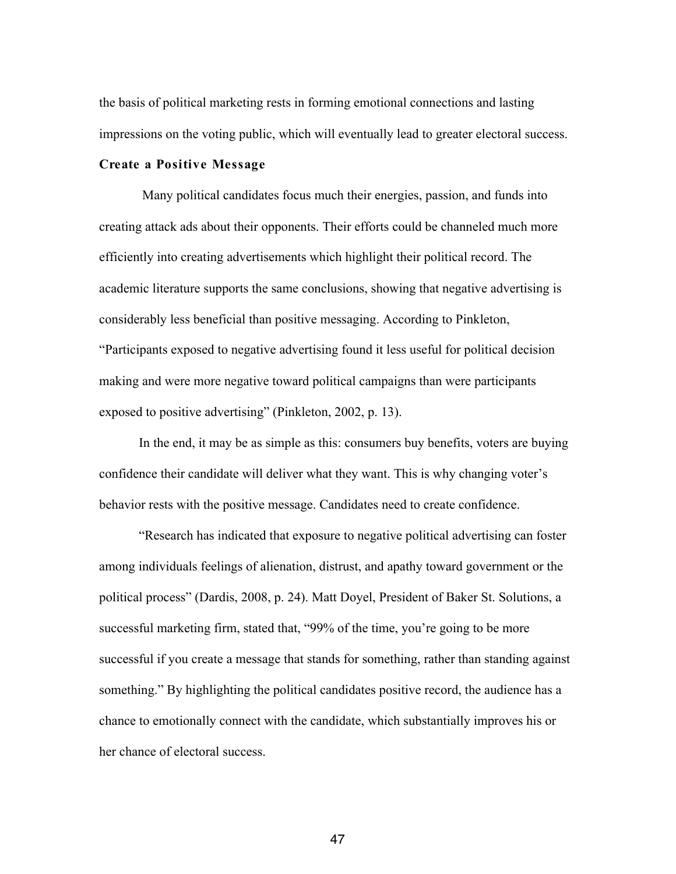the basis of political marketing rests in forming emotional connections and lasting impressions on the voting public, which will eventually lead to greater electoral success.

#### **Create a Positive Message**

Many political candidates focus much their energies, passion, and funds into creating attack ads about their opponents. Their efforts could be channeled much more efficiently into creating advertisements which highlight their political record. The academic literature supports the same conclusions, showing that negative advertising is considerably less beneficial than positive messaging. According to Pinkleton, "Participants exposed to negative advertising found it less useful for political decision making and were more negative toward political campaigns than were participants exposed to positive advertising" (Pinkleton, 2002, p. 13).

In the end, it may be as simple as this: consumers buy benefits, voters are buying confidence their candidate will deliver what they want. This is why changing voter's behavior rests with the positive message. Candidates need to create confidence.

"Research has indicated that exposure to negative political advertising can foster among individuals feelings of alienation, distrust, and apathy toward government or the political process" (Dardis, 2008, p. 24). Matt Doyel, President of Baker St. Solutions, a successful marketing firm, stated that, "99% of the time, you're going to be more successful if you create a message that stands for something, rather than standing against something." By highlighting the political candidates positive record, the audience has a chance to emotionally connect with the candidate, which substantially improves his or her chance of electoral success.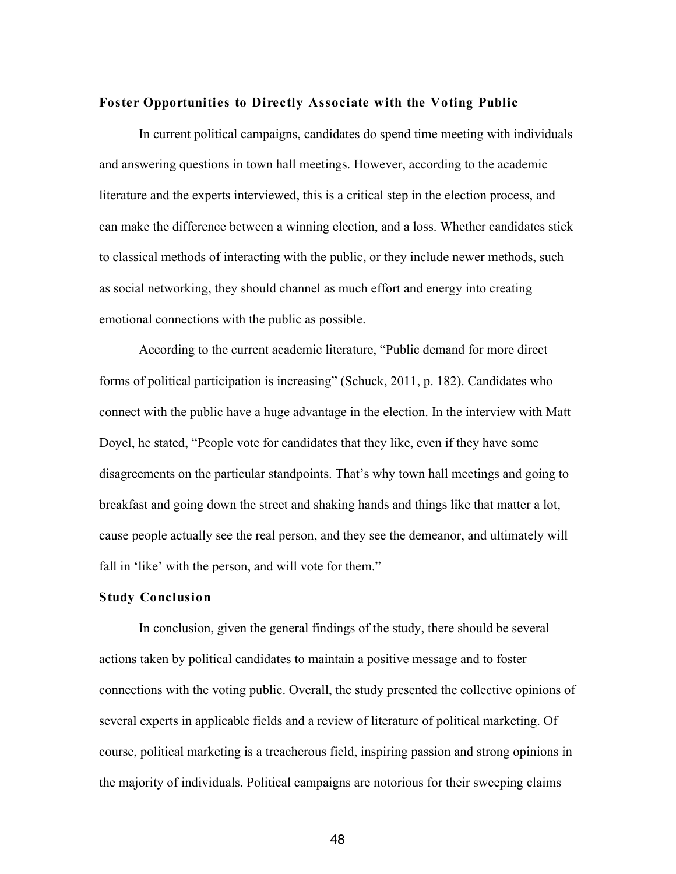#### **Foster Opportunities to Directly Associate with the Voting Public**

In current political campaigns, candidates do spend time meeting with individuals and answering questions in town hall meetings. However, according to the academic literature and the experts interviewed, this is a critical step in the election process, and can make the difference between a winning election, and a loss. Whether candidates stick to classical methods of interacting with the public, or they include newer methods, such as social networking, they should channel as much effort and energy into creating emotional connections with the public as possible.

According to the current academic literature, "Public demand for more direct forms of political participation is increasing" (Schuck, 2011, p. 182). Candidates who connect with the public have a huge advantage in the election. In the interview with Matt Doyel, he stated, "People vote for candidates that they like, even if they have some disagreements on the particular standpoints. That's why town hall meetings and going to breakfast and going down the street and shaking hands and things like that matter a lot, cause people actually see the real person, and they see the demeanor, and ultimately will fall in 'like' with the person, and will vote for them."

#### **Study Conclusion**

In conclusion, given the general findings of the study, there should be several actions taken by political candidates to maintain a positive message and to foster connections with the voting public. Overall, the study presented the collective opinions of several experts in applicable fields and a review of literature of political marketing. Of course, political marketing is a treacherous field, inspiring passion and strong opinions in the majority of individuals. Political campaigns are notorious for their sweeping claims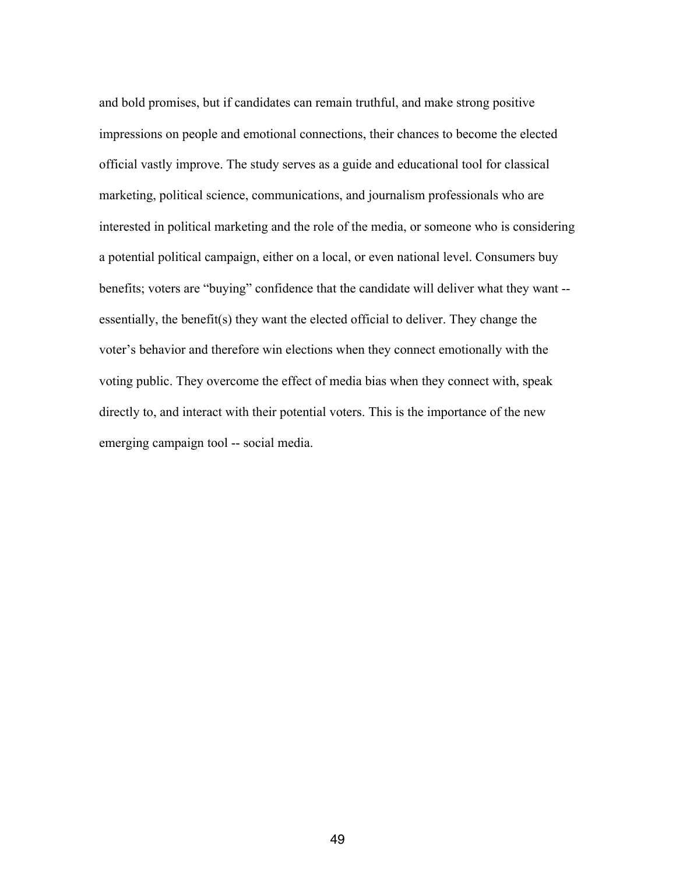and bold promises, but if candidates can remain truthful, and make strong positive impressions on people and emotional connections, their chances to become the elected official vastly improve. The study serves as a guide and educational tool for classical marketing, political science, communications, and journalism professionals who are interested in political marketing and the role of the media, or someone who is considering a potential political campaign, either on a local, or even national level. Consumers buy benefits; voters are "buying" confidence that the candidate will deliver what they want - essentially, the benefit(s) they want the elected official to deliver. They change the voter's behavior and therefore win elections when they connect emotionally with the voting public. They overcome the effect of media bias when they connect with, speak directly to, and interact with their potential voters. This is the importance of the new emerging campaign tool -- social media.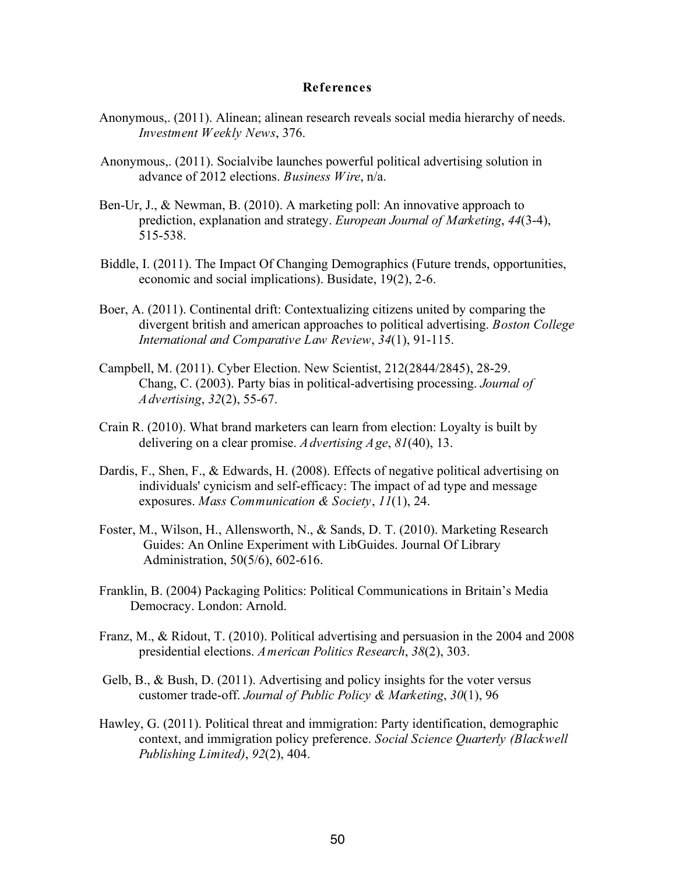#### **References**

- Anonymous,. (2011). Alinean; alinean research reveals social media hierarchy of needs. *Investment Weekly News*, 376.
- Anonymous,. (2011). Socialvibe launches powerful political advertising solution in advance of 2012 elections. *Business Wire*, n/a.
- Ben-Ur, J., & Newman, B. (2010). A marketing poll: An innovative approach to prediction, explanation and strategy. *European Journal of Marketing*, *44*(3-4), 515-538.
- Biddle, I. (2011). The Impact Of Changing Demographics (Future trends, opportunities, economic and social implications). Busidate, 19(2), 2-6.
- Boer, A. (2011). Continental drift: Contextualizing citizens united by comparing the divergent british and american approaches to political advertising. *Boston College International and Comparative Law Review*, *34*(1), 91-115.
- Campbell, M. (2011). Cyber Election. New Scientist, 212(2844/2845), 28-29. Chang, C. (2003). Party bias in political-advertising processing. *Journal of Advertising*, *32*(2), 55-67.
- Crain R. (2010). What brand marketers can learn from election: Loyalty is built by delivering on a clear promise. *Advertising Age*, *81*(40), 13.
- Dardis, F., Shen, F., & Edwards, H. (2008). Effects of negative political advertising on individuals' cynicism and self-efficacy: The impact of ad type and message exposures. *Mass Communication & Society*, *11*(1), 24.
- Foster, M., Wilson, H., Allensworth, N., & Sands, D. T. (2010). Marketing Research Guides: An Online Experiment with LibGuides. Journal Of Library Administration, 50(5/6), 602-616.
- Franklin, B. (2004) Packaging Politics: Political Communications in Britain's Media Democracy. London: Arnold.
- Franz, M., & Ridout, T. (2010). Political advertising and persuasion in the 2004 and 2008 presidential elections. *American Politics Research*, *38*(2), 303.
- Gelb, B., & Bush, D. (2011). Advertising and policy insights for the voter versus customer trade-off. *Journal of Public Policy & Marketing*, *30*(1), 96
- Hawley, G. (2011). Political threat and immigration: Party identification, demographic context, and immigration policy preference. *Social Science Quarterly (Blackwell Publishing Limited)*, *92*(2), 404.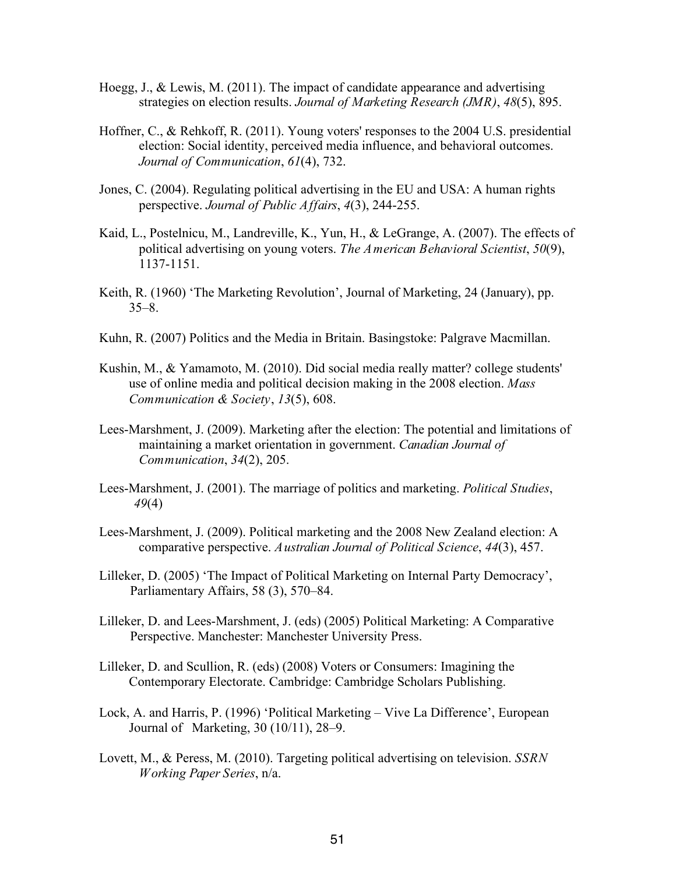- Hoegg, J., & Lewis, M. (2011). The impact of candidate appearance and advertising strategies on election results. *Journal of Marketing Research (JMR)*, *48*(5), 895.
- Hoffner, C., & Rehkoff, R. (2011). Young voters' responses to the 2004 U.S. presidential election: Social identity, perceived media influence, and behavioral outcomes. *Journal of Communication*, *61*(4), 732.
- Jones, C. (2004). Regulating political advertising in the EU and USA: A human rights perspective. *Journal of Public Affairs*, *4*(3), 244-255.
- Kaid, L., Postelnicu, M., Landreville, K., Yun, H., & LeGrange, A. (2007). The effects of political advertising on young voters. *The American Behavioral Scientist*, *50*(9), 1137-1151.
- Keith, R. (1960) 'The Marketing Revolution', Journal of Marketing, 24 (January), pp. 35–8.
- Kuhn, R. (2007) Politics and the Media in Britain. Basingstoke: Palgrave Macmillan.
- Kushin, M., & Yamamoto, M. (2010). Did social media really matter? college students' use of online media and political decision making in the 2008 election. *Mass Communication & Society*, *13*(5), 608.
- Lees-Marshment, J. (2009). Marketing after the election: The potential and limitations of maintaining a market orientation in government. *Canadian Journal of Communication*, *34*(2), 205.
- Lees-Marshment, J. (2001). The marriage of politics and marketing. *Political Studies*, *49*(4)
- Lees-Marshment, J. (2009). Political marketing and the 2008 New Zealand election: A comparative perspective. *Australian Journal of Political Science*, *44*(3), 457.
- Lilleker, D. (2005) 'The Impact of Political Marketing on Internal Party Democracy', Parliamentary Affairs, 58 (3), 570–84.
- Lilleker, D. and Lees-Marshment, J. (eds) (2005) Political Marketing: A Comparative Perspective. Manchester: Manchester University Press.
- Lilleker, D. and Scullion, R. (eds) (2008) Voters or Consumers: Imagining the Contemporary Electorate. Cambridge: Cambridge Scholars Publishing.
- Lock, A. and Harris, P. (1996) 'Political Marketing Vive La Difference', European Journal of Marketing, 30 (10/11), 28–9.
- Lovett, M., & Peress, M. (2010). Targeting political advertising on television. *SSRN Working Paper Series*, n/a.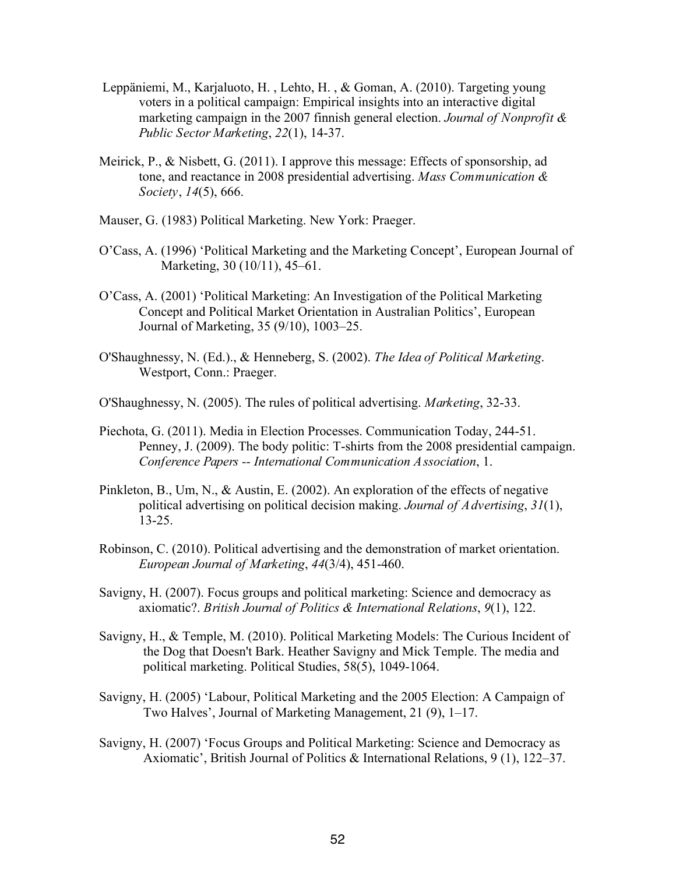- Leppäniemi, M., Karjaluoto, H. , Lehto, H. , & Goman, A. (2010). Targeting young voters in a political campaign: Empirical insights into an interactive digital marketing campaign in the 2007 finnish general election. *Journal of Nonprofit & Public Sector Marketing*, *22*(1), 14-37.
- Meirick, P., & Nisbett, G. (2011). I approve this message: Effects of sponsorship, ad tone, and reactance in 2008 presidential advertising. *Mass Communication & Society*, *14*(5), 666.
- Mauser, G. (1983) Political Marketing. New York: Praeger.
- O'Cass, A. (1996) 'Political Marketing and the Marketing Concept', European Journal of Marketing, 30 (10/11), 45–61.
- O'Cass, A. (2001) 'Political Marketing: An Investigation of the Political Marketing Concept and Political Market Orientation in Australian Politics', European Journal of Marketing, 35 (9/10), 1003–25.
- O'Shaughnessy, N. (Ed.)., & Henneberg, S. (2002). *The Idea of Political Marketing*. Westport, Conn.: Praeger.
- O'Shaughnessy, N. (2005). The rules of political advertising. *Marketing*, 32-33.
- Piechota, G. (2011). Media in Election Processes. Communication Today, 244-51. Penney, J. (2009). The body politic: T-shirts from the 2008 presidential campaign. *Conference Papers -- International Communication Association*, 1.
- Pinkleton, B., Um, N., & Austin, E. (2002). An exploration of the effects of negative political advertising on political decision making. *Journal of Advertising*, *31*(1), 13-25.
- Robinson, C. (2010). Political advertising and the demonstration of market orientation. *European Journal of Marketing*, *44*(3/4), 451-460.
- Savigny, H. (2007). Focus groups and political marketing: Science and democracy as axiomatic?. *British Journal of Politics & International Relations*, *9*(1), 122.
- Savigny, H., & Temple, M. (2010). Political Marketing Models: The Curious Incident of the Dog that Doesn't Bark. Heather Savigny and Mick Temple. The media and political marketing. Political Studies, 58(5), 1049-1064.
- Savigny, H. (2005) 'Labour, Political Marketing and the 2005 Election: A Campaign of Two Halves', Journal of Marketing Management, 21 (9), 1–17.
- Savigny, H. (2007) 'Focus Groups and Political Marketing: Science and Democracy as Axiomatic', British Journal of Politics & International Relations, 9 (1), 122–37.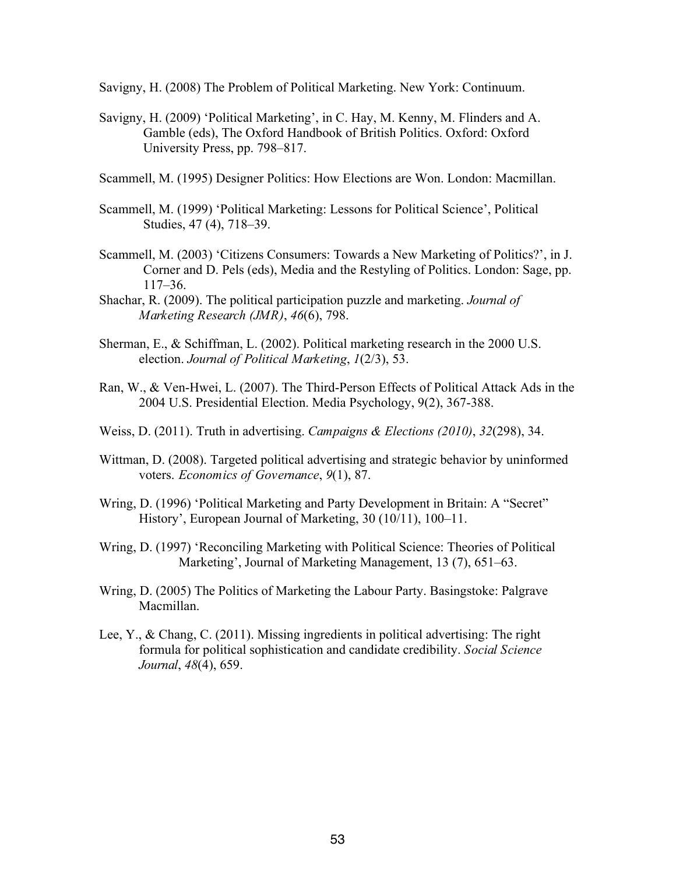Savigny, H. (2008) The Problem of Political Marketing. New York: Continuum.

Savigny, H. (2009) 'Political Marketing', in C. Hay, M. Kenny, M. Flinders and A. Gamble (eds), The Oxford Handbook of British Politics. Oxford: Oxford University Press, pp. 798–817.

Scammell, M. (1995) Designer Politics: How Elections are Won. London: Macmillan.

- Scammell, M. (1999) 'Political Marketing: Lessons for Political Science', Political Studies, 47 (4), 718–39.
- Scammell, M. (2003) 'Citizens Consumers: Towards a New Marketing of Politics?', in J. Corner and D. Pels (eds), Media and the Restyling of Politics. London: Sage, pp. 117–36.
- Shachar, R. (2009). The political participation puzzle and marketing. *Journal of Marketing Research (JMR)*, *46*(6), 798.
- Sherman, E., & Schiffman, L. (2002). Political marketing research in the 2000 U.S. election. *Journal of Political Marketing*, *1*(2/3), 53.
- Ran, W., & Ven-Hwei, L. (2007). The Third-Person Effects of Political Attack Ads in the 2004 U.S. Presidential Election. Media Psychology, 9(2), 367-388.
- Weiss, D. (2011). Truth in advertising. *Campaigns & Elections (2010)*, *32*(298), 34.
- Wittman, D. (2008). Targeted political advertising and strategic behavior by uninformed voters. *Economics of Governance*, *9*(1), 87.
- Wring, D. (1996) 'Political Marketing and Party Development in Britain: A "Secret" History', European Journal of Marketing, 30 (10/11), 100–11.
- Wring, D. (1997) 'Reconciling Marketing with Political Science: Theories of Political Marketing', Journal of Marketing Management, 13 (7), 651–63.
- Wring, D. (2005) The Politics of Marketing the Labour Party. Basingstoke: Palgrave Macmillan.
- Lee, Y., & Chang, C. (2011). Missing ingredients in political advertising: The right formula for political sophistication and candidate credibility. *Social Science Journal*, *48*(4), 659.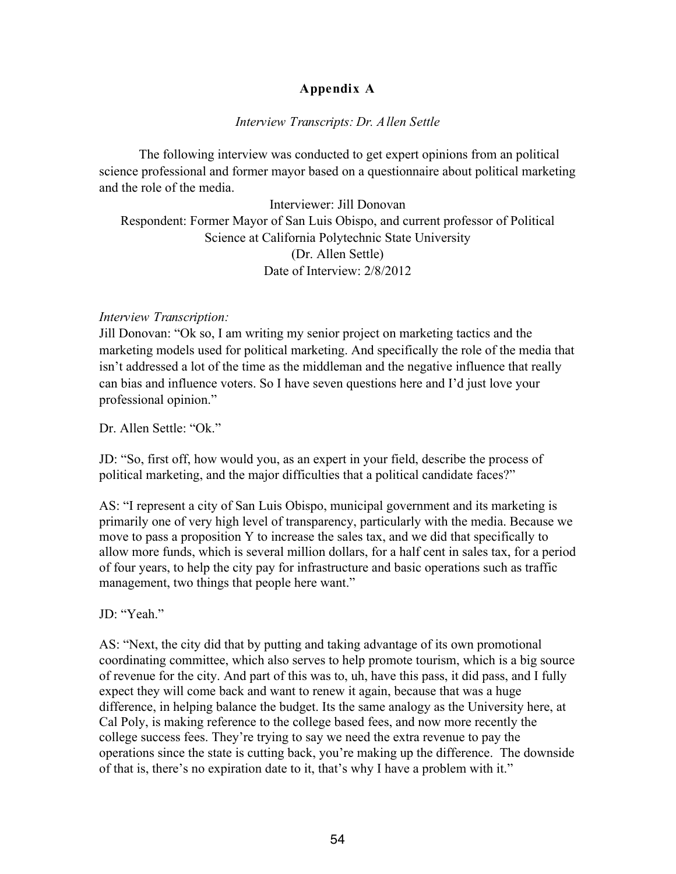# **Appendix A**

## *Interview Transcripts: Dr. Allen Settle*

The following interview was conducted to get expert opinions from an political science professional and former mayor based on a questionnaire about political marketing and the role of the media.

Interviewer: Jill Donovan Respondent: Former Mayor of San Luis Obispo, and current professor of Political Science at California Polytechnic State University (Dr. Allen Settle) Date of Interview: 2/8/2012

## *Interview Transcription:*

Jill Donovan: "Ok so, I am writing my senior project on marketing tactics and the marketing models used for political marketing. And specifically the role of the media that isn't addressed a lot of the time as the middleman and the negative influence that really can bias and influence voters. So I have seven questions here and I'd just love your professional opinion."

Dr. Allen Settle: "Ok."

JD: "So, first off, how would you, as an expert in your field, describe the process of political marketing, and the major difficulties that a political candidate faces?"

AS: "I represent a city of San Luis Obispo, municipal government and its marketing is primarily one of very high level of transparency, particularly with the media. Because we move to pass a proposition Y to increase the sales tax, and we did that specifically to allow more funds, which is several million dollars, for a half cent in sales tax, for a period of four years, to help the city pay for infrastructure and basic operations such as traffic management, two things that people here want."

JD: "Yeah."

AS: "Next, the city did that by putting and taking advantage of its own promotional coordinating committee, which also serves to help promote tourism, which is a big source of revenue for the city. And part of this was to, uh, have this pass, it did pass, and I fully expect they will come back and want to renew it again, because that was a huge difference, in helping balance the budget. Its the same analogy as the University here, at Cal Poly, is making reference to the college based fees, and now more recently the college success fees. They're trying to say we need the extra revenue to pay the operations since the state is cutting back, you're making up the difference. The downside of that is, there's no expiration date to it, that's why I have a problem with it."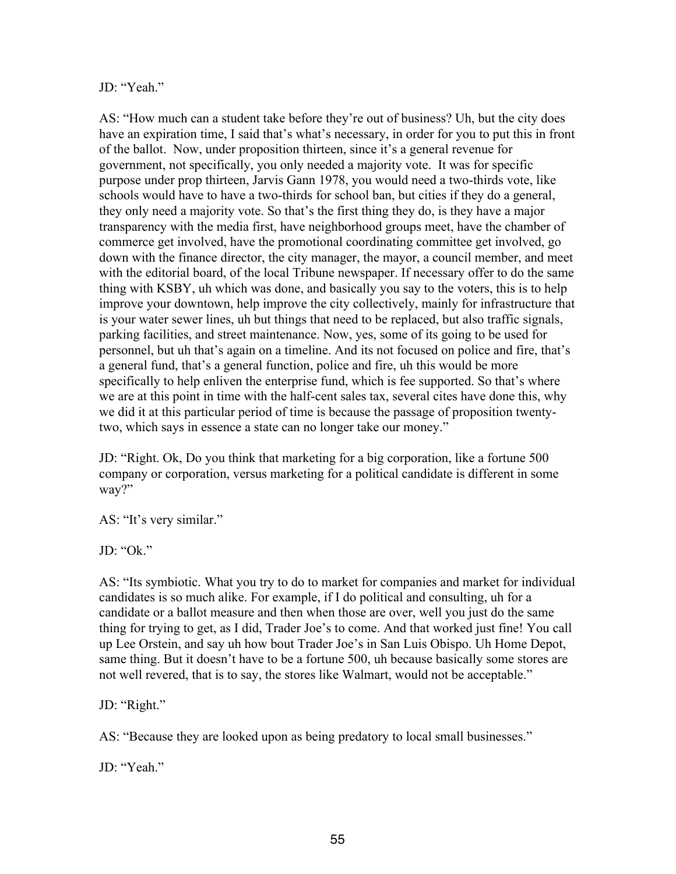### JD: "Yeah."

AS: "How much can a student take before they're out of business? Uh, but the city does have an expiration time, I said that's what's necessary, in order for you to put this in front of the ballot. Now, under proposition thirteen, since it's a general revenue for government, not specifically, you only needed a majority vote. It was for specific purpose under prop thirteen, Jarvis Gann 1978, you would need a two-thirds vote, like schools would have to have a two-thirds for school ban, but cities if they do a general, they only need a majority vote. So that's the first thing they do, is they have a major transparency with the media first, have neighborhood groups meet, have the chamber of commerce get involved, have the promotional coordinating committee get involved, go down with the finance director, the city manager, the mayor, a council member, and meet with the editorial board, of the local Tribune newspaper. If necessary offer to do the same thing with KSBY, uh which was done, and basically you say to the voters, this is to help improve your downtown, help improve the city collectively, mainly for infrastructure that is your water sewer lines, uh but things that need to be replaced, but also traffic signals, parking facilities, and street maintenance. Now, yes, some of its going to be used for personnel, but uh that's again on a timeline. And its not focused on police and fire, that's a general fund, that's a general function, police and fire, uh this would be more specifically to help enliven the enterprise fund, which is fee supported. So that's where we are at this point in time with the half-cent sales tax, several cites have done this, why we did it at this particular period of time is because the passage of proposition twentytwo, which says in essence a state can no longer take our money."

JD: "Right. Ok, Do you think that marketing for a big corporation, like a fortune 500 company or corporation, versus marketing for a political candidate is different in some way?"

AS: "It's very similar."

JD: "Ok."

AS: "Its symbiotic. What you try to do to market for companies and market for individual candidates is so much alike. For example, if I do political and consulting, uh for a candidate or a ballot measure and then when those are over, well you just do the same thing for trying to get, as I did, Trader Joe's to come. And that worked just fine! You call up Lee Orstein, and say uh how bout Trader Joe's in San Luis Obispo. Uh Home Depot, same thing. But it doesn't have to be a fortune 500, uh because basically some stores are not well revered, that is to say, the stores like Walmart, would not be acceptable."

JD: "Right."

AS: "Because they are looked upon as being predatory to local small businesses."

JD<sup>.</sup> "Yeah."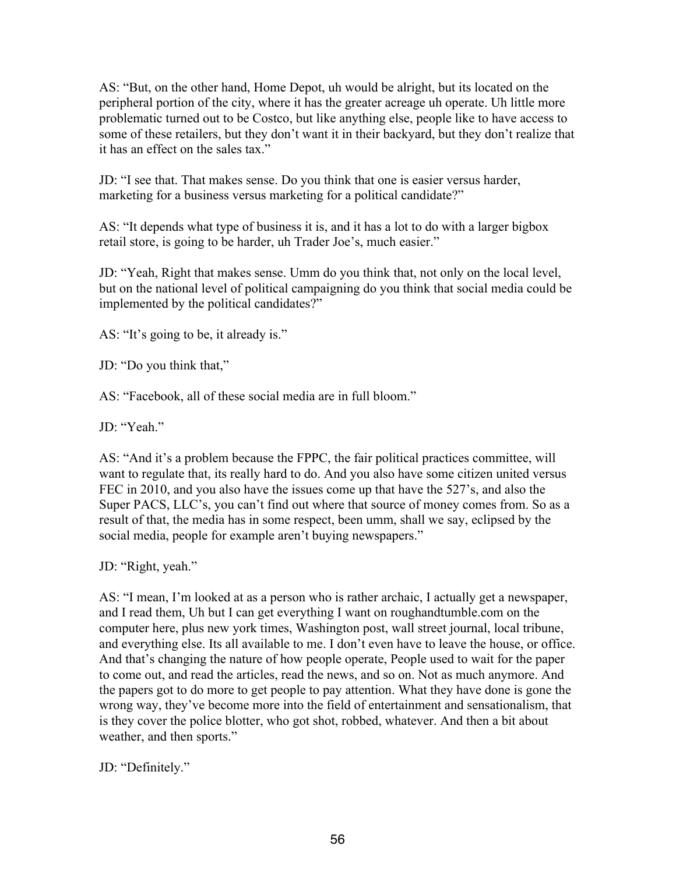AS: "But, on the other hand, Home Depot, uh would be alright, but its located on the peripheral portion of the city, where it has the greater acreage uh operate. Uh little more problematic turned out to be Costco, but like anything else, people like to have access to some of these retailers, but they don't want it in their backyard, but they don't realize that it has an effect on the sales tax."

JD: "I see that. That makes sense. Do you think that one is easier versus harder, marketing for a business versus marketing for a political candidate?"

AS: "It depends what type of business it is, and it has a lot to do with a larger bigbox retail store, is going to be harder, uh Trader Joe's, much easier."

JD: "Yeah, Right that makes sense. Umm do you think that, not only on the local level, but on the national level of political campaigning do you think that social media could be implemented by the political candidates?"

AS: "It's going to be, it already is."

JD: "Do you think that,"

AS: "Facebook, all of these social media are in full bloom."

JD: "Yeah."

AS: "And it's a problem because the FPPC, the fair political practices committee, will want to regulate that, its really hard to do. And you also have some citizen united versus FEC in 2010, and you also have the issues come up that have the 527's, and also the Super PACS, LLC's, you can't find out where that source of money comes from. So as a result of that, the media has in some respect, been umm, shall we say, eclipsed by the social media, people for example aren't buying newspapers."

JD: "Right, yeah."

AS: "I mean, I'm looked at as a person who is rather archaic, I actually get a newspaper, and I read them, Uh but I can get everything I want on roughandtumble.com on the computer here, plus new york times, Washington post, wall street journal, local tribune, and everything else. Its all available to me. I don't even have to leave the house, or office. And that's changing the nature of how people operate, People used to wait for the paper to come out, and read the articles, read the news, and so on. Not as much anymore. And the papers got to do more to get people to pay attention. What they have done is gone the wrong way, they've become more into the field of entertainment and sensationalism, that is they cover the police blotter, who got shot, robbed, whatever. And then a bit about weather, and then sports."

JD: "Definitely."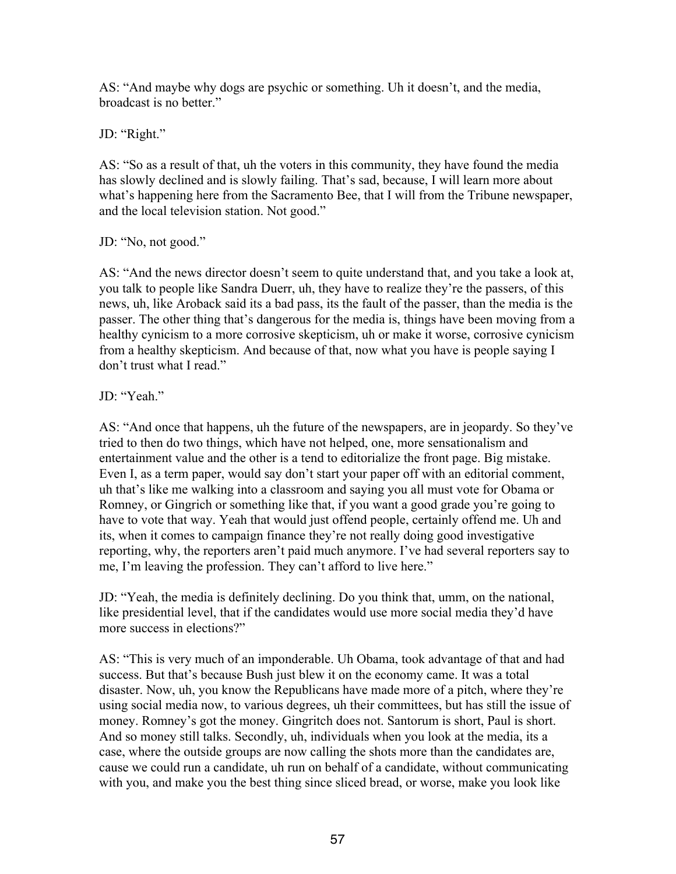AS: "And maybe why dogs are psychic or something. Uh it doesn't, and the media, broadcast is no better."

JD: "Right."

AS: "So as a result of that, uh the voters in this community, they have found the media has slowly declined and is slowly failing. That's sad, because, I will learn more about what's happening here from the Sacramento Bee, that I will from the Tribune newspaper, and the local television station. Not good."

JD: "No, not good."

AS: "And the news director doesn't seem to quite understand that, and you take a look at, you talk to people like Sandra Duerr, uh, they have to realize they're the passers, of this news, uh, like Aroback said its a bad pass, its the fault of the passer, than the media is the passer. The other thing that's dangerous for the media is, things have been moving from a healthy cynicism to a more corrosive skepticism, uh or make it worse, corrosive cynicism from a healthy skepticism. And because of that, now what you have is people saying I don't trust what I read."

## JD<sup>.</sup> "Yeah."

AS: "And once that happens, uh the future of the newspapers, are in jeopardy. So they've tried to then do two things, which have not helped, one, more sensationalism and entertainment value and the other is a tend to editorialize the front page. Big mistake. Even I, as a term paper, would say don't start your paper off with an editorial comment, uh that's like me walking into a classroom and saying you all must vote for Obama or Romney, or Gingrich or something like that, if you want a good grade you're going to have to vote that way. Yeah that would just offend people, certainly offend me. Uh and its, when it comes to campaign finance they're not really doing good investigative reporting, why, the reporters aren't paid much anymore. I've had several reporters say to me, I'm leaving the profession. They can't afford to live here."

JD: "Yeah, the media is definitely declining. Do you think that, umm, on the national, like presidential level, that if the candidates would use more social media they'd have more success in elections?"

AS: "This is very much of an imponderable. Uh Obama, took advantage of that and had success. But that's because Bush just blew it on the economy came. It was a total disaster. Now, uh, you know the Republicans have made more of a pitch, where they're using social media now, to various degrees, uh their committees, but has still the issue of money. Romney's got the money. Gingritch does not. Santorum is short, Paul is short. And so money still talks. Secondly, uh, individuals when you look at the media, its a case, where the outside groups are now calling the shots more than the candidates are, cause we could run a candidate, uh run on behalf of a candidate, without communicating with you, and make you the best thing since sliced bread, or worse, make you look like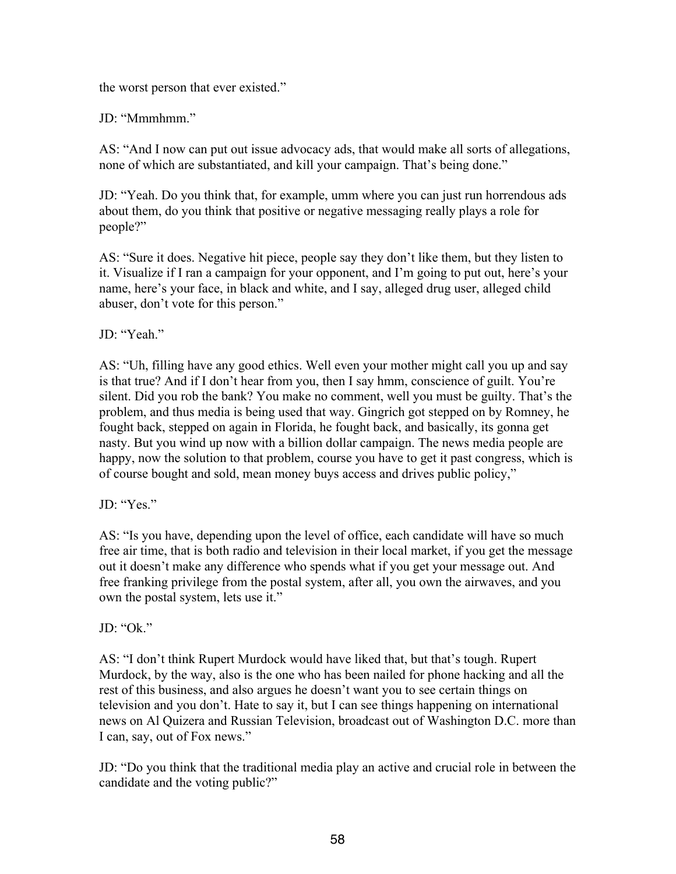the worst person that ever existed."

JD: "Mmmhmm."

AS: "And I now can put out issue advocacy ads, that would make all sorts of allegations, none of which are substantiated, and kill your campaign. That's being done."

JD: "Yeah. Do you think that, for example, umm where you can just run horrendous ads about them, do you think that positive or negative messaging really plays a role for people?"

AS: "Sure it does. Negative hit piece, people say they don't like them, but they listen to it. Visualize if I ran a campaign for your opponent, and I'm going to put out, here's your name, here's your face, in black and white, and I say, alleged drug user, alleged child abuser, don't vote for this person."

JD: "Yeah."

AS: "Uh, filling have any good ethics. Well even your mother might call you up and say is that true? And if I don't hear from you, then I say hmm, conscience of guilt. You're silent. Did you rob the bank? You make no comment, well you must be guilty. That's the problem, and thus media is being used that way. Gingrich got stepped on by Romney, he fought back, stepped on again in Florida, he fought back, and basically, its gonna get nasty. But you wind up now with a billion dollar campaign. The news media people are happy, now the solution to that problem, course you have to get it past congress, which is of course bought and sold, mean money buys access and drives public policy,"

JD: "Yes."

AS: "Is you have, depending upon the level of office, each candidate will have so much free air time, that is both radio and television in their local market, if you get the message out it doesn't make any difference who spends what if you get your message out. And free franking privilege from the postal system, after all, you own the airwaves, and you own the postal system, lets use it."

 $JD$ : "Ok"

AS: "I don't think Rupert Murdock would have liked that, but that's tough. Rupert Murdock, by the way, also is the one who has been nailed for phone hacking and all the rest of this business, and also argues he doesn't want you to see certain things on television and you don't. Hate to say it, but I can see things happening on international news on Al Quizera and Russian Television, broadcast out of Washington D.C. more than I can, say, out of Fox news."

JD: "Do you think that the traditional media play an active and crucial role in between the candidate and the voting public?"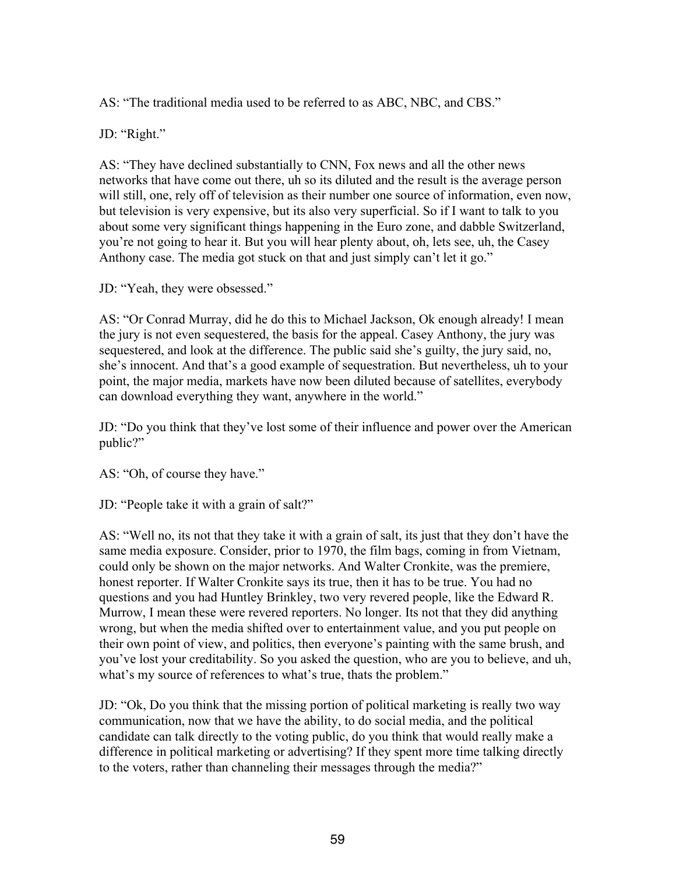AS: "The traditional media used to be referred to as ABC, NBC, and CBS."

JD: "Right."

AS: "They have declined substantially to CNN, Fox news and all the other news networks that have come out there, uh so its diluted and the result is the average person will still, one, rely off of television as their number one source of information, even now, but television is very expensive, but its also very superficial. So if I want to talk to you about some very significant things happening in the Euro zone, and dabble Switzerland, you're not going to hear it. But you will hear plenty about, oh, lets see, uh, the Casey Anthony case. The media got stuck on that and just simply can't let it go."

JD: "Yeah, they were obsessed."

AS: "Or Conrad Murray, did he do this to Michael Jackson, Ok enough already! I mean the jury is not even sequestered, the basis for the appeal. Casey Anthony, the jury was sequestered, and look at the difference. The public said she's guilty, the jury said, no, she's innocent. And that's a good example of sequestration. But nevertheless, uh to your point, the major media, markets have now been diluted because of satellites, everybody can download everything they want, anywhere in the world."

JD: "Do you think that they've lost some of their influence and power over the American public?"

AS: "Oh, of course they have."

JD: "People take it with a grain of salt?"

AS: "Well no, its not that they take it with a grain of salt, its just that they don't have the same media exposure. Consider, prior to 1970, the film bags, coming in from Vietnam, could only be shown on the major networks. And Walter Cronkite, was the premiere, honest reporter. If Walter Cronkite says its true, then it has to be true. You had no questions and you had Huntley Brinkley, two very revered people, like the Edward R. Murrow, I mean these were revered reporters. No longer. Its not that they did anything wrong, but when the media shifted over to entertainment value, and you put people on their own point of view, and politics, then everyone's painting with the same brush, and you've lost your creditability. So you asked the question, who are you to believe, and uh, what's my source of references to what's true, thats the problem."

JD: "Ok, Do you think that the missing portion of political marketing is really two way communication, now that we have the ability, to do social media, and the political candidate can talk directly to the voting public, do you think that would really make a difference in political marketing or advertising? If they spent more time talking directly to the voters, rather than channeling their messages through the media?"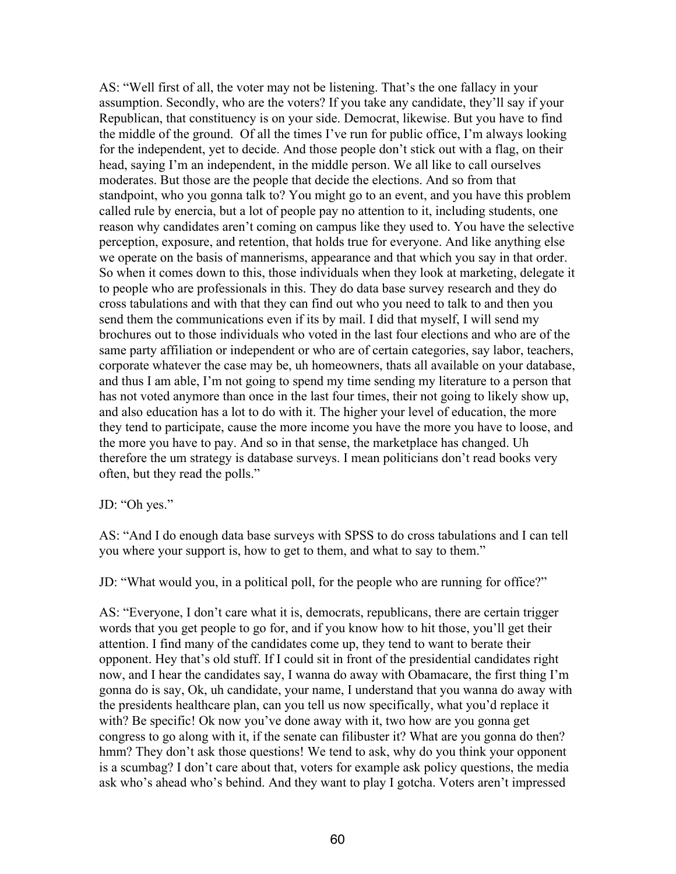AS: "Well first of all, the voter may not be listening. That's the one fallacy in your assumption. Secondly, who are the voters? If you take any candidate, they'll say if your Republican, that constituency is on your side. Democrat, likewise. But you have to find the middle of the ground. Of all the times I've run for public office, I'm always looking for the independent, yet to decide. And those people don't stick out with a flag, on their head, saying I'm an independent, in the middle person. We all like to call ourselves moderates. But those are the people that decide the elections. And so from that standpoint, who you gonna talk to? You might go to an event, and you have this problem called rule by enercia, but a lot of people pay no attention to it, including students, one reason why candidates aren't coming on campus like they used to. You have the selective perception, exposure, and retention, that holds true for everyone. And like anything else we operate on the basis of mannerisms, appearance and that which you say in that order. So when it comes down to this, those individuals when they look at marketing, delegate it to people who are professionals in this. They do data base survey research and they do cross tabulations and with that they can find out who you need to talk to and then you send them the communications even if its by mail. I did that myself, I will send my brochures out to those individuals who voted in the last four elections and who are of the same party affiliation or independent or who are of certain categories, say labor, teachers, corporate whatever the case may be, uh homeowners, thats all available on your database, and thus I am able, I'm not going to spend my time sending my literature to a person that has not voted anymore than once in the last four times, their not going to likely show up, and also education has a lot to do with it. The higher your level of education, the more they tend to participate, cause the more income you have the more you have to loose, and the more you have to pay. And so in that sense, the marketplace has changed. Uh therefore the um strategy is database surveys. I mean politicians don't read books very often, but they read the polls."

JD: "Oh yes."

AS: "And I do enough data base surveys with SPSS to do cross tabulations and I can tell you where your support is, how to get to them, and what to say to them."

JD: "What would you, in a political poll, for the people who are running for office?"

AS: "Everyone, I don't care what it is, democrats, republicans, there are certain trigger words that you get people to go for, and if you know how to hit those, you'll get their attention. I find many of the candidates come up, they tend to want to berate their opponent. Hey that's old stuff. If I could sit in front of the presidential candidates right now, and I hear the candidates say, I wanna do away with Obamacare, the first thing I'm gonna do is say, Ok, uh candidate, your name, I understand that you wanna do away with the presidents healthcare plan, can you tell us now specifically, what you'd replace it with? Be specific! Ok now you've done away with it, two how are you gonna get congress to go along with it, if the senate can filibuster it? What are you gonna do then? hmm? They don't ask those questions! We tend to ask, why do you think your opponent is a scumbag? I don't care about that, voters for example ask policy questions, the media ask who's ahead who's behind. And they want to play I gotcha. Voters aren't impressed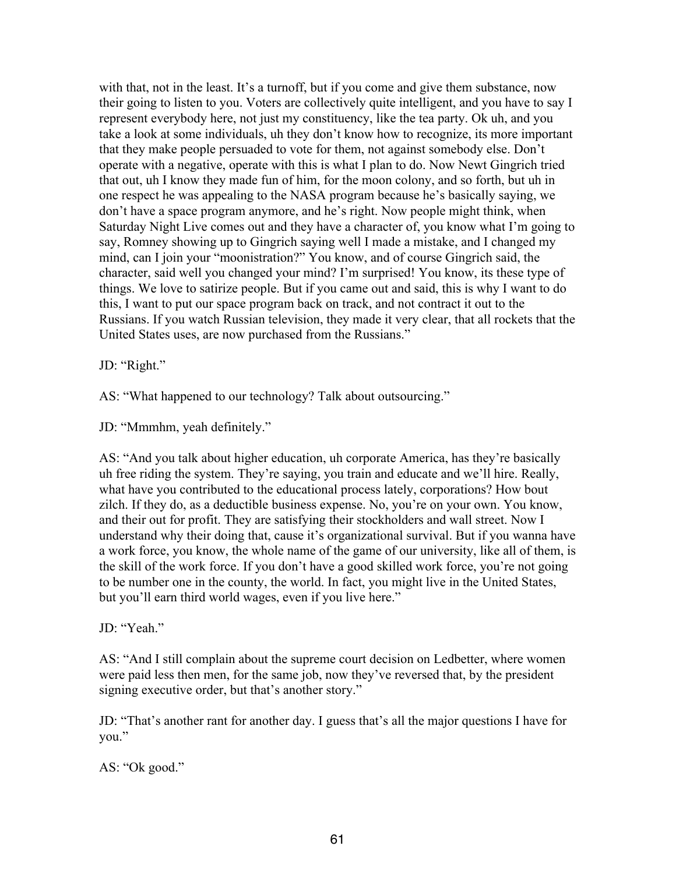with that, not in the least. It's a turnoff, but if you come and give them substance, now their going to listen to you. Voters are collectively quite intelligent, and you have to say I represent everybody here, not just my constituency, like the tea party. Ok uh, and you take a look at some individuals, uh they don't know how to recognize, its more important that they make people persuaded to vote for them, not against somebody else. Don't operate with a negative, operate with this is what I plan to do. Now Newt Gingrich tried that out, uh I know they made fun of him, for the moon colony, and so forth, but uh in one respect he was appealing to the NASA program because he's basically saying, we don't have a space program anymore, and he's right. Now people might think, when Saturday Night Live comes out and they have a character of, you know what I'm going to say, Romney showing up to Gingrich saying well I made a mistake, and I changed my mind, can I join your "moonistration?" You know, and of course Gingrich said, the character, said well you changed your mind? I'm surprised! You know, its these type of things. We love to satirize people. But if you came out and said, this is why I want to do this, I want to put our space program back on track, and not contract it out to the Russians. If you watch Russian television, they made it very clear, that all rockets that the United States uses, are now purchased from the Russians."

JD: "Right."

AS: "What happened to our technology? Talk about outsourcing."

JD: "Mmmhm, yeah definitely."

AS: "And you talk about higher education, uh corporate America, has they're basically uh free riding the system. They're saying, you train and educate and we'll hire. Really, what have you contributed to the educational process lately, corporations? How bout zilch. If they do, as a deductible business expense. No, you're on your own. You know, and their out for profit. They are satisfying their stockholders and wall street. Now I understand why their doing that, cause it's organizational survival. But if you wanna have a work force, you know, the whole name of the game of our university, like all of them, is the skill of the work force. If you don't have a good skilled work force, you're not going to be number one in the county, the world. In fact, you might live in the United States, but you'll earn third world wages, even if you live here."

JD: "Yeah."

AS: "And I still complain about the supreme court decision on Ledbetter, where women were paid less then men, for the same job, now they've reversed that, by the president signing executive order, but that's another story."

JD: "That's another rant for another day. I guess that's all the major questions I have for you."

AS: "Ok good."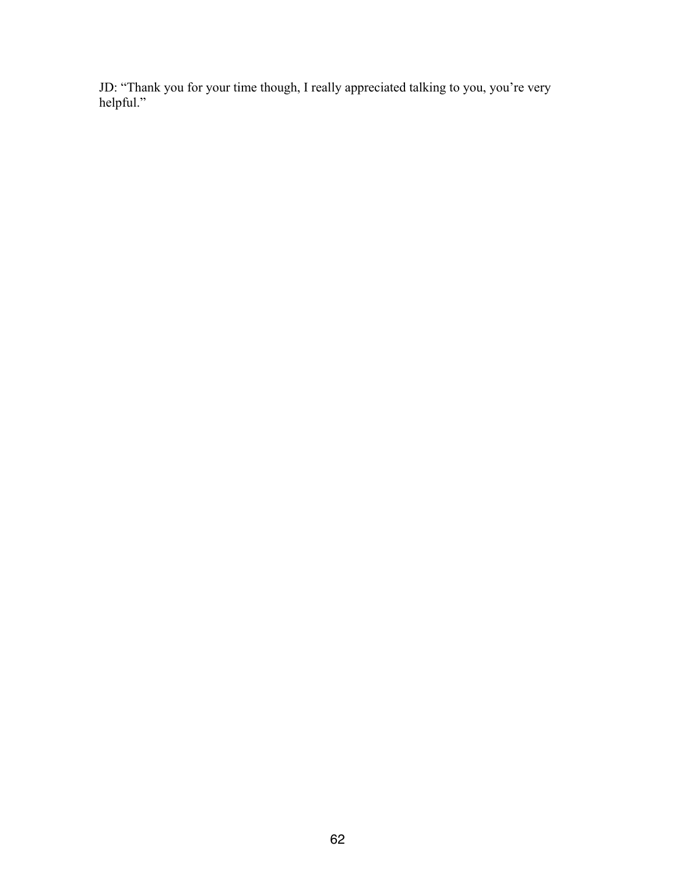JD: "Thank you for your time though, I really appreciated talking to you, you're very helpful."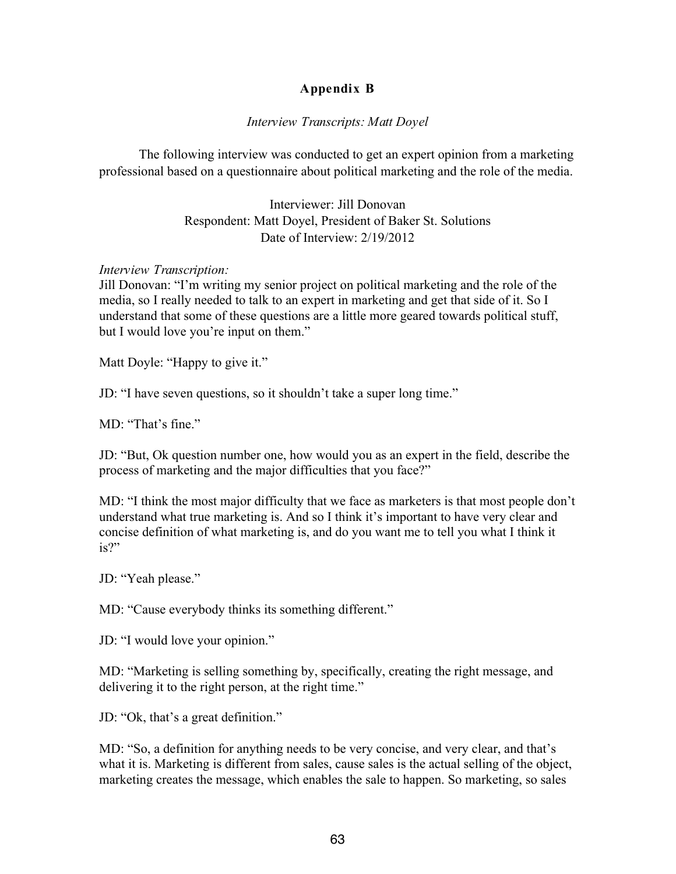## **Appendix B**

## *Interview Transcripts: Matt Doyel*

The following interview was conducted to get an expert opinion from a marketing professional based on a questionnaire about political marketing and the role of the media.

> Interviewer: Jill Donovan Respondent: Matt Doyel, President of Baker St. Solutions Date of Interview: 2/19/2012

## *Interview Transcription:*

Jill Donovan: "I'm writing my senior project on political marketing and the role of the media, so I really needed to talk to an expert in marketing and get that side of it. So I understand that some of these questions are a little more geared towards political stuff, but I would love you're input on them."

Matt Doyle: "Happy to give it."

JD: "I have seven questions, so it shouldn't take a super long time."

MD: "That's fine."

JD: "But, Ok question number one, how would you as an expert in the field, describe the process of marketing and the major difficulties that you face?"

MD: "I think the most major difficulty that we face as marketers is that most people don't understand what true marketing is. And so I think it's important to have very clear and concise definition of what marketing is, and do you want me to tell you what I think it is?"

JD: "Yeah please."

MD: "Cause everybody thinks its something different."

JD: "I would love your opinion."

MD: "Marketing is selling something by, specifically, creating the right message, and delivering it to the right person, at the right time."

JD: "Ok, that's a great definition."

MD: "So, a definition for anything needs to be very concise, and very clear, and that's what it is. Marketing is different from sales, cause sales is the actual selling of the object, marketing creates the message, which enables the sale to happen. So marketing, so sales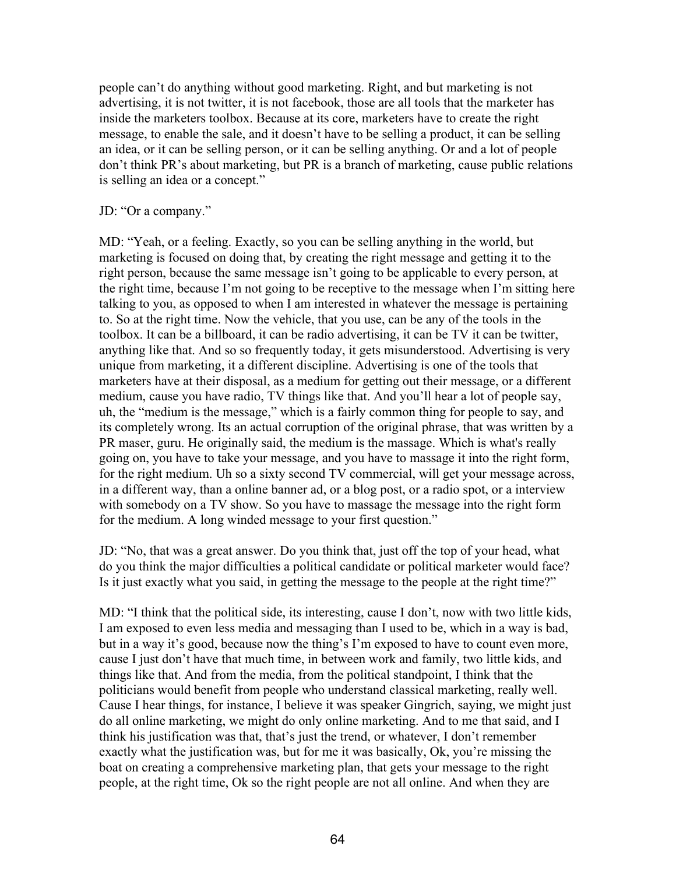people can't do anything without good marketing. Right, and but marketing is not advertising, it is not twitter, it is not facebook, those are all tools that the marketer has inside the marketers toolbox. Because at its core, marketers have to create the right message, to enable the sale, and it doesn't have to be selling a product, it can be selling an idea, or it can be selling person, or it can be selling anything. Or and a lot of people don't think PR's about marketing, but PR is a branch of marketing, cause public relations is selling an idea or a concept."

#### JD: "Or a company."

MD: "Yeah, or a feeling. Exactly, so you can be selling anything in the world, but marketing is focused on doing that, by creating the right message and getting it to the right person, because the same message isn't going to be applicable to every person, at the right time, because I'm not going to be receptive to the message when I'm sitting here talking to you, as opposed to when I am interested in whatever the message is pertaining to. So at the right time. Now the vehicle, that you use, can be any of the tools in the toolbox. It can be a billboard, it can be radio advertising, it can be TV it can be twitter, anything like that. And so so frequently today, it gets misunderstood. Advertising is very unique from marketing, it a different discipline. Advertising is one of the tools that marketers have at their disposal, as a medium for getting out their message, or a different medium, cause you have radio, TV things like that. And you'll hear a lot of people say, uh, the "medium is the message," which is a fairly common thing for people to say, and its completely wrong. Its an actual corruption of the original phrase, that was written by a PR maser, guru. He originally said, the medium is the massage. Which is what's really going on, you have to take your message, and you have to massage it into the right form, for the right medium. Uh so a sixty second TV commercial, will get your message across, in a different way, than a online banner ad, or a blog post, or a radio spot, or a interview with somebody on a TV show. So you have to massage the message into the right form for the medium. A long winded message to your first question."

JD: "No, that was a great answer. Do you think that, just off the top of your head, what do you think the major difficulties a political candidate or political marketer would face? Is it just exactly what you said, in getting the message to the people at the right time?"

MD: "I think that the political side, its interesting, cause I don't, now with two little kids, I am exposed to even less media and messaging than I used to be, which in a way is bad, but in a way it's good, because now the thing's I'm exposed to have to count even more, cause I just don't have that much time, in between work and family, two little kids, and things like that. And from the media, from the political standpoint, I think that the politicians would benefit from people who understand classical marketing, really well. Cause I hear things, for instance, I believe it was speaker Gingrich, saying, we might just do all online marketing, we might do only online marketing. And to me that said, and I think his justification was that, that's just the trend, or whatever, I don't remember exactly what the justification was, but for me it was basically, Ok, you're missing the boat on creating a comprehensive marketing plan, that gets your message to the right people, at the right time, Ok so the right people are not all online. And when they are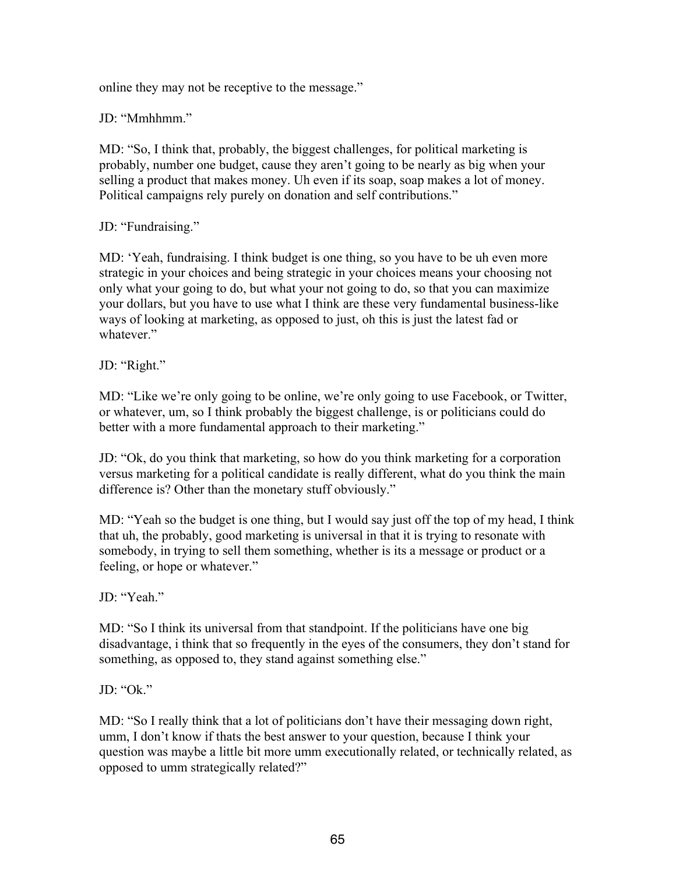online they may not be receptive to the message."

JD: "Mmhhmm."

MD: "So, I think that, probably, the biggest challenges, for political marketing is probably, number one budget, cause they aren't going to be nearly as big when your selling a product that makes money. Uh even if its soap, soap makes a lot of money. Political campaigns rely purely on donation and self contributions."

JD: "Fundraising."

MD: 'Yeah, fundraising. I think budget is one thing, so you have to be uh even more strategic in your choices and being strategic in your choices means your choosing not only what your going to do, but what your not going to do, so that you can maximize your dollars, but you have to use what I think are these very fundamental business-like ways of looking at marketing, as opposed to just, oh this is just the latest fad or whatever."

JD: "Right."

MD: "Like we're only going to be online, we're only going to use Facebook, or Twitter, or whatever, um, so I think probably the biggest challenge, is or politicians could do better with a more fundamental approach to their marketing."

JD: "Ok, do you think that marketing, so how do you think marketing for a corporation versus marketing for a political candidate is really different, what do you think the main difference is? Other than the monetary stuff obviously."

MD: "Yeah so the budget is one thing, but I would say just off the top of my head, I think that uh, the probably, good marketing is universal in that it is trying to resonate with somebody, in trying to sell them something, whether is its a message or product or a feeling, or hope or whatever."

JD<sup>.</sup> "Yeah."

MD: "So I think its universal from that standpoint. If the politicians have one big disadvantage, i think that so frequently in the eyes of the consumers, they don't stand for something, as opposed to, they stand against something else."

JD: "Ok."

MD: "So I really think that a lot of politicians don't have their messaging down right, umm, I don't know if thats the best answer to your question, because I think your question was maybe a little bit more umm executionally related, or technically related, as opposed to umm strategically related?"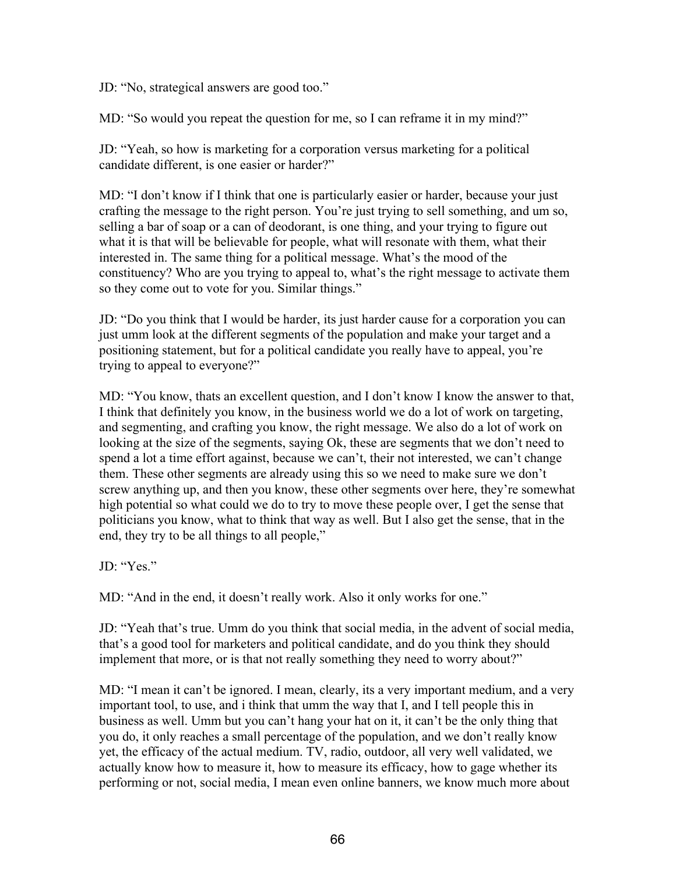JD: "No, strategical answers are good too."

MD: "So would you repeat the question for me, so I can reframe it in my mind?"

JD: "Yeah, so how is marketing for a corporation versus marketing for a political candidate different, is one easier or harder?"

MD: "I don't know if I think that one is particularly easier or harder, because your just crafting the message to the right person. You're just trying to sell something, and um so, selling a bar of soap or a can of deodorant, is one thing, and your trying to figure out what it is that will be believable for people, what will resonate with them, what their interested in. The same thing for a political message. What's the mood of the constituency? Who are you trying to appeal to, what's the right message to activate them so they come out to vote for you. Similar things."

JD: "Do you think that I would be harder, its just harder cause for a corporation you can just umm look at the different segments of the population and make your target and a positioning statement, but for a political candidate you really have to appeal, you're trying to appeal to everyone?"

MD: "You know, thats an excellent question, and I don't know I know the answer to that, I think that definitely you know, in the business world we do a lot of work on targeting, and segmenting, and crafting you know, the right message. We also do a lot of work on looking at the size of the segments, saying Ok, these are segments that we don't need to spend a lot a time effort against, because we can't, their not interested, we can't change them. These other segments are already using this so we need to make sure we don't screw anything up, and then you know, these other segments over here, they're somewhat high potential so what could we do to try to move these people over, I get the sense that politicians you know, what to think that way as well. But I also get the sense, that in the end, they try to be all things to all people,"

JD: "Yes."

MD: "And in the end, it doesn't really work. Also it only works for one."

JD: "Yeah that's true. Umm do you think that social media, in the advent of social media, that's a good tool for marketers and political candidate, and do you think they should implement that more, or is that not really something they need to worry about?"

MD: "I mean it can't be ignored. I mean, clearly, its a very important medium, and a very important tool, to use, and i think that umm the way that I, and I tell people this in business as well. Umm but you can't hang your hat on it, it can't be the only thing that you do, it only reaches a small percentage of the population, and we don't really know yet, the efficacy of the actual medium. TV, radio, outdoor, all very well validated, we actually know how to measure it, how to measure its efficacy, how to gage whether its performing or not, social media, I mean even online banners, we know much more about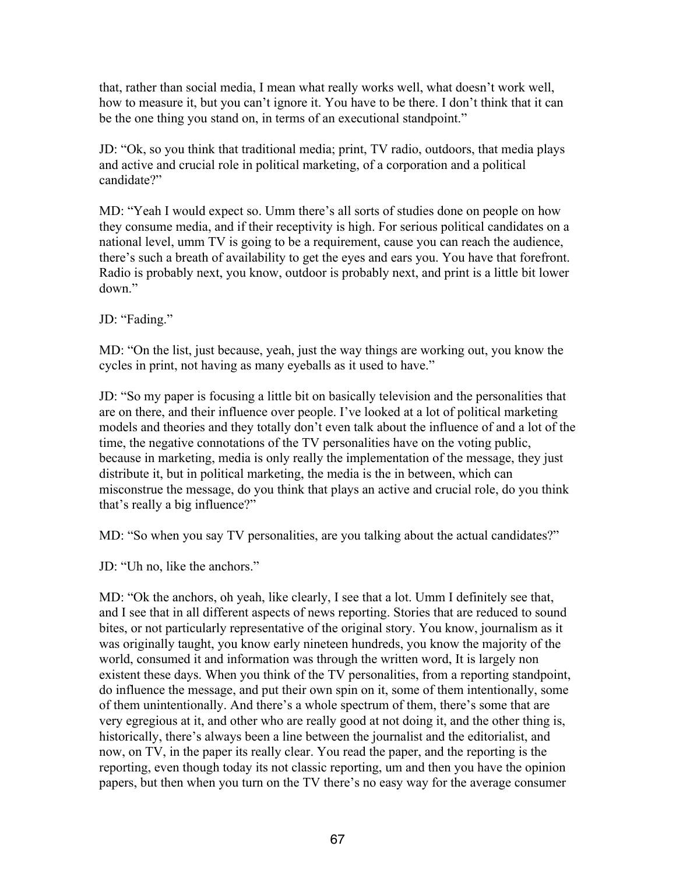that, rather than social media, I mean what really works well, what doesn't work well, how to measure it, but you can't ignore it. You have to be there. I don't think that it can be the one thing you stand on, in terms of an executional standpoint."

JD: "Ok, so you think that traditional media; print, TV radio, outdoors, that media plays and active and crucial role in political marketing, of a corporation and a political candidate?"

MD: "Yeah I would expect so. Umm there's all sorts of studies done on people on how they consume media, and if their receptivity is high. For serious political candidates on a national level, umm TV is going to be a requirement, cause you can reach the audience, there's such a breath of availability to get the eyes and ears you. You have that forefront. Radio is probably next, you know, outdoor is probably next, and print is a little bit lower down."

JD: "Fading."

MD: "On the list, just because, yeah, just the way things are working out, you know the cycles in print, not having as many eyeballs as it used to have."

JD: "So my paper is focusing a little bit on basically television and the personalities that are on there, and their influence over people. I've looked at a lot of political marketing models and theories and they totally don't even talk about the influence of and a lot of the time, the negative connotations of the TV personalities have on the voting public, because in marketing, media is only really the implementation of the message, they just distribute it, but in political marketing, the media is the in between, which can misconstrue the message, do you think that plays an active and crucial role, do you think that's really a big influence?"

MD: "So when you say TV personalities, are you talking about the actual candidates?"

JD: "Uh no, like the anchors."

MD: "Ok the anchors, oh yeah, like clearly, I see that a lot. Umm I definitely see that, and I see that in all different aspects of news reporting. Stories that are reduced to sound bites, or not particularly representative of the original story. You know, journalism as it was originally taught, you know early nineteen hundreds, you know the majority of the world, consumed it and information was through the written word, It is largely non existent these days. When you think of the TV personalities, from a reporting standpoint, do influence the message, and put their own spin on it, some of them intentionally, some of them unintentionally. And there's a whole spectrum of them, there's some that are very egregious at it, and other who are really good at not doing it, and the other thing is, historically, there's always been a line between the journalist and the editorialist, and now, on TV, in the paper its really clear. You read the paper, and the reporting is the reporting, even though today its not classic reporting, um and then you have the opinion papers, but then when you turn on the TV there's no easy way for the average consumer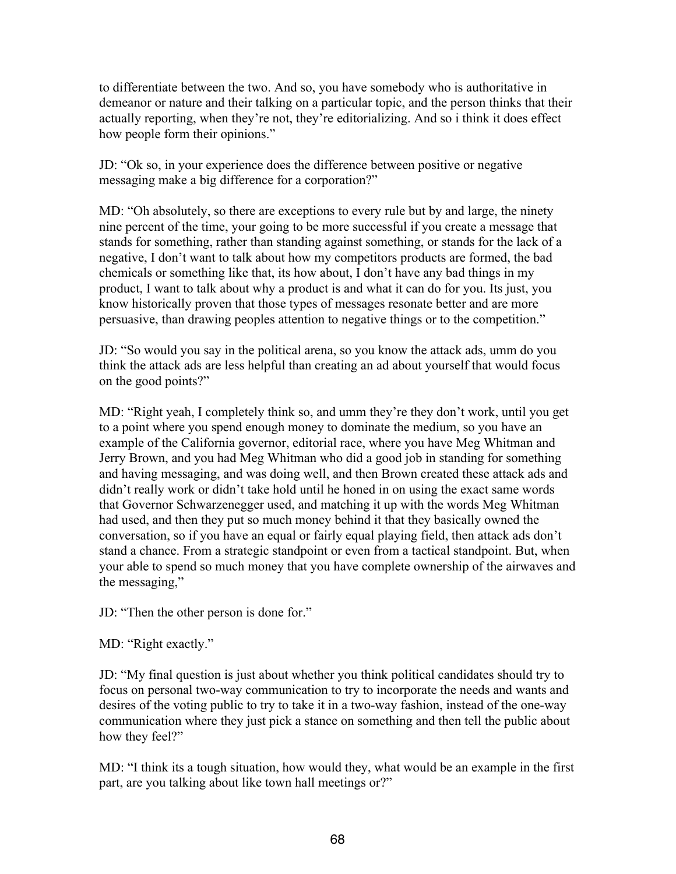to differentiate between the two. And so, you have somebody who is authoritative in demeanor or nature and their talking on a particular topic, and the person thinks that their actually reporting, when they're not, they're editorializing. And so i think it does effect how people form their opinions."

JD: "Ok so, in your experience does the difference between positive or negative messaging make a big difference for a corporation?"

MD: "Oh absolutely, so there are exceptions to every rule but by and large, the ninety nine percent of the time, your going to be more successful if you create a message that stands for something, rather than standing against something, or stands for the lack of a negative, I don't want to talk about how my competitors products are formed, the bad chemicals or something like that, its how about, I don't have any bad things in my product, I want to talk about why a product is and what it can do for you. Its just, you know historically proven that those types of messages resonate better and are more persuasive, than drawing peoples attention to negative things or to the competition."

JD: "So would you say in the political arena, so you know the attack ads, umm do you think the attack ads are less helpful than creating an ad about yourself that would focus on the good points?"

MD: "Right yeah, I completely think so, and umm they're they don't work, until you get to a point where you spend enough money to dominate the medium, so you have an example of the California governor, editorial race, where you have Meg Whitman and Jerry Brown, and you had Meg Whitman who did a good job in standing for something and having messaging, and was doing well, and then Brown created these attack ads and didn't really work or didn't take hold until he honed in on using the exact same words that Governor Schwarzenegger used, and matching it up with the words Meg Whitman had used, and then they put so much money behind it that they basically owned the conversation, so if you have an equal or fairly equal playing field, then attack ads don't stand a chance. From a strategic standpoint or even from a tactical standpoint. But, when your able to spend so much money that you have complete ownership of the airwaves and the messaging,"

JD: "Then the other person is done for."

MD: "Right exactly."

JD: "My final question is just about whether you think political candidates should try to focus on personal two-way communication to try to incorporate the needs and wants and desires of the voting public to try to take it in a two-way fashion, instead of the one-way communication where they just pick a stance on something and then tell the public about how they feel?"

MD: "I think its a tough situation, how would they, what would be an example in the first part, are you talking about like town hall meetings or?"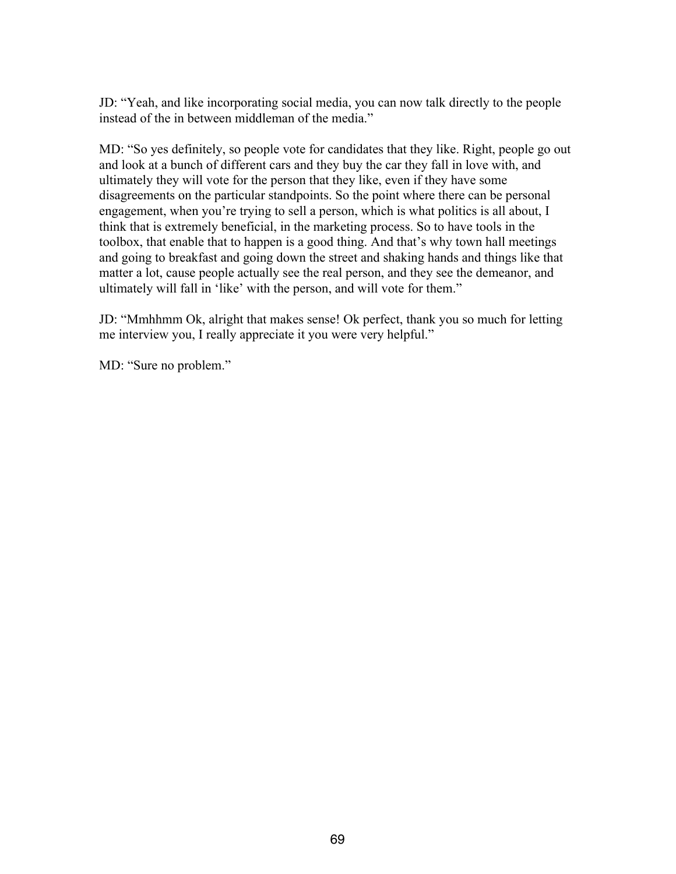JD: "Yeah, and like incorporating social media, you can now talk directly to the people instead of the in between middleman of the media."

MD: "So yes definitely, so people vote for candidates that they like. Right, people go out and look at a bunch of different cars and they buy the car they fall in love with, and ultimately they will vote for the person that they like, even if they have some disagreements on the particular standpoints. So the point where there can be personal engagement, when you're trying to sell a person, which is what politics is all about, I think that is extremely beneficial, in the marketing process. So to have tools in the toolbox, that enable that to happen is a good thing. And that's why town hall meetings and going to breakfast and going down the street and shaking hands and things like that matter a lot, cause people actually see the real person, and they see the demeanor, and ultimately will fall in 'like' with the person, and will vote for them."

JD: "Mmhhmm Ok, alright that makes sense! Ok perfect, thank you so much for letting me interview you, I really appreciate it you were very helpful."

MD: "Sure no problem."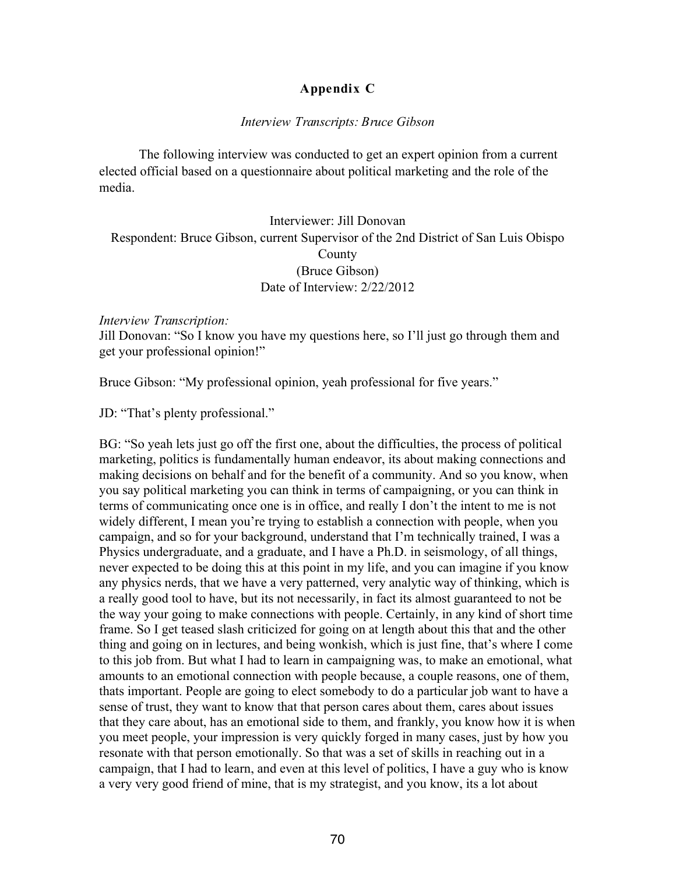## **Appendix C**

## *Interview Transcripts: Bruce Gibson*

The following interview was conducted to get an expert opinion from a current elected official based on a questionnaire about political marketing and the role of the media.

## Interviewer: Jill Donovan Respondent: Bruce Gibson, current Supervisor of the 2nd District of San Luis Obispo County (Bruce Gibson) Date of Interview: 2/22/2012

## *Interview Transcription:*

Jill Donovan: "So I know you have my questions here, so I'll just go through them and get your professional opinion!"

Bruce Gibson: "My professional opinion, yeah professional for five years."

JD: "That's plenty professional."

BG: "So yeah lets just go off the first one, about the difficulties, the process of political marketing, politics is fundamentally human endeavor, its about making connections and making decisions on behalf and for the benefit of a community. And so you know, when you say political marketing you can think in terms of campaigning, or you can think in terms of communicating once one is in office, and really I don't the intent to me is not widely different, I mean you're trying to establish a connection with people, when you campaign, and so for your background, understand that I'm technically trained, I was a Physics undergraduate, and a graduate, and I have a Ph.D. in seismology, of all things, never expected to be doing this at this point in my life, and you can imagine if you know any physics nerds, that we have a very patterned, very analytic way of thinking, which is a really good tool to have, but its not necessarily, in fact its almost guaranteed to not be the way your going to make connections with people. Certainly, in any kind of short time frame. So I get teased slash criticized for going on at length about this that and the other thing and going on in lectures, and being wonkish, which is just fine, that's where I come to this job from. But what I had to learn in campaigning was, to make an emotional, what amounts to an emotional connection with people because, a couple reasons, one of them, thats important. People are going to elect somebody to do a particular job want to have a sense of trust, they want to know that that person cares about them, cares about issues that they care about, has an emotional side to them, and frankly, you know how it is when you meet people, your impression is very quickly forged in many cases, just by how you resonate with that person emotionally. So that was a set of skills in reaching out in a campaign, that I had to learn, and even at this level of politics, I have a guy who is know a very very good friend of mine, that is my strategist, and you know, its a lot about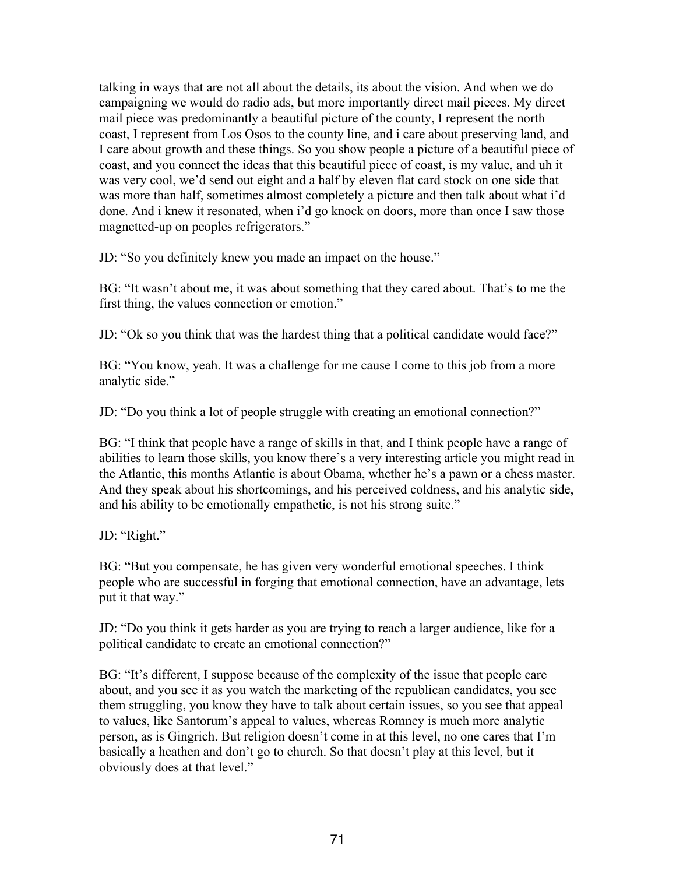talking in ways that are not all about the details, its about the vision. And when we do campaigning we would do radio ads, but more importantly direct mail pieces. My direct mail piece was predominantly a beautiful picture of the county, I represent the north coast, I represent from Los Osos to the county line, and i care about preserving land, and I care about growth and these things. So you show people a picture of a beautiful piece of coast, and you connect the ideas that this beautiful piece of coast, is my value, and uh it was very cool, we'd send out eight and a half by eleven flat card stock on one side that was more than half, sometimes almost completely a picture and then talk about what i'd done. And i knew it resonated, when i'd go knock on doors, more than once I saw those magnetted-up on peoples refrigerators."

JD: "So you definitely knew you made an impact on the house."

BG: "It wasn't about me, it was about something that they cared about. That's to me the first thing, the values connection or emotion."

JD: "Ok so you think that was the hardest thing that a political candidate would face?"

BG: "You know, yeah. It was a challenge for me cause I come to this job from a more analytic side."

JD: "Do you think a lot of people struggle with creating an emotional connection?"

BG: "I think that people have a range of skills in that, and I think people have a range of abilities to learn those skills, you know there's a very interesting article you might read in the Atlantic, this months Atlantic is about Obama, whether he's a pawn or a chess master. And they speak about his shortcomings, and his perceived coldness, and his analytic side, and his ability to be emotionally empathetic, is not his strong suite."

JD: "Right."

BG: "But you compensate, he has given very wonderful emotional speeches. I think people who are successful in forging that emotional connection, have an advantage, lets put it that way."

JD: "Do you think it gets harder as you are trying to reach a larger audience, like for a political candidate to create an emotional connection?"

BG: "It's different, I suppose because of the complexity of the issue that people care about, and you see it as you watch the marketing of the republican candidates, you see them struggling, you know they have to talk about certain issues, so you see that appeal to values, like Santorum's appeal to values, whereas Romney is much more analytic person, as is Gingrich. But religion doesn't come in at this level, no one cares that I'm basically a heathen and don't go to church. So that doesn't play at this level, but it obviously does at that level."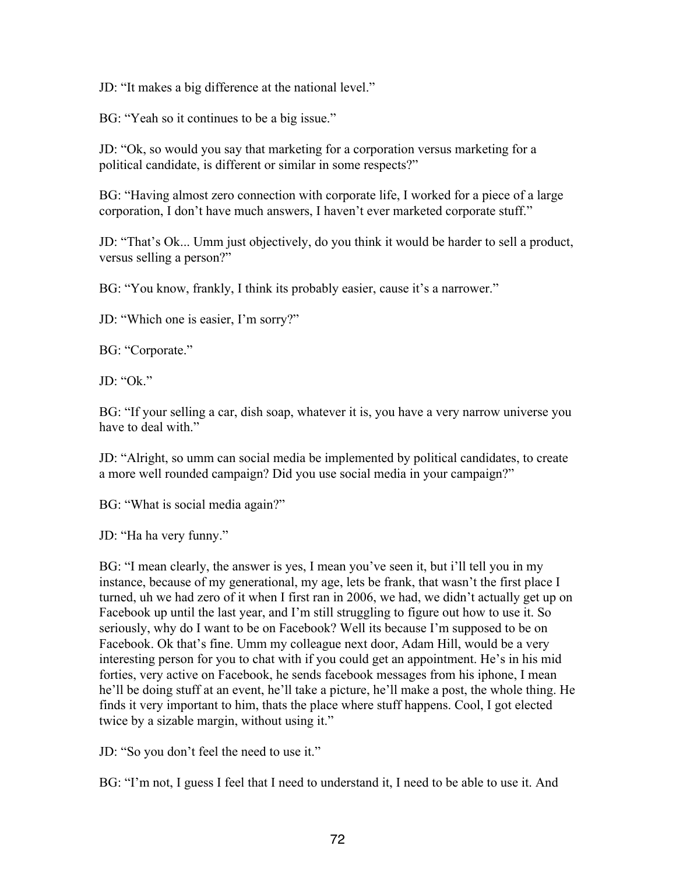JD: "It makes a big difference at the national level."

BG: "Yeah so it continues to be a big issue."

JD: "Ok, so would you say that marketing for a corporation versus marketing for a political candidate, is different or similar in some respects?"

BG: "Having almost zero connection with corporate life, I worked for a piece of a large corporation, I don't have much answers, I haven't ever marketed corporate stuff."

JD: "That's Ok... Umm just objectively, do you think it would be harder to sell a product, versus selling a person?"

BG: "You know, frankly, I think its probably easier, cause it's a narrower."

JD: "Which one is easier, I'm sorry?"

BG: "Corporate."

JD: "Ok."

BG: "If your selling a car, dish soap, whatever it is, you have a very narrow universe you have to deal with."

JD: "Alright, so umm can social media be implemented by political candidates, to create a more well rounded campaign? Did you use social media in your campaign?"

BG: "What is social media again?"

JD: "Ha ha very funny."

BG: "I mean clearly, the answer is yes, I mean you've seen it, but i'll tell you in my instance, because of my generational, my age, lets be frank, that wasn't the first place I turned, uh we had zero of it when I first ran in 2006, we had, we didn't actually get up on Facebook up until the last year, and I'm still struggling to figure out how to use it. So seriously, why do I want to be on Facebook? Well its because I'm supposed to be on Facebook. Ok that's fine. Umm my colleague next door, Adam Hill, would be a very interesting person for you to chat with if you could get an appointment. He's in his mid forties, very active on Facebook, he sends facebook messages from his iphone, I mean he'll be doing stuff at an event, he'll take a picture, he'll make a post, the whole thing. He finds it very important to him, thats the place where stuff happens. Cool, I got elected twice by a sizable margin, without using it."

JD: "So you don't feel the need to use it."

BG: "I'm not, I guess I feel that I need to understand it, I need to be able to use it. And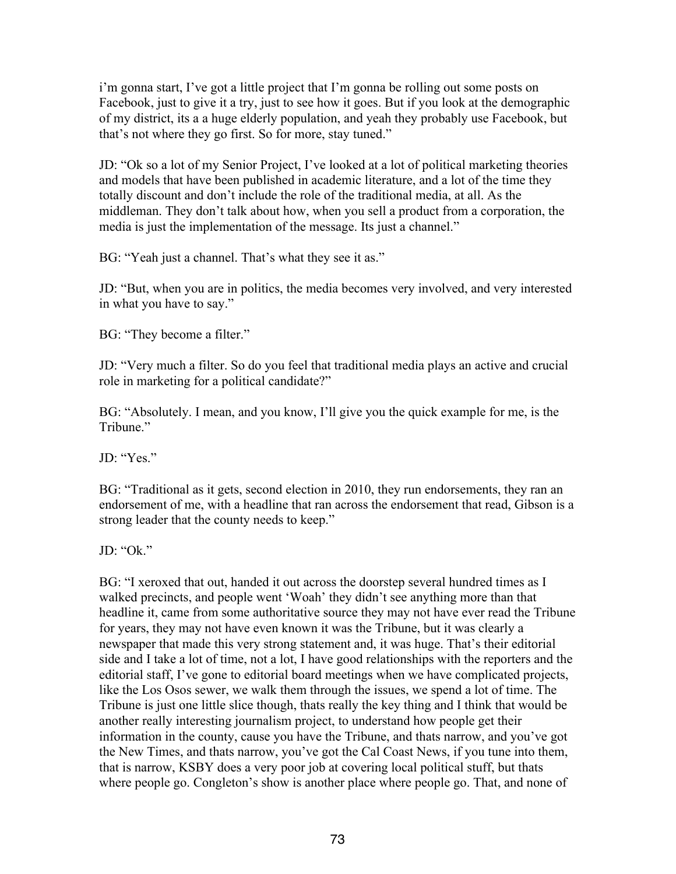i'm gonna start, I've got a little project that I'm gonna be rolling out some posts on Facebook, just to give it a try, just to see how it goes. But if you look at the demographic of my district, its a a huge elderly population, and yeah they probably use Facebook, but that's not where they go first. So for more, stay tuned."

JD: "Ok so a lot of my Senior Project, I've looked at a lot of political marketing theories and models that have been published in academic literature, and a lot of the time they totally discount and don't include the role of the traditional media, at all. As the middleman. They don't talk about how, when you sell a product from a corporation, the media is just the implementation of the message. Its just a channel."

BG: "Yeah just a channel. That's what they see it as."

JD: "But, when you are in politics, the media becomes very involved, and very interested in what you have to say."

BG: "They become a filter."

JD: "Very much a filter. So do you feel that traditional media plays an active and crucial role in marketing for a political candidate?"

BG: "Absolutely. I mean, and you know, I'll give you the quick example for me, is the Tribune."

JD<sup>.</sup> "Yes."

BG: "Traditional as it gets, second election in 2010, they run endorsements, they ran an endorsement of me, with a headline that ran across the endorsement that read, Gibson is a strong leader that the county needs to keep."

JD: "Ok."

BG: "I xeroxed that out, handed it out across the doorstep several hundred times as I walked precincts, and people went 'Woah' they didn't see anything more than that headline it, came from some authoritative source they may not have ever read the Tribune for years, they may not have even known it was the Tribune, but it was clearly a newspaper that made this very strong statement and, it was huge. That's their editorial side and I take a lot of time, not a lot, I have good relationships with the reporters and the editorial staff, I've gone to editorial board meetings when we have complicated projects, like the Los Osos sewer, we walk them through the issues, we spend a lot of time. The Tribune is just one little slice though, thats really the key thing and I think that would be another really interesting journalism project, to understand how people get their information in the county, cause you have the Tribune, and thats narrow, and you've got the New Times, and thats narrow, you've got the Cal Coast News, if you tune into them, that is narrow, KSBY does a very poor job at covering local political stuff, but thats where people go. Congleton's show is another place where people go. That, and none of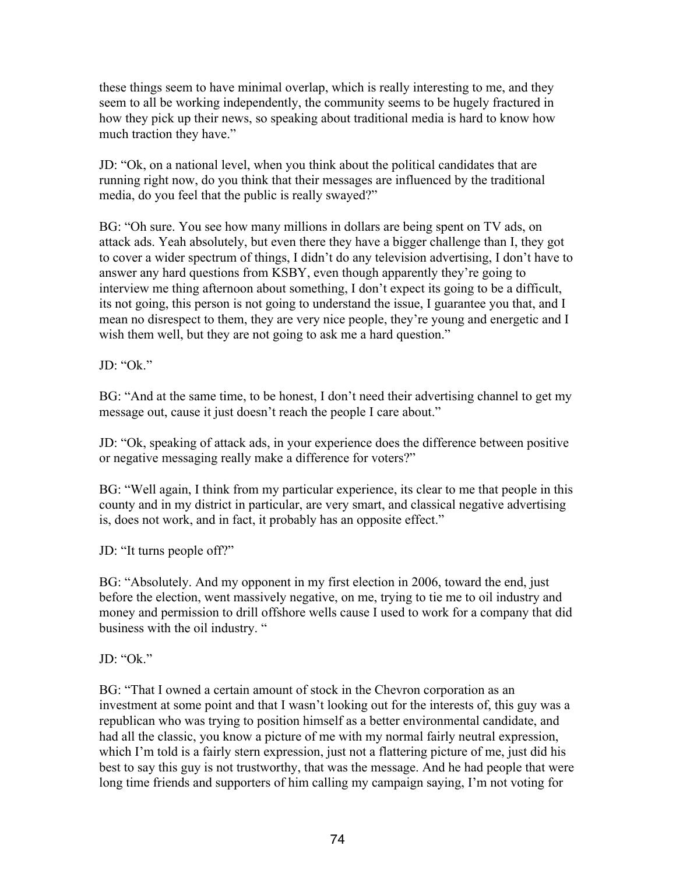these things seem to have minimal overlap, which is really interesting to me, and they seem to all be working independently, the community seems to be hugely fractured in how they pick up their news, so speaking about traditional media is hard to know how much traction they have."

JD: "Ok, on a national level, when you think about the political candidates that are running right now, do you think that their messages are influenced by the traditional media, do you feel that the public is really swayed?"

BG: "Oh sure. You see how many millions in dollars are being spent on TV ads, on attack ads. Yeah absolutely, but even there they have a bigger challenge than I, they got to cover a wider spectrum of things, I didn't do any television advertising, I don't have to answer any hard questions from KSBY, even though apparently they're going to interview me thing afternoon about something, I don't expect its going to be a difficult, its not going, this person is not going to understand the issue, I guarantee you that, and I mean no disrespect to them, they are very nice people, they're young and energetic and I wish them well, but they are not going to ask me a hard question."

JD: "Ok."

BG: "And at the same time, to be honest, I don't need their advertising channel to get my message out, cause it just doesn't reach the people I care about."

JD: "Ok, speaking of attack ads, in your experience does the difference between positive or negative messaging really make a difference for voters?"

BG: "Well again, I think from my particular experience, its clear to me that people in this county and in my district in particular, are very smart, and classical negative advertising is, does not work, and in fact, it probably has an opposite effect."

JD: "It turns people off?"

BG: "Absolutely. And my opponent in my first election in 2006, toward the end, just before the election, went massively negative, on me, trying to tie me to oil industry and money and permission to drill offshore wells cause I used to work for a company that did business with the oil industry. "

 $JD$  "Ok"

BG: "That I owned a certain amount of stock in the Chevron corporation as an investment at some point and that I wasn't looking out for the interests of, this guy was a republican who was trying to position himself as a better environmental candidate, and had all the classic, you know a picture of me with my normal fairly neutral expression, which I'm told is a fairly stern expression, just not a flattering picture of me, just did his best to say this guy is not trustworthy, that was the message. And he had people that were long time friends and supporters of him calling my campaign saying, I'm not voting for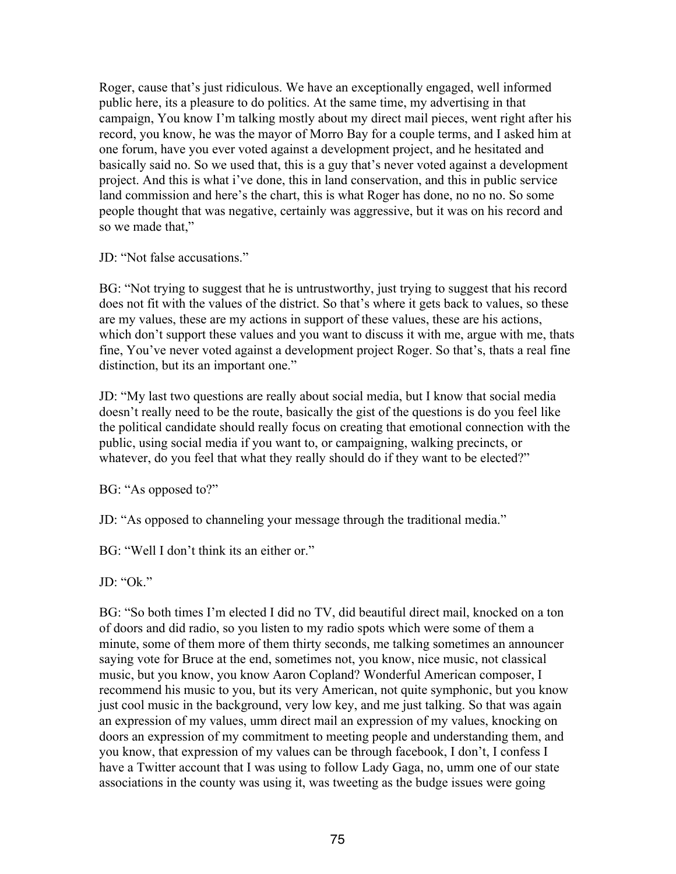Roger, cause that's just ridiculous. We have an exceptionally engaged, well informed public here, its a pleasure to do politics. At the same time, my advertising in that campaign, You know I'm talking mostly about my direct mail pieces, went right after his record, you know, he was the mayor of Morro Bay for a couple terms, and I asked him at one forum, have you ever voted against a development project, and he hesitated and basically said no. So we used that, this is a guy that's never voted against a development project. And this is what i've done, this in land conservation, and this in public service land commission and here's the chart, this is what Roger has done, no no no. So some people thought that was negative, certainly was aggressive, but it was on his record and so we made that,"

JD: "Not false accusations."

BG: "Not trying to suggest that he is untrustworthy, just trying to suggest that his record does not fit with the values of the district. So that's where it gets back to values, so these are my values, these are my actions in support of these values, these are his actions, which don't support these values and you want to discuss it with me, argue with me, thats fine, You've never voted against a development project Roger. So that's, thats a real fine distinction, but its an important one."

JD: "My last two questions are really about social media, but I know that social media doesn't really need to be the route, basically the gist of the questions is do you feel like the political candidate should really focus on creating that emotional connection with the public, using social media if you want to, or campaigning, walking precincts, or whatever, do you feel that what they really should do if they want to be elected?"

BG: "As opposed to?"

JD: "As opposed to channeling your message through the traditional media."

BG: "Well I don't think its an either or."

JD: "Ok."

BG: "So both times I'm elected I did no TV, did beautiful direct mail, knocked on a ton of doors and did radio, so you listen to my radio spots which were some of them a minute, some of them more of them thirty seconds, me talking sometimes an announcer saying vote for Bruce at the end, sometimes not, you know, nice music, not classical music, but you know, you know Aaron Copland? Wonderful American composer, I recommend his music to you, but its very American, not quite symphonic, but you know just cool music in the background, very low key, and me just talking. So that was again an expression of my values, umm direct mail an expression of my values, knocking on doors an expression of my commitment to meeting people and understanding them, and you know, that expression of my values can be through facebook, I don't, I confess I have a Twitter account that I was using to follow Lady Gaga, no, umm one of our state associations in the county was using it, was tweeting as the budge issues were going